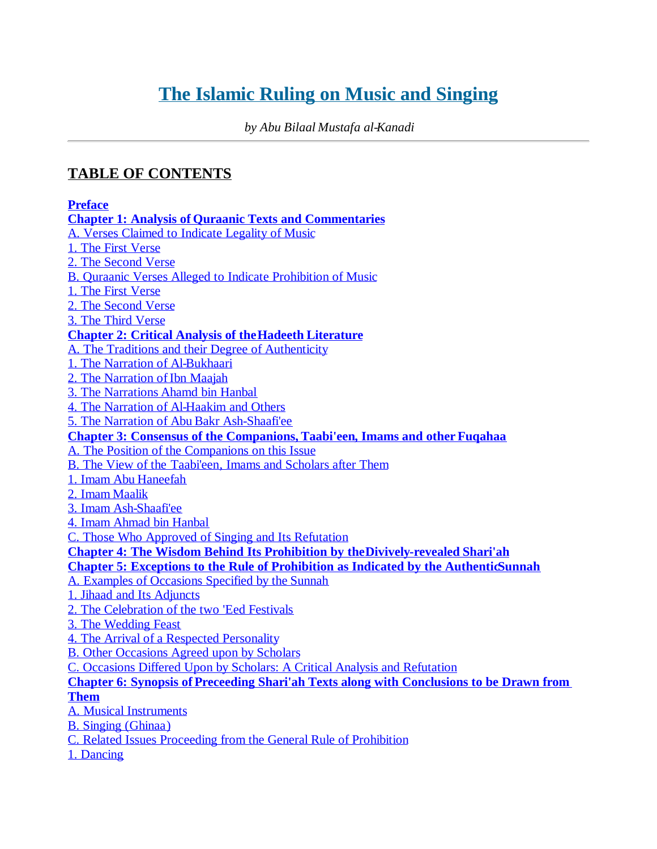# **The Islamic Ruling on Music and Singing**

*by Abu Bilaal Mustafa al-Kanadi*

## **TABLE OF CONTENTS**

**Preface Chapter 1: Analysis of Quraanic Texts and Commentaries** A. Verses Claimed to Indicate Legality of Music 1. The First Verse 2. The Second Verse B. Quraanic Verses Alleged to Indicate Prohibition of Music 1. The First Verse 2. The Second Verse 3. The Third Verse **Chapter 2: Critical Analysis of the Hadeeth Literature** A. The Traditions and their Degree of Authenticity 1. The Narration of Al-Bukhaari 2. The Narration of Ibn Maajah 3. The Narrations Ahamd bin Hanbal 4. The Narration of Al-Haakim and Others 5. The Narration of Abu Bakr Ash-Shaafi'ee **Chapter 3: Consensus of the Companions, Taabi'een, Imams and other Fuqahaa** A. The Position of the Companions on this Issue B. The View of the Taabi'een, Imams and Scholars after Them 1. Imam Abu Haneefah 2. Imam Maalik 3. Imam Ash-Shaafi'ee 4. Imam Ahmad bin Hanbal C. Those Who Approved of Singing and Its Refutation **Chapter 4: The Wisdom Behind Its Prohibition by the Divively-revealed Shari'ah Chapter 5: Exceptions to the Rule of Prohibition as Indicated by the Authentic Sunnah** A. Examples of Occasions Specified by the Sunnah 1. Jihaad and Its Adjuncts 2. The Celebration of the two 'Eed Festivals 3. The Wedding Feast 4. The Arrival of a Respected Personality B. Other Occasions Agreed upon by Scholars C. Occasions Differed Upon by Scholars: A Critical Analysis and Refutation **Chapter 6: Synopsis of Preceeding Shari'ah Texts along with Conclusions to be Drawn from Them** A. Musical Instruments B. Singing (Ghinaa) C. Related Issues Proceeding from the General Rule of Prohibition 1. Dancing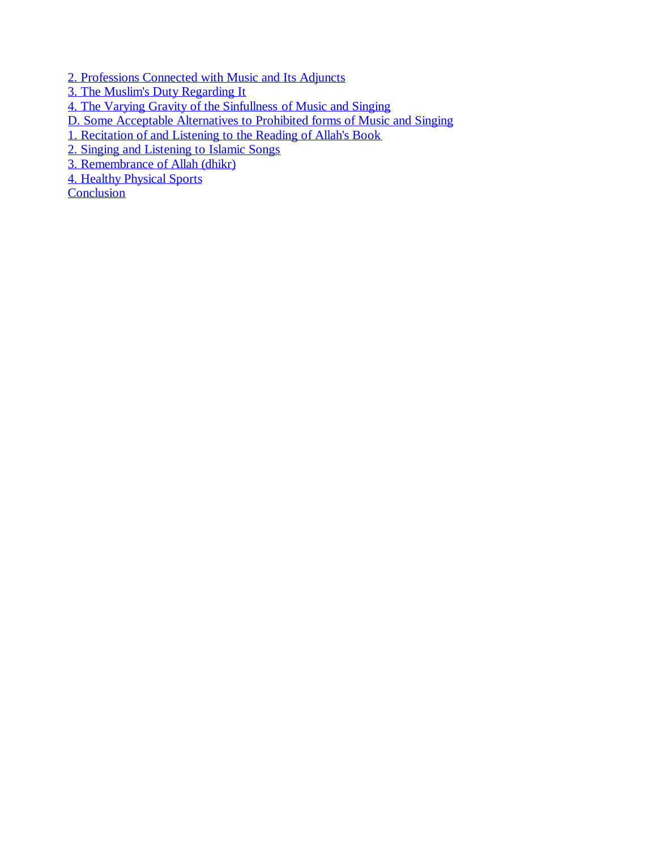2. Professions Connected with Music and Its Adjuncts

3. The Muslim's Duty Regarding It

4. The Varying Gravity of the Sinfullness of Music and Singing

- D. Some Acceptable Alternatives to Prohibited forms of Music and Singing
- 1. Recitation of and Listening to the Reading of Allah's Book
- 2. Singing and Listening to Islamic Songs
- 3. Remembrance of Allah (dhikr)
- 4. Healthy Physical Sports

Conclusion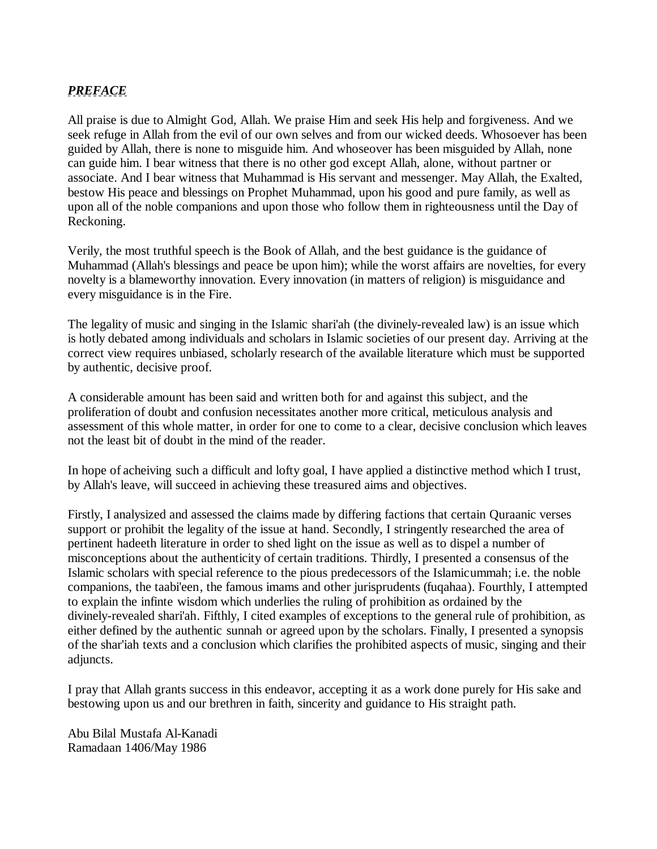#### *PREFACE*

All praise is due to Almight God, Allah. We praise Him and seek His help and forgiveness. And we seek refuge in Allah from the evil of our own selves and from our wicked deeds. Whosoever has been guided by Allah, there is none to misguide him. And whoseover has been misguided by Allah, none can guide him. I bear witness that there is no other god except Allah, alone, without partner or associate. And I bear witness that Muhammad is His servant and messenger. May Allah, the Exalted, bestow His peace and blessings on Prophet Muhammad, upon his good and pure family, as well as upon all of the noble companions and upon those who follow them in righteousness until the Day of Reckoning.

Verily, the most truthful speech is the Book of Allah, and the best guidance is the guidance of Muhammad (Allah's blessings and peace be upon him); while the worst affairs are novelties, for every novelty is a blameworthy innovation. Every innovation (in matters of religion) is misguidance and every misguidance is in the Fire.

The legality of music and singing in the Islamic shari'ah (the divinely-revealed law) is an issue which is hotly debated among individuals and scholars in Islamic societies of our present day. Arriving at the correct view requires unbiased, scholarly research of the available literature which must be supported by authentic, decisive proof.

A considerable amount has been said and written both for and against this subject, and the proliferation of doubt and confusion necessitates another more critical, meticulous analysis and assessment of this whole matter, in order for one to come to a clear, decisive conclusion which leaves not the least bit of doubt in the mind of the reader.

In hope of acheiving such a difficult and lofty goal, I have applied a distinctive method which I trust, by Allah's leave, will succeed in achieving these treasured aims and objectives.

Firstly, I analysized and assessed the claims made by differing factions that certain Quraanic verses support or prohibit the legality of the issue at hand. Secondly, I stringently researched the area of pertinent hadeeth literature in order to shed light on the issue as well as to dispel a number of misconceptions about the authenticity of certain traditions. Thirdly, I presented a consensus of the Islamic scholars with special reference to the pious predecessors of the Islamicummah; i.e. the noble companions, the taabi'een, the famous imams and other jurisprudents (fuqahaa). Fourthly, I attempted to explain the infinte wisdom which underlies the ruling of prohibition as ordained by the divinely-revealed shari'ah. Fifthly, I cited examples of exceptions to the general rule of prohibition, as either defined by the authentic sunnah or agreed upon by the scholars. Finally, I presented a synopsis of the shar'iah texts and a conclusion which clarifies the prohibited aspects of music, singing and their adjuncts.

I pray that Allah grants success in this endeavor, accepting it as a work done purely for His sake and bestowing upon us and our brethren in faith, sincerity and guidance to His straight path.

Abu Bilal Mustafa Al-Kanadi Ramadaan 1406/May 1986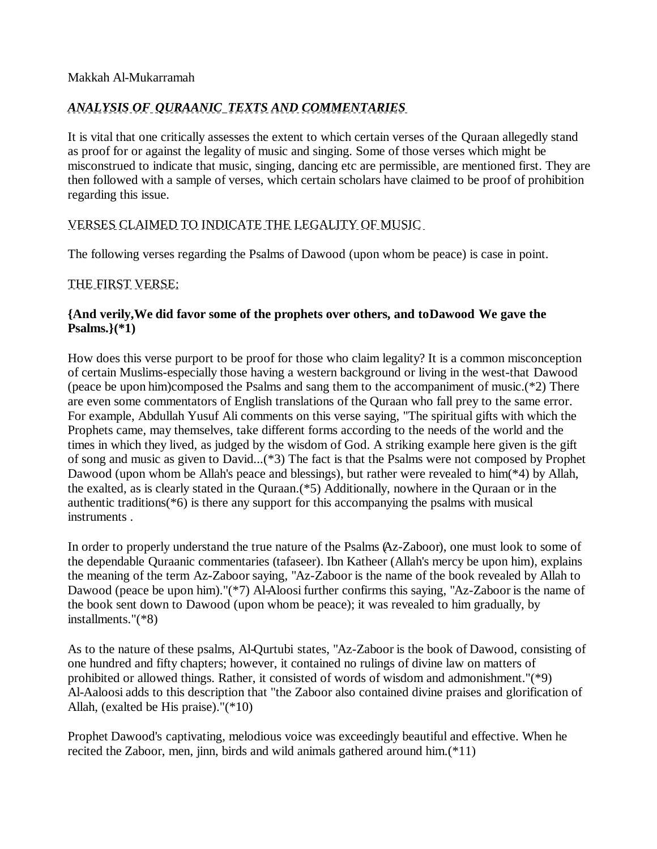#### *ANALYSIS OF QURAANIC TEXTS AND COMMENTARIES*

It is vital that one critically assesses the extent to which certain verses of the Quraan allegedly stand as proof for or against the legality of music and singing. Some of those verses which might be misconstrued to indicate that music, singing, dancing etc are permissible, are mentioned first. They are then followed with a sample of verses, which certain scholars have claimed to be proof of prohibition regarding this issue.

#### VERSES CLAIMED TO INDICATE THE LEGALITY OF MUSIC

The following verses regarding the Psalms of Dawood (upon whom be peace) is case in point.

#### THE FIRST VERSE:

#### **{And verily,We did favor some of the prophets over others, and toDawood We gave the Psalms.}(\*1)**

How does this verse purport to be proof for those who claim legality? It is a common misconception of certain Muslims-especially those having a western background or living in the west-that Dawood (peace be upon him)composed the Psalms and sang them to the accompaniment of music.(\*2) There are even some commentators of English translations of the Quraan who fall prey to the same error. For example, Abdullah Yusuf Ali comments on this verse saying, "The spiritual gifts with which the Prophets came, may themselves, take different forms according to the needs of the world and the times in which they lived, as judged by the wisdom of God. A striking example here given is the gift of song and music as given to David...(\*3) The fact is that the Psalms were not composed by Prophet Dawood (upon whom be Allah's peace and blessings), but rather were revealed to him(\*4) by Allah, the exalted, as is clearly stated in the Quraan.(\*5) Additionally, nowhere in the Quraan or in the authentic traditions(\*6) is there any support for this accompanying the psalms with musical instruments .

In order to properly understand the true nature of the Psalms (Az-Zaboor), one must look to some of the dependable Quraanic commentaries (tafaseer). Ibn Katheer (Allah's mercy be upon him), explains the meaning of the term Az-Zaboor saying, "Az-Zaboor is the name of the book revealed by Allah to Dawood (peace be upon him)."(\*7) Al-Aloosi further confirms this saying, "Az-Zaboor is the name of the book sent down to Dawood (upon whom be peace); it was revealed to him gradually, by installments."(\*8)

As to the nature of these psalms, Al-Qurtubi states, "Az-Zaboor is the book of Dawood, consisting of one hundred and fifty chapters; however, it contained no rulings of divine law on matters of prohibited or allowed things. Rather, it consisted of words of wisdom and admonishment."(\*9) Al-Aaloosi adds to this description that "the Zaboor also contained divine praises and glorification of Allah, (exalted be His praise)."(\*10)

Prophet Dawood's captivating, melodious voice was exceedingly beautiful and effective. When he recited the Zaboor, men, jinn, birds and wild animals gathered around him.(\*11)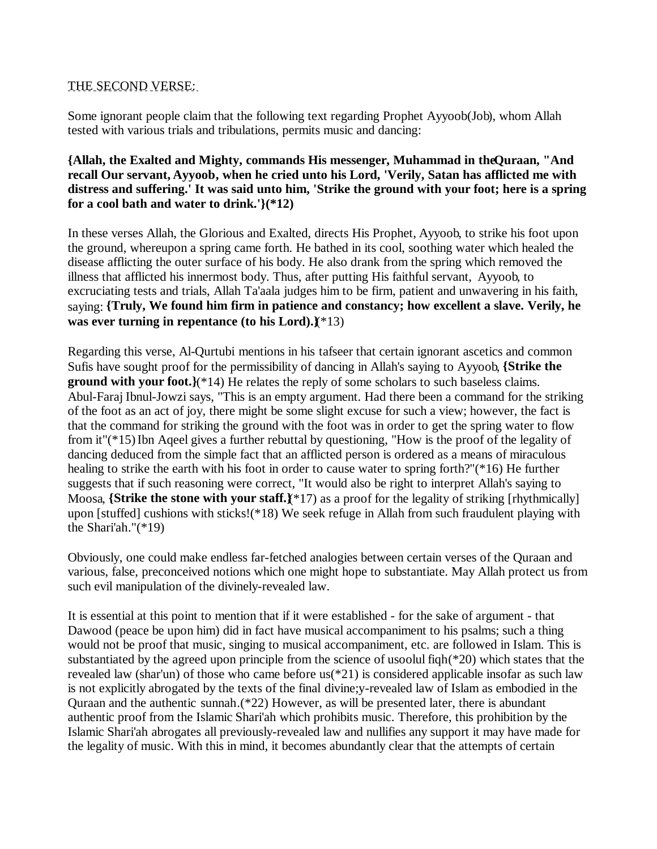#### THE SECOND VERSE:

Some ignorant people claim that the following text regarding Prophet Ayyoob(Job), whom Allah tested with various trials and tribulations, permits music and dancing:

#### **{Allah, the Exalted and Mighty, commands His messenger, Muhammad in the Quraan, "And recall Our servant, Ayyoob, when he cried unto his Lord, 'Verily, Satan has afflicted me with distress and suffering.' It was said unto him, 'Strike the ground with your foot; here is a spring for a cool bath and water to drink.'}(\*12)**

In these verses Allah, the Glorious and Exalted, directs His Prophet, Ayyoob, to strike his foot upon the ground, whereupon a spring came forth. He bathed in its cool, soothing water which healed the disease afflicting the outer surface of his body. He also drank from the spring which removed the illness that afflicted his innermost body. Thus, after putting His faithful servant, Ayyoob, to excruciating tests and trials, Allah Ta'aala judges him to be firm, patient and unwavering in his faith, saying: **{Truly, We found him firm in patience and constancy; how excellent a slave. Verily, he was ever turning in repentance (to his Lord).}**(\*13)

Regarding this verse, Al-Qurtubi mentions in his tafseer that certain ignorant ascetics and common Sufis have sought proof for the permissibility of dancing in Allah's saying to Ayyoob, **{Strike the ground with your foot.}**(\*14) He relates the reply of some scholars to such baseless claims. Abul-Faraj Ibnul-Jowzi says, "This is an empty argument. Had there been a command for the striking of the foot as an act of joy, there might be some slight excuse for such a view; however, the fact is that the command for striking the ground with the foot was in order to get the spring water to flow from it"(\*15)Ibn Aqeel gives a further rebuttal by questioning, "How is the proof of the legality of dancing deduced from the simple fact that an afflicted person is ordered as a means of miraculous healing to strike the earth with his foot in order to cause water to spring forth?"(\*16) He further suggests that if such reasoning were correct, "It would also be right to interpret Allah's saying to Moosa, **{Strike the stone with your staff.}**(\*17) as a proof for the legality of striking [rhythmically] upon [stuffed] cushions with sticks!(\*18) We seek refuge in Allah from such fraudulent playing with the Shari'ah."(\*19)

Obviously, one could make endless far-fetched analogies between certain verses of the Quraan and various, false, preconceived notions which one might hope to substantiate. May Allah protect us from such evil manipulation of the divinely-revealed law.

It is essential at this point to mention that if it were established - for the sake of argument - that Dawood (peace be upon him) did in fact have musical accompaniment to his psalms; such a thing would not be proof that music, singing to musical accompaniment, etc. are followed in Islam. This is substantiated by the agreed upon principle from the science of usoolul figh $(*20)$  which states that the revealed law (shar'un) of those who came before us(\*21) is considered applicable insofar as such law is not explicitly abrogated by the texts of the final divine;y-revealed law of Islam as embodied in the Quraan and the authentic sunnah.(\*22) However, as will be presented later, there is abundant authentic proof from the Islamic Shari'ah which prohibits music. Therefore, this prohibition by the Islamic Shari'ah abrogates all previously-revealed law and nullifies any support it may have made for the legality of music. With this in mind, it becomes abundantly clear that the attempts of certain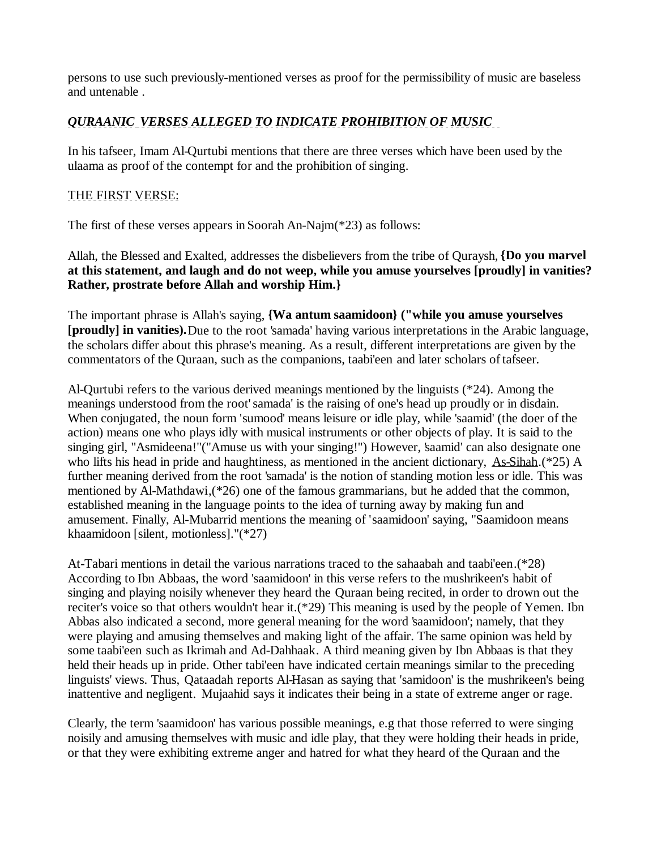persons to use such previously-mentioned verses as proof for the permissibility of music are baseless and untenable .

## *QURAANIC VERSES ALLEGED TO INDICATE PROHIBITION OF MUSIC*

In his tafseer, Imam Al-Qurtubi mentions that there are three verses which have been used by the ulaama as proof of the contempt for and the prohibition of singing.

#### THE FIRST VERSE:

The first of these verses appears in Soorah An-Najm(\*23) as follows:

Allah, the Blessed and Exalted, addresses the disbelievers from the tribe of Quraysh, **{Do you marvel at this statement, and laugh and do not weep, while you amuse yourselves [proudly] in vanities? Rather, prostrate before Allah and worship Him.}**

The important phrase is Allah's saying, **{Wa antum saamidoon} ("while you amuse yourselves [proudly] in vanities).**Due to the root 'samada' having various interpretations in the Arabic language, the scholars differ about this phrase's meaning. As a result, different interpretations are given by the commentators of the Quraan, such as the companions, taabi'een and later scholars oftafseer.

Al-Qurtubi refers to the various derived meanings mentioned by the linguists (\*24). Among the meanings understood from the root'samada' is the raising of one's head up proudly or in disdain. When conjugated, the noun form 'sumood' means leisure or idle play, while 'saamid' (the doer of the action) means one who plays idly with musical instruments or other objects of play. It is said to the singing girl, "Asmideena!"("Amuse us with your singing!") However, 'saamid' can also designate one who lifts his head in pride and haughtiness, as mentioned in the ancient dictionary, As-Sihah.(\*25) A further meaning derived from the root 'samada' is the notion of standing motion less or idle. This was mentioned by Al-Mathdawi,(\*26) one of the famous grammarians, but he added that the common, established meaning in the language points to the idea of turning away by making fun and amusement. Finally, Al-Mubarrid mentions the meaning of 'saamidoon' saying, "Saamidoon means khaamidoon [silent, motionless]."(\*27)

At-Tabari mentions in detail the various narrations traced to the sahaabah and taabi'een.(\*28) According to Ibn Abbaas, the word 'saamidoon' in this verse refers to the mushrikeen's habit of singing and playing noisily whenever they heard the Quraan being recited, in order to drown out the reciter's voice so that others wouldn't hear it.(\*29) This meaning is used by the people of Yemen. Ibn Abbas also indicated a second, more general meaning for the word 'saamidoon'; namely, that they were playing and amusing themselves and making light of the affair. The same opinion was held by some taabi'een such as Ikrimah and Ad-Dahhaak. A third meaning given by Ibn Abbaas is that they held their heads up in pride. Other tabi'een have indicated certain meanings similar to the preceding linguists' views. Thus, Qataadah reports Al-Hasan as saying that 'samidoon' is the mushrikeen's being inattentive and negligent. Mujaahid says it indicates their being in a state of extreme anger or rage.

Clearly, the term 'saamidoon' has various possible meanings, e.g that those referred to were singing noisily and amusing themselves with music and idle play, that they were holding their heads in pride, or that they were exhibiting extreme anger and hatred for what they heard of the Quraan and the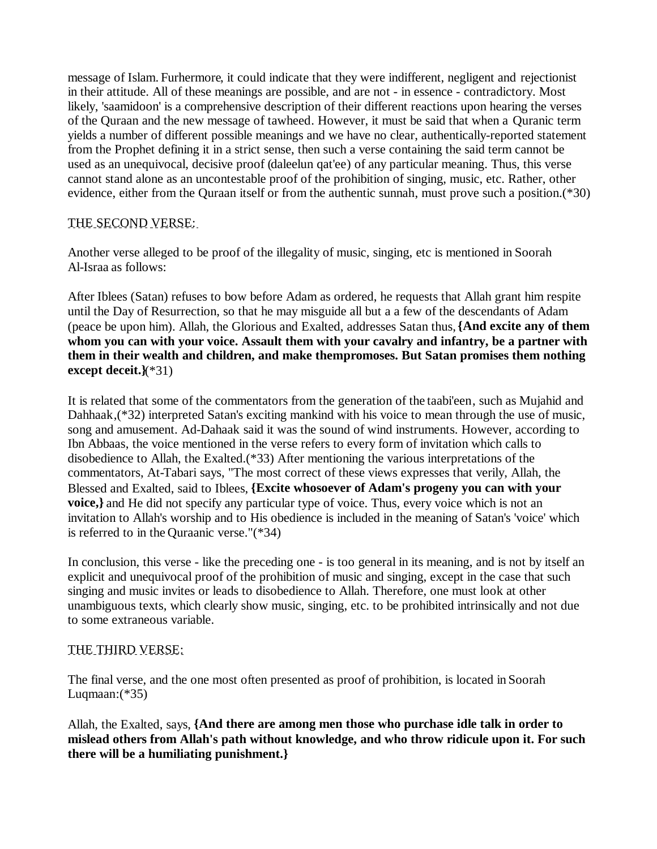message of Islam. Furhermore, it could indicate that they were indifferent, negligent and rejectionist in their attitude. All of these meanings are possible, and are not - in essence - contradictory. Most likely, 'saamidoon' is a comprehensive description of their different reactions upon hearing the verses of the Quraan and the new message of tawheed. However, it must be said that when a Quranic term yields a number of different possible meanings and we have no clear, authentically-reported statement from the Prophet defining it in a strict sense, then such a verse containing the said term cannot be used as an unequivocal, decisive proof (daleelun qat'ee) of any particular meaning. Thus, this verse cannot stand alone as an uncontestable proof of the prohibition of singing, music, etc. Rather, other evidence, either from the Quraan itself or from the authentic sunnah, must prove such a position.(\*30)

#### THE SECOND VERSE:

Another verse alleged to be proof of the illegality of music, singing, etc is mentioned in Soorah Al-Israa as follows:

After Iblees (Satan) refuses to bow before Adam as ordered, he requests that Allah grant him respite until the Day of Resurrection, so that he may misguide all but a a few of the descendants of Adam (peace be upon him). Allah, the Glorious and Exalted, addresses Satan thus, **{And excite any of them whom you can with your voice. Assault them with your cavalry and infantry, be a partner with them in their wealth and children, and make them promoses. But Satan promises them nothing except deceit.}**(\*31)

It is related that some of the commentators from the generation of the taabi'een, such as Mujahid and Dahhaak,(\*32) interpreted Satan's exciting mankind with his voice to mean through the use of music, song and amusement. Ad-Dahaak said it was the sound of wind instruments. However, according to Ibn Abbaas, the voice mentioned in the verse refers to every form of invitation which calls to disobedience to Allah, the Exalted.(\*33) After mentioning the various interpretations of the commentators, At-Tabari says, "The most correct of these views expresses that verily, Allah, the Blessed and Exalted, said to Iblees, **{Excite whosoever of Adam's progeny you can with your voice,}** and He did not specify any particular type of voice. Thus, every voice which is not an invitation to Allah's worship and to His obedience is included in the meaning of Satan's 'voice' which is referred to in the Quraanic verse."(\*34)

In conclusion, this verse - like the preceding one - is too general in its meaning, and is not by itself an explicit and unequivocal proof of the prohibition of music and singing, except in the case that such singing and music invites or leads to disobedience to Allah. Therefore, one must look at other unambiguous texts, which clearly show music, singing, etc. to be prohibited intrinsically and not due to some extraneous variable.

#### THE THIRD VERSE:

The final verse, and the one most often presented as proof of prohibition, is located in Soorah Luqmaan: $(*35)$ 

Allah, the Exalted, says, **{And there are among men those who purchase idle talk in order to mislead others from Allah's path without knowledge, and who throw ridicule upon it. For such there will be a humiliating punishment.}**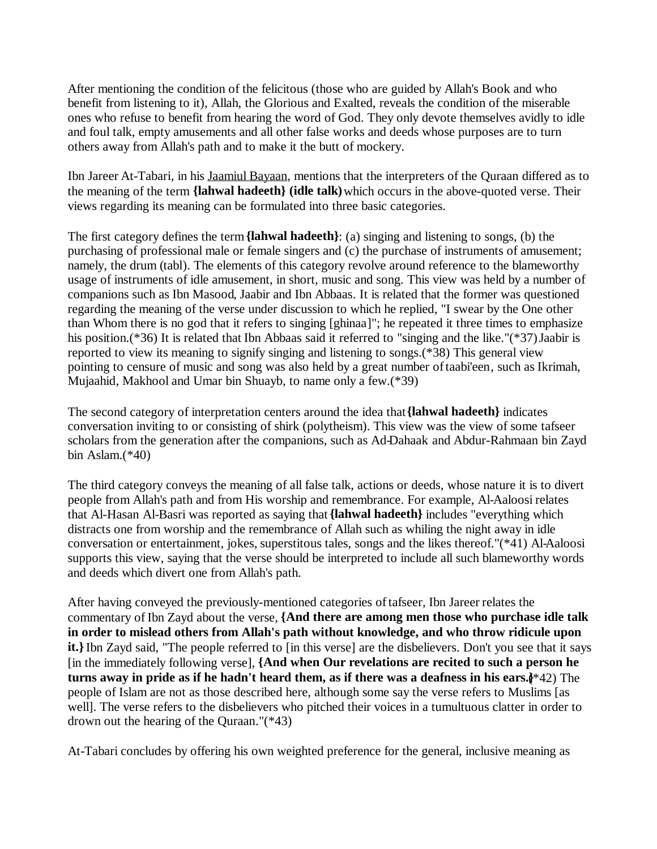After mentioning the condition of the felicitous (those who are guided by Allah's Book and who benefit from listening to it), Allah, the Glorious and Exalted, reveals the condition of the miserable ones who refuse to benefit from hearing the word of God. They only devote themselves avidly to idle and foul talk, empty amusements and all other false works and deeds whose purposes are to turn others away from Allah's path and to make it the butt of mockery.

Ibn Jareer At-Tabari, in his Jaamiul Bayaan, mentions that the interpreters of the Quraan differed as to the meaning of the term **{lahwal hadeeth} (idle talk)**which occurs in the above-quoted verse. Their views regarding its meaning can be formulated into three basic categories.

The first category defines the term **{lahwal hadeeth}**: (a) singing and listening to songs, (b) the purchasing of professional male or female singers and (c) the purchase of instruments of amusement; namely, the drum (tabl). The elements of this category revolve around reference to the blameworthy usage of instruments of idle amusement, in short, music and song. This view was held by a number of companions such as Ibn Masood, Jaabir and Ibn Abbaas. It is related that the former was questioned regarding the meaning of the verse under discussion to which he replied, "I swear by the One other than Whom there is no god that it refers to singing [ghinaa]"; he repeated it three times to emphasize his position.<sup>(\*</sup>36) It is related that Ibn Abbaas said it referred to "singing and the like."(\*37) Jaabir is reported to view its meaning to signify singing and listening to songs.(\*38) This general view pointing to censure of music and song was also held by a great number oftaabi'een, such as Ikrimah, Mujaahid, Makhool and Umar bin Shuayb, to name only a few.(\*39)

The second category of interpretation centers around the idea that **{lahwal hadeeth}** indicates conversation inviting to or consisting of shirk (polytheism). This view was the view of some tafseer scholars from the generation after the companions, such as Ad-Dahaak and Abdur-Rahmaan bin Zayd bin Aslam.(\*40)

The third category conveys the meaning of all false talk, actions or deeds, whose nature it is to divert people from Allah's path and from His worship and remembrance. For example, Al-Aaloosi relates that Al-Hasan Al-Basri was reported as saying that **{lahwal hadeeth}** includes "everything which distracts one from worship and the remembrance of Allah such as whiling the night away in idle conversation or entertainment, jokes, superstitous tales, songs and the likes thereof."(\*41) Al-Aaloosi supports this view, saying that the verse should be interpreted to include all such blameworthy words and deeds which divert one from Allah's path.

After having conveyed the previously-mentioned categories oftafseer, Ibn Jareer relates the commentary of Ibn Zayd about the verse, **{And there are among men those who purchase idle talk in order to mislead others from Allah's path without knowledge, and who throw ridicule upon it.}**Ibn Zayd said, "The people referred to [in this verse] are the disbelievers. Don't you see that it says [in the immediately following verse], **{And when Our revelations are recited to such a person he turns away in pride as if he hadn't heard them, as if there was a deafness in his ears.}**(\*42) The people of Islam are not as those described here, although some say the verse refers to Muslims [as well]. The verse refers to the disbelievers who pitched their voices in a tumultuous clatter in order to drown out the hearing of the Quraan."(\*43)

At-Tabari concludes by offering his own weighted preference for the general, inclusive meaning as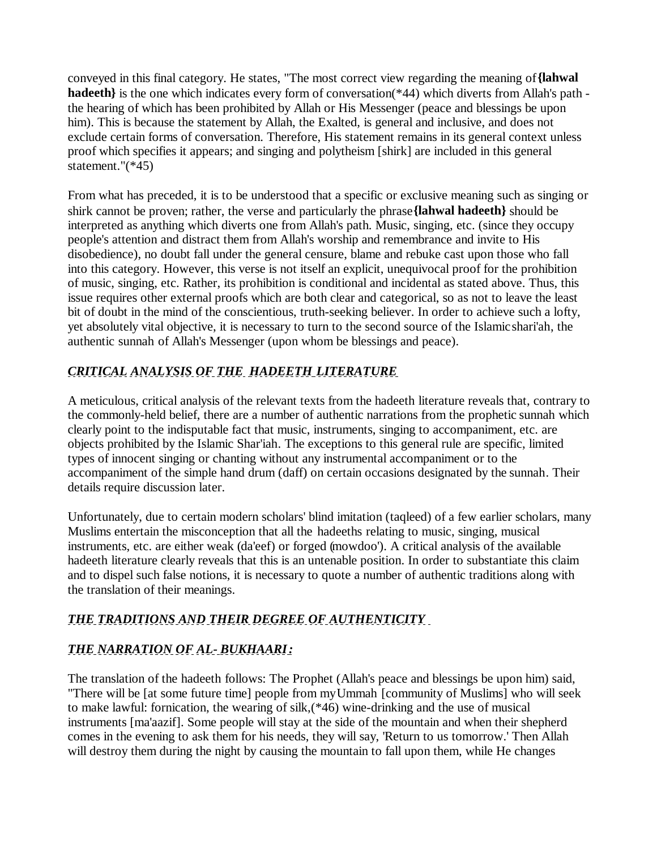conveyed in this final category. He states, "The most correct view regarding the meaning of **{lahwal hadeeth**} is the one which indicates every form of conversation(\*44) which diverts from Allah's path the hearing of which has been prohibited by Allah or His Messenger (peace and blessings be upon him). This is because the statement by Allah, the Exalted, is general and inclusive, and does not exclude certain forms of conversation. Therefore, His statement remains in its general context unless proof which specifies it appears; and singing and polytheism [shirk] are included in this general statement."(\*45)

From what has preceded, it is to be understood that a specific or exclusive meaning such as singing or shirk cannot be proven; rather, the verse and particularly the phrase **{lahwal hadeeth}** should be interpreted as anything which diverts one from Allah's path. Music, singing, etc. (since they occupy people's attention and distract them from Allah's worship and remembrance and invite to His disobedience), no doubt fall under the general censure, blame and rebuke cast upon those who fall into this category. However, this verse is not itself an explicit, unequivocal proof for the prohibition of music, singing, etc. Rather, its prohibition is conditional and incidental as stated above. Thus, this issue requires other external proofs which are both clear and categorical, so as not to leave the least bit of doubt in the mind of the conscientious, truth-seeking believer. In order to achieve such a lofty, yet absolutely vital objective, it is necessary to turn to the second source of the Islamicshari'ah, the authentic sunnah of Allah's Messenger (upon whom be blessings and peace).

## *CRITICAL ANALYSIS OF THE HADEETH LITERATURE*

A meticulous, critical analysis of the relevant texts from the hadeeth literature reveals that, contrary to the commonly-held belief, there are a number of authentic narrations from the prophetic sunnah which clearly point to the indisputable fact that music, instruments, singing to accompaniment, etc. are objects prohibited by the Islamic Shar'iah. The exceptions to this general rule are specific, limited types of innocent singing or chanting without any instrumental accompaniment or to the accompaniment of the simple hand drum (daff) on certain occasions designated by the sunnah. Their details require discussion later.

Unfortunately, due to certain modern scholars' blind imitation (taqleed) of a few earlier scholars, many Muslims entertain the misconception that all the hadeeths relating to music, singing, musical instruments, etc. are either weak (da'eef) or forged (mowdoo'). A critical analysis of the available hadeeth literature clearly reveals that this is an untenable position. In order to substantiate this claim and to dispel such false notions, it is necessary to quote a number of authentic traditions along with the translation of their meanings.

## *THE TRADITIONS AND THEIR DEGREE OF AUTHENTICITY*

## *THE NARRATION OF AL- BUKHAARI:*

The translation of the hadeeth follows: The Prophet (Allah's peace and blessings be upon him) said, "There will be [at some future time] people from myUmmah [community of Muslims] who will seek to make lawful: fornication, the wearing of silk,(\*46) wine-drinking and the use of musical instruments [ma'aazif]. Some people will stay at the side of the mountain and when their shepherd comes in the evening to ask them for his needs, they will say, 'Return to us tomorrow.' Then Allah will destroy them during the night by causing the mountain to fall upon them, while He changes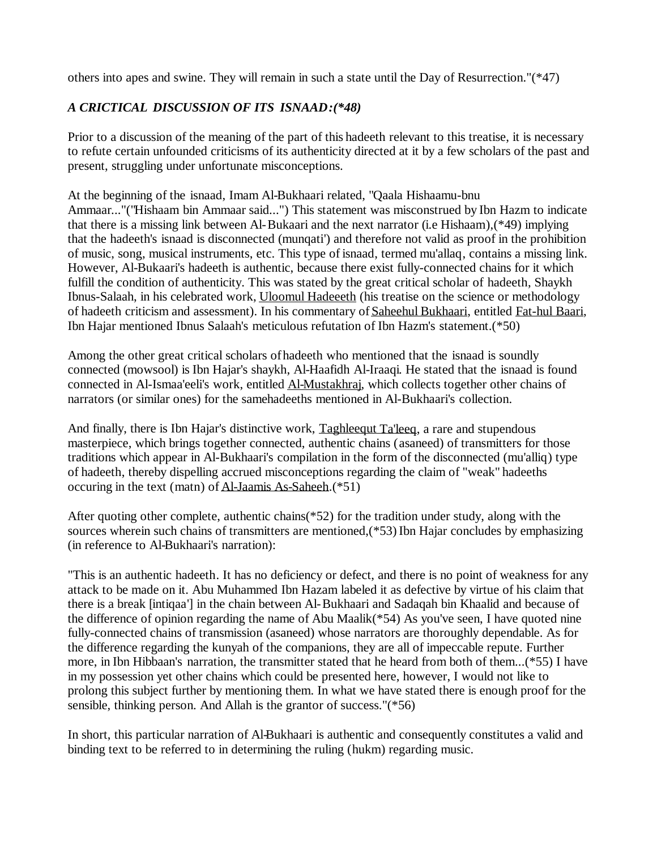others into apes and swine. They will remain in such a state until the Day of Resurrection."(\*47)

#### *A CRICTICAL DISCUSSION OF ITS ISNAAD:(\*48)*

Prior to a discussion of the meaning of the part of this hadeeth relevant to this treatise, it is necessary to refute certain unfounded criticisms of its authenticity directed at it by a few scholars of the past and present, struggling under unfortunate misconceptions.

At the beginning of the isnaad, Imam Al-Bukhaari related, "Qaala Hishaamu-bnu Ammaar..."("Hishaam bin Ammaar said...") This statement was misconstrued by Ibn Hazm to indicate that there is a missing link between Al-Bukaari and the next narrator (i.e Hishaam),(\*49) implying that the hadeeth's isnaad is disconnected (munqati') and therefore not valid as proof in the prohibition of music, song, musical instruments, etc. This type of isnaad, termed mu'allaq, contains a missing link. However, Al-Bukaari's hadeeth is authentic, because there exist fully-connected chains for it which fulfill the condition of authenticity. This was stated by the great critical scholar of hadeeth, Shaykh Ibnus-Salaah, in his celebrated work, Uloomul Hadeeeth (his treatise on the science or methodology of hadeeth criticism and assessment). In his commentary of Saheehul Bukhaari, entitled Fat-hul Baari, Ibn Hajar mentioned Ibnus Salaah's meticulous refutation of Ibn Hazm's statement.(\*50)

Among the other great critical scholars ofhadeeth who mentioned that the isnaad is soundly connected (mowsool) is Ibn Hajar's shaykh, Al-Haafidh Al-Iraaqi. He stated that the isnaad is found connected in Al-Ismaa'eeli's work, entitled Al-Mustakhraj, which collects together other chains of narrators (or similar ones) for the same hadeeths mentioned in Al-Bukhaari's collection.

And finally, there is Ibn Hajar's distinctive work, Taghleequt Ta'leeq, a rare and stupendous masterpiece, which brings together connected, authentic chains (asaneed) of transmitters for those traditions which appear in Al-Bukhaari's compilation in the form of the disconnected (mu'alliq) type of hadeeth, thereby dispelling accrued misconceptions regarding the claim of "weak" hadeeths occuring in the text (matn) of Al-Jaamis As-Saheeh.(\*51)

After quoting other complete, authentic chains(\*52) for the tradition under study, along with the sources wherein such chains of transmitters are mentioned,(\*53) Ibn Hajar concludes by emphasizing (in reference to Al-Bukhaari's narration):

"This is an authentic hadeeth. It has no deficiency or defect, and there is no point of weakness for any attack to be made on it. Abu Muhammed Ibn Hazam labeled it as defective by virtue of his claim that there is a break [intiqaa'] in the chain between Al-Bukhaari and Sadaqah bin Khaalid and because of the difference of opinion regarding the name of Abu Maalik(\*54) As you've seen, I have quoted nine fully-connected chains of transmission (asaneed) whose narrators are thoroughly dependable. As for the difference regarding the kunyah of the companions, they are all of impeccable repute. Further more, in Ibn Hibbaan's narration, the transmitter stated that he heard from both of them...(\*55) I have in my possession yet other chains which could be presented here, however, I would not like to prolong this subject further by mentioning them. In what we have stated there is enough proof for the sensible, thinking person. And Allah is the grantor of success."(\*56)

In short, this particular narration of Al-Bukhaari is authentic and consequently constitutes a valid and binding text to be referred to in determining the ruling (hukm) regarding music.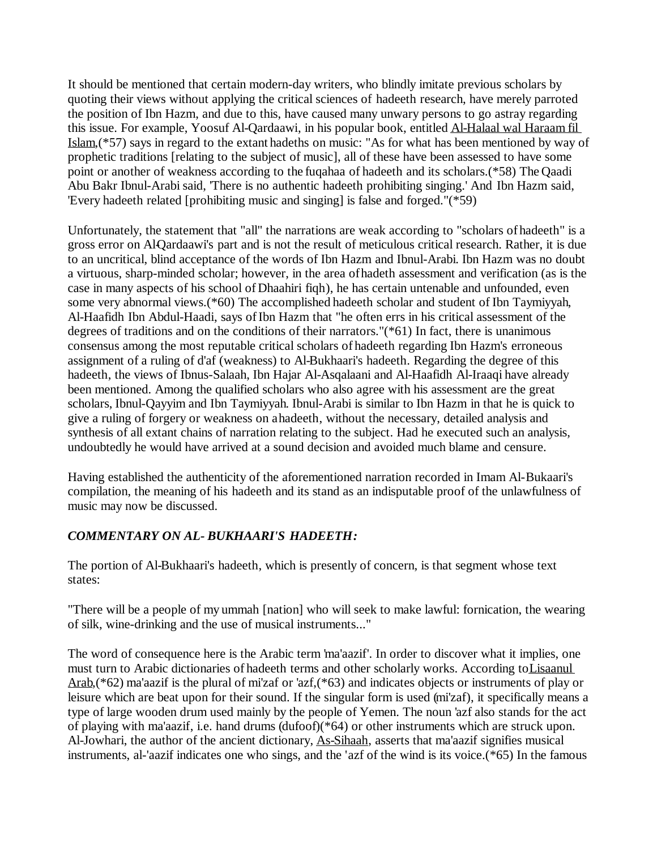It should be mentioned that certain modern-day writers, who blindly imitate previous scholars by quoting their views without applying the critical sciences of hadeeth research, have merely parroted the position of Ibn Hazm, and due to this, have caused many unwary persons to go astray regarding this issue. For example, Yoosuf Al-Qardaawi, in his popular book, entitled Al-Halaal wal Haraam fil Islam,(\*57) says in regard to the extant hadeths on music: "As for what has been mentioned by way of prophetic traditions [relating to the subject of music], all of these have been assessed to have some point or another of weakness according to the fuqahaa of hadeeth and its scholars.(\*58) The Qaadi Abu Bakr Ibnul-Arabi said, 'There is no authentic hadeeth prohibiting singing.' And Ibn Hazm said, 'Every hadeeth related [prohibiting music and singing] is false and forged."(\*59)

Unfortunately, the statement that "all" the narrations are weak according to "scholars of hadeeth" is a gross error on Al-Qardaawi's part and is not the result of meticulous critical research. Rather, it is due to an uncritical, blind acceptance of the words of Ibn Hazm and Ibnul-Arabi. Ibn Hazm was no doubt a virtuous, sharp-minded scholar; however, in the area ofhadeth assessment and verification (as is the case in many aspects of his school of Dhaahiri fiqh), he has certain untenable and unfounded, even some very abnormal views.(\*60) The accomplished hadeeth scholar and student of Ibn Taymiyyah, Al-Haafidh Ibn Abdul-Haadi, says of Ibn Hazm that "he often errs in his critical assessment of the degrees of traditions and on the conditions of their narrators."(\*61) In fact, there is unanimous consensus among the most reputable critical scholars of hadeeth regarding Ibn Hazm's erroneous assignment of a ruling of d'af (weakness) to Al-Bukhaari's hadeeth. Regarding the degree of this hadeeth, the views of Ibnus-Salaah, Ibn Hajar Al-Asqalaani and Al-Haafidh Al-Iraaqi have already been mentioned. Among the qualified scholars who also agree with his assessment are the great scholars, Ibnul-Qayyim and Ibn Taymiyyah. Ibnul-Arabi is similar to Ibn Hazm in that he is quick to give a ruling of forgery or weakness on ahadeeth, without the necessary, detailed analysis and synthesis of all extant chains of narration relating to the subject. Had he executed such an analysis, undoubtedly he would have arrived at a sound decision and avoided much blame and censure.

Having established the authenticity of the aforementioned narration recorded in Imam Al-Bukaari's compilation, the meaning of his hadeeth and its stand as an indisputable proof of the unlawfulness of music may now be discussed.

## *COMMENTARY ON AL- BUKHAARI'S HADEETH:*

The portion of Al-Bukhaari's hadeeth, which is presently of concern, is that segment whose text states:

"There will be a people of my ummah [nation] who will seek to make lawful: fornication, the wearing of silk, wine-drinking and the use of musical instruments..."

The word of consequence here is the Arabic term 'ma'aazif'. In order to discover what it implies, one must turn to Arabic dictionaries of hadeeth terms and other scholarly works. According toLisaanul Arab,(\*62) ma'aazif is the plural of mi'zaf or 'azf,(\*63) and indicates objects or instruments of play or leisure which are beat upon for their sound. If the singular form is used (mi'zaf), it specifically means a type of large wooden drum used mainly by the people of Yemen. The noun 'azf also stands for the act of playing with ma'aazif, i.e. hand drums (dufoof)(\*64) or other instruments which are struck upon. Al-Jowhari, the author of the ancient dictionary, As-Sihaah, asserts that ma'aazif signifies musical instruments, al-'aazif indicates one who sings, and the 'azf of the wind is its voice.(\*65) In the famous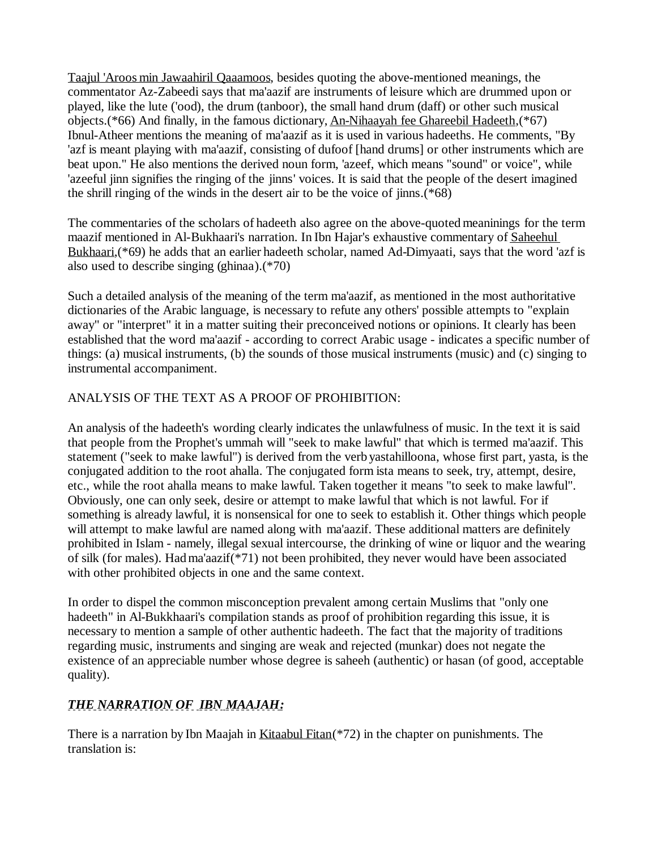Taajul 'Aroos min Jawaahiril Qaaamoos, besides quoting the above-mentioned meanings, the commentator Az-Zabeedi says that ma'aazif are instruments of leisure which are drummed upon or played, like the lute ('ood), the drum (tanboor), the small hand drum (daff) or other such musical objects.(\*66) And finally, in the famous dictionary, An-Nihaayah fee Ghareebil Hadeeth,(\*67) Ibnul-Atheer mentions the meaning of ma'aazif as it is used in various hadeeths. He comments, "By 'azf is meant playing with ma'aazif, consisting of dufoof [hand drums] or other instruments which are beat upon." He also mentions the derived noun form, 'azeef, which means "sound" or voice", while 'azeeful jinn signifies the ringing of the jinns' voices. It is said that the people of the desert imagined the shrill ringing of the winds in the desert air to be the voice of jinns.(\*68)

The commentaries of the scholars of hadeeth also agree on the above-quoted meaninings for the term maazif mentioned in Al-Bukhaari's narration. In Ibn Hajar's exhaustive commentary of Saheehul Bukhaari,(\*69) he adds that an earlier hadeeth scholar, named Ad-Dimyaati, says that the word 'azf is also used to describe singing (ghinaa).(\*70)

Such a detailed analysis of the meaning of the term ma'aazif, as mentioned in the most authoritative dictionaries of the Arabic language, is necessary to refute any others' possible attempts to "explain away" or "interpret" it in a matter suiting their preconceived notions or opinions. It clearly has been established that the word ma'aazif - according to correct Arabic usage - indicates a specific number of things: (a) musical instruments, (b) the sounds of those musical instruments (music) and (c) singing to instrumental accompaniment.

#### ANALYSIS OF THE TEXT AS A PROOF OF PROHIBITION:

An analysis of the hadeeth's wording clearly indicates the unlawfulness of music. In the text it is said that people from the Prophet's ummah will "seek to make lawful" that which is termed ma'aazif. This statement ("seek to make lawful") is derived from the verb yastahilloona, whose first part, yasta, is the conjugated addition to the root ahalla. The conjugated form ista means to seek, try, attempt, desire, etc., while the root ahalla means to make lawful. Taken together it means "to seek to make lawful". Obviously, one can only seek, desire or attempt to make lawful that which is not lawful. For if something is already lawful, it is nonsensical for one to seek to establish it. Other things which people will attempt to make lawful are named along with ma'aazif. These additional matters are definitely prohibited in Islam - namely, illegal sexual intercourse, the drinking of wine or liquor and the wearing of silk (for males). Hadma'aazif(\*71) not been prohibited, they never would have been associated with other prohibited objects in one and the same context.

In order to dispel the common misconception prevalent among certain Muslims that "only one hadeeth" in Al-Bukkhaari's compilation stands as proof of prohibition regarding this issue, it is necessary to mention a sample of other authentic hadeeth. The fact that the majority of traditions regarding music, instruments and singing are weak and rejected (munkar) does not negate the existence of an appreciable number whose degree is saheeh (authentic) or hasan (of good, acceptable quality).

## *THE NARRATION OF IBN MAAJAH:*

There is a narration by Ibn Maajah in Kitaabul Fitan(\*72) in the chapter on punishments. The translation is: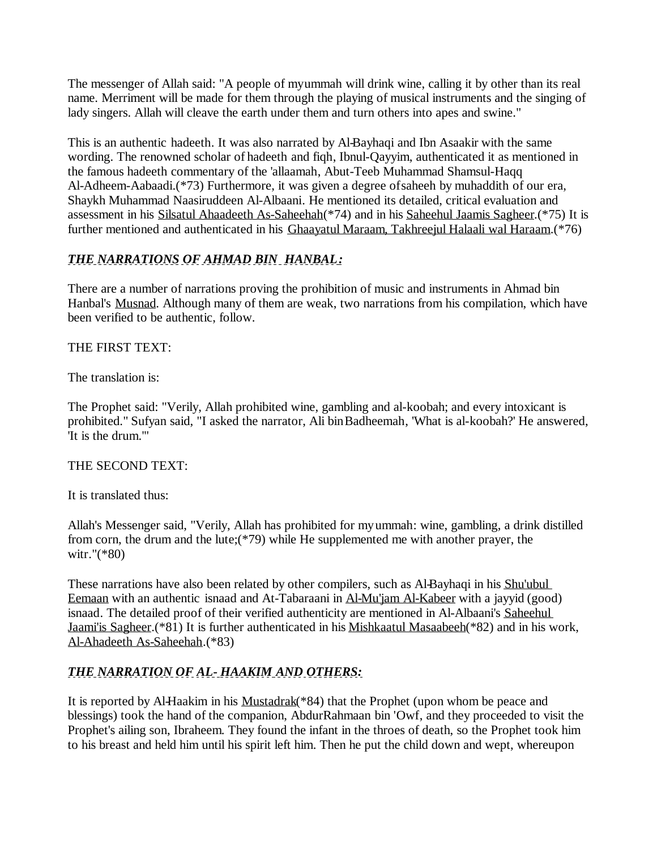The messenger of Allah said: "A people of myummah will drink wine, calling it by other than its real name. Merriment will be made for them through the playing of musical instruments and the singing of lady singers. Allah will cleave the earth under them and turn others into apes and swine."

This is an authentic hadeeth. It was also narrated by Al-Bayhaqi and Ibn Asaakir with the same wording. The renowned scholar of hadeeth and fiqh, Ibnul-Qayyim, authenticated it as mentioned in the famous hadeeth commentary of the 'allaamah, Abut-Teeb Muhammad Shamsul-Haqq Al-Adheem-Aabaadi.(\*73) Furthermore, it was given a degree ofsaheeh by muhaddith of our era, Shaykh Muhammad Naasiruddeen Al-Albaani. He mentioned its detailed, critical evaluation and assessment in his Silsatul Ahaadeeth As-Saheehah(\*74) and in his Saheehul Jaamis Sagheer.(\*75) It is further mentioned and authenticated in his Ghaayatul Maraam, Takhreejul Halaali wal Haraam.(\*76)

## *THE NARRATIONS OF AHMAD BIN HANBAL:*

There are a number of narrations proving the prohibition of music and instruments in Ahmad bin Hanbal's Musnad. Although many of them are weak, two narrations from his compilation, which have been verified to be authentic, follow.

#### THE FIRST TEXT:

The translation is:

The Prophet said: "Verily, Allah prohibited wine, gambling and al-koobah; and every intoxicant is prohibited." Sufyan said, "I asked the narrator, Ali binBadheemah, 'What is al-koobah?' He answered, 'It is the drum.'"

#### THE SECOND TEXT:

It is translated thus:

Allah's Messenger said, "Verily, Allah has prohibited for myummah: wine, gambling, a drink distilled from corn, the drum and the lute;(\*79) while He supplemented me with another prayer, the witr."(\*80)

These narrations have also been related by other compilers, such as Al-Bayhaqi in his Shu'ubul Eemaan with an authentic isnaad and At-Tabaraani in Al-Mu'jam Al-Kabeer with a jayyid (good) isnaad. The detailed proof of their verified authenticity are mentioned in Al-Albaani's Saheehul Jaami'is Sagheer.(\*81) It is further authenticated in his Mishkaatul Masaabeeh(\*82) and in his work, Al-Ahadeeth As-Saheehah.(\*83)

## *THE NARRATION OF AL- HAAKIM AND OTHERS:*

It is reported by Al-Haakim in his Mustadrak(\*84) that the Prophet (upon whom be peace and blessings) took the hand of the companion, AbdurRahmaan bin 'Owf, and they proceeded to visit the Prophet's ailing son, Ibraheem. They found the infant in the throes of death, so the Prophet took him to his breast and held him until his spirit left him. Then he put the child down and wept, whereupon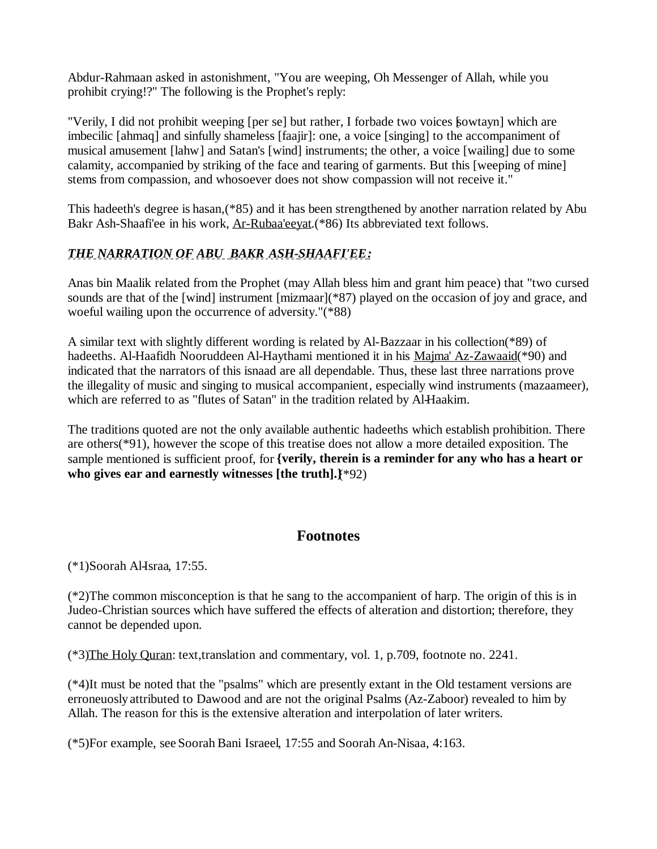Abdur-Rahmaan asked in astonishment, "You are weeping, Oh Messenger of Allah, while you prohibit crying!?" The following is the Prophet's reply:

"Verily, I did not prohibit weeping [per se] but rather, I forbade two voices [sowtayn] which are imbecilic [ahmaq] and sinfully shameless [faajir]: one, a voice [singing] to the accompaniment of musical amusement [lahw] and Satan's [wind] instruments; the other, a voice [wailing] due to some calamity, accompanied by striking of the face and tearing of garments. But this [weeping of mine] stems from compassion, and whosoever does not show compassion will not receive it."

This hadeeth's degree is hasan,(\*85) and it has been strengthened by another narration related by Abu Bakr Ash-Shaafi'ee in his work, Ar-Rubaa'eeyat.(\*86) Its abbreviated text follows.

## *THE NARRATION OF ABU BAKR ASH-SHAAFI'EE:*

Anas bin Maalik related from the Prophet (may Allah bless him and grant him peace) that "two cursed sounds are that of the [wind] instrument [mizmaar](\*87) played on the occasion of joy and grace, and woeful wailing upon the occurrence of adversity."(\*88)

A similar text with slightly different wording is related by Al-Bazzaar in his collection(\*89) of hadeeths. Al-Haafidh Nooruddeen Al-Haythami mentioned it in his Majma' Az-Zawaaid(\*90) and indicated that the narrators of this isnaad are all dependable. Thus, these last three narrations prove the illegality of music and singing to musical accompanient, especially wind instruments (mazaameer), which are referred to as "flutes of Satan" in the tradition related by Al-Haakim.

The traditions quoted are not the only available authentic hadeeths which establish prohibition. There are others(\*91), however the scope of this treatise does not allow a more detailed exposition. The sample mentioned is sufficient proof, for **{verily, therein is a reminder for any who has a heart or who gives ear and earnestly witnesses [the truth].}**(\*92)

## **Footnotes**

 $(*1)$ Soorah Al-Israa, 17:55.

(\*2)The common misconception is that he sang to the accompanient of harp. The origin of this is in Judeo-Christian sources which have suffered the effects of alteration and distortion; therefore, they cannot be depended upon.

(\*3)The Holy Quran: text,translation and commentary, vol. 1, p.709, footnote no. 2241.

(\*4)It must be noted that the "psalms" which are presently extant in the Old testament versions are erroneuoslyattributed to Dawood and are not the original Psalms (Az-Zaboor) revealed to him by Allah. The reason for this is the extensive alteration and interpolation of later writers.

(\*5)For example, see Soorah Bani Israeel, 17:55 and Soorah An-Nisaa, 4:163.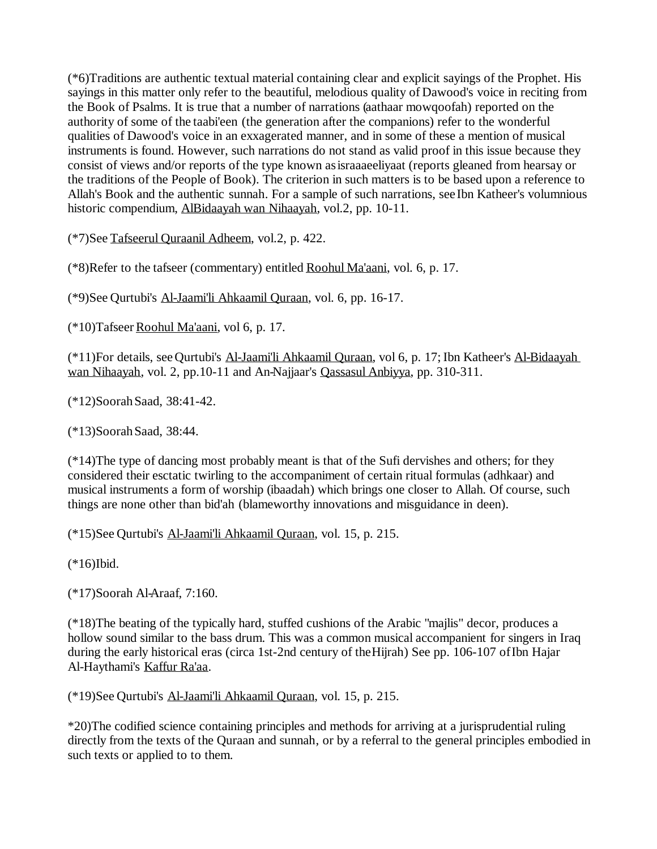(\*6)Traditions are authentic textual material containing clear and explicit sayings of the Prophet. His sayings in this matter only refer to the beautiful, melodious quality of Dawood's voice in reciting from the Book of Psalms. It is true that a number of narrations (aathaar mowqoofah) reported on the authority of some of the taabi'een (the generation after the companions) refer to the wonderful qualities of Dawood's voice in an exxagerated manner, and in some of these a mention of musical instruments is found. However, such narrations do not stand as valid proof in this issue because they consist of views and/or reports of the type known asisraaaeeliyaat (reports gleaned from hearsay or the traditions of the People of Book). The criterion in such matters is to be based upon a reference to Allah's Book and the authentic sunnah. For a sample of such narrations, see Ibn Katheer's volumnious historic compendium, AlBidaayah wan Nihaayah, vol.2, pp. 10-11.

(\*7)See Tafseerul Quraanil Adheem, vol.2, p. 422.

(\*8)Refer to the tafseer (commentary) entitled Roohul Ma'aani, vol. 6, p. 17.

(\*9)See Qurtubi's Al-Jaami'li Ahkaamil Quraan, vol. 6, pp. 16-17.

(\*10)Tafseer Roohul Ma'aani, vol 6, p. 17.

(\*11)For details, seeQurtubi's Al-Jaami'li Ahkaamil Quraan, vol 6, p. 17; Ibn Katheer's Al-Bidaayah wan Nihaayah, vol. 2, pp.10-11 and An-Najjaar's Qassasul Anbiyya, pp. 310-311.

(\*12)SoorahSaad, 38:41-42.

(\*13)SoorahSaad, 38:44.

(\*14)The type of dancing most probably meant is that of the Sufi dervishes and others; for they considered their esctatic twirling to the accompaniment of certain ritual formulas (adhkaar) and musical instruments a form of worship (ibaadah) which brings one closer to Allah. Of course, such things are none other than bid'ah (blameworthy innovations and misguidance in deen).

(\*15)See Qurtubi's Al-Jaami'li Ahkaamil Quraan, vol. 15, p. 215.

(\*16)Ibid.

(\*17)Soorah Al-Araaf, 7:160.

(\*18)The beating of the typically hard, stuffed cushions of the Arabic "majlis" decor, produces a hollow sound similar to the bass drum. This was a common musical accompanient for singers in Iraq during the early historical eras (circa 1st-2nd century of theHijrah) See pp. 106-107 ofIbn Hajar Al-Haythami's Kaffur Ra'aa.

(\*19)See Qurtubi's Al-Jaami'li Ahkaamil Quraan, vol. 15, p. 215.

\*20)The codified science containing principles and methods for arriving at a jurisprudential ruling directly from the texts of the Quraan and sunnah, or by a referral to the general principles embodied in such texts or applied to to them.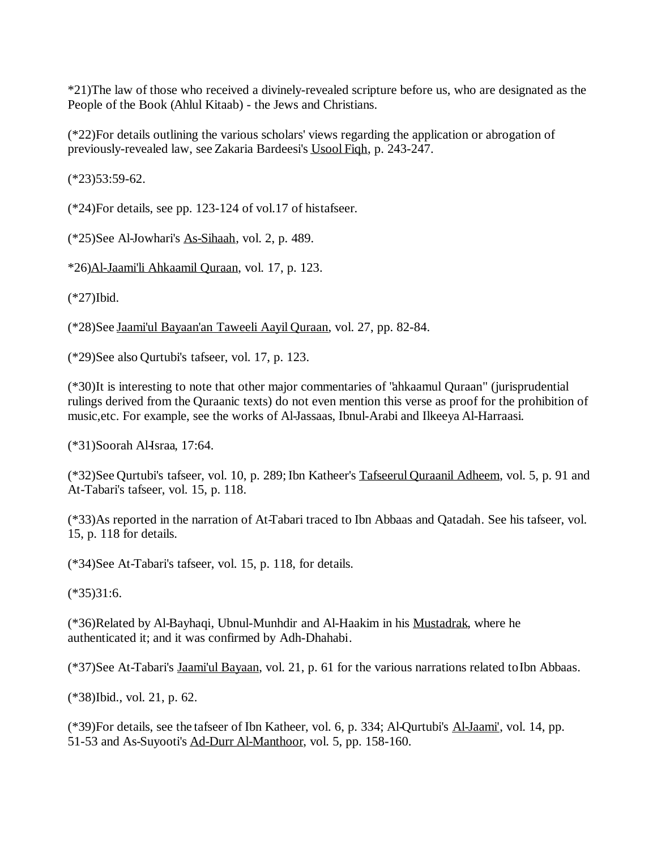\*21)The law of those who received a divinely-revealed scripture before us, who are designated as the People of the Book (Ahlul Kitaab) - the Jews and Christians.

(\*22)For details outlining the various scholars' views regarding the application or abrogation of previously-revealed law, see Zakaria Bardeesi's Usool Fiqh, p. 243-247.

(\*23)53:59-62.

(\*24)For details, see pp. 123-124 of vol.17 of histafseer.

(\*25)See Al-Jowhari's As-Sihaah, vol. 2, p. 489.

\*26)Al-Jaami'li Ahkaamil Quraan, vol. 17, p. 123.

(\*27)Ibid.

(\*28)See Jaami'ul Bayaan'an Taweeli Aayil Quraan, vol. 27, pp. 82-84.

(\*29)See also Qurtubi's tafseer, vol. 17, p. 123.

(\*30)It is interesting to note that other major commentaries of "ahkaamul Quraan" (jurisprudential rulings derived from the Quraanic texts) do not even mention this verse as proof for the prohibition of music,etc. For example, see the works of Al-Jassaas, Ibnul-Arabi and Ilkeeya Al-Harraasi.

(\*31)Soorah Al-Israa, 17:64.

(\*32)See Qurtubi's tafseer, vol. 10, p. 289;Ibn Katheer's Tafseerul Quraanil Adheem, vol. 5, p. 91 and At-Tabari's tafseer, vol. 15, p. 118.

(\*33)As reported in the narration of At-Tabari traced to Ibn Abbaas and Qatadah. See his tafseer, vol. 15, p. 118 for details.

(\*34)See At-Tabari's tafseer, vol. 15, p. 118, for details.

(\*35)31:6.

(\*36)Related by Al-Bayhaqi, Ubnul-Munhdir and Al-Haakim in his Mustadrak, where he authenticated it; and it was confirmed by Adh-Dhahabi.

(\*37)See At-Tabari's Jaami'ul Bayaan, vol. 21, p. 61 for the various narrations related toIbn Abbaas.

(\*38)Ibid., vol. 21, p. 62.

(\*39)For details, see the tafseer of Ibn Katheer, vol. 6, p. 334; Al-Qurtubi's Al-Jaami', vol. 14, pp. 51-53 and As-Suyooti's Ad-Durr Al-Manthoor, vol. 5, pp. 158-160.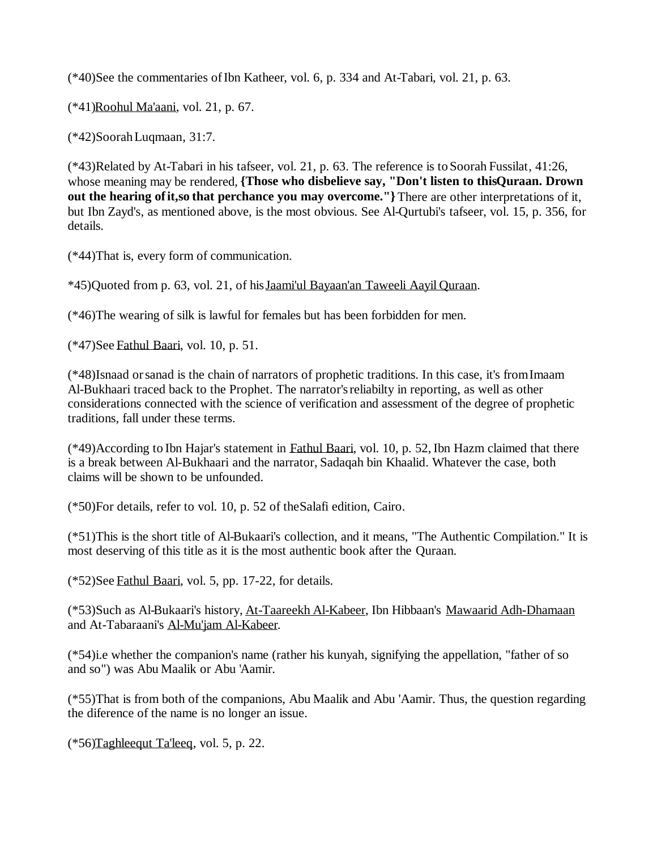(\*40)See the commentaries of Ibn Katheer, vol. 6, p. 334 and At-Tabari, vol. 21, p. 63.

(\*41)Roohul Ma'aani, vol. 21, p. 67.

(\*42)SoorahLuqmaan, 31:7.

(\*43)Related by At-Tabari in his tafseer, vol. 21, p. 63. The reference is to Soorah Fussilat, 41:26, whose meaning may be rendered, **{Those who disbelieve say, "Don't listen to this Quraan. Drown out the hearing ofit,so that perchance you may overcome."}** There are other interpretations of it, but Ibn Zayd's, as mentioned above, is the most obvious. See Al-Qurtubi's tafseer, vol. 15, p. 356, for details.

(\*44)That is, every form of communication.

\*45)Quoted from p. 63, vol. 21, of hisJaami'ul Bayaan'an Taweeli Aayil Quraan.

(\*46)The wearing of silk is lawful for females but has been forbidden for men.

(\*47)See Fathul Baari, vol. 10, p. 51.

(\*48)Isnaad orsanad is the chain of narrators of prophetic traditions. In this case, it's fromImaam Al-Bukhaari traced back to the Prophet. The narrator'sreliabilty in reporting, as well as other considerations connected with the science of verification and assessment of the degree of prophetic traditions, fall under these terms.

(\*49)According to Ibn Hajar's statement in Fathul Baari, vol. 10, p. 52, Ibn Hazm claimed that there is a break between Al-Bukhaari and the narrator, Sadaqah bin Khaalid. Whatever the case, both claims will be shown to be unfounded.

(\*50)For details, refer to vol. 10, p. 52 of theSalafi edition, Cairo.

(\*51)This is the short title of Al-Bukaari's collection, and it means, "The Authentic Compilation." It is most deserving of this title as it is the most authentic book after the Quraan.

(\*52)See Fathul Baari, vol. 5, pp. 17-22, for details.

(\*53)Such as Al-Bukaari's history, At-Taareekh Al-Kabeer, Ibn Hibbaan's Mawaarid Adh-Dhamaan and At-Tabaraani's Al-Mu'jam Al-Kabeer.

(\*54)i.e whether the companion's name (rather his kunyah, signifying the appellation, "father of so and so") was Abu Maalik or Abu 'Aamir.

(\*55)That is from both of the companions, Abu Maalik and Abu 'Aamir. Thus, the question regarding the diference of the name is no longer an issue.

(\*56)Taghleequt Ta'leeq, vol. 5, p. 22.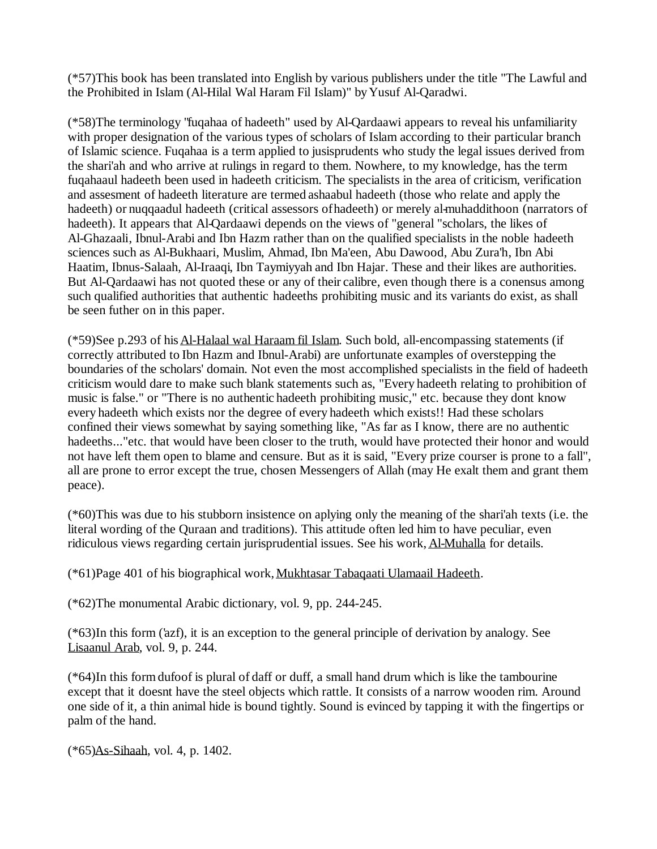(\*57)This book has been translated into English by various publishers under the title "The Lawful and the Prohibited in Islam (Al-Hilal Wal Haram Fil Islam)" byYusuf Al-Qaradwi.

(\*58)The terminology "fuqahaa of hadeeth" used by Al-Qardaawi appears to reveal his unfamiliarity with proper designation of the various types of scholars of Islam according to their particular branch of Islamic science. Fuqahaa is a term applied to jusisprudents who study the legal issues derived from the shari'ah and who arrive at rulings in regard to them. Nowhere, to my knowledge, has the term fuqahaaul hadeeth been used in hadeeth criticism. The specialists in the area of criticism, verification and assesment of hadeeth literature are termed ashaabul hadeeth (those who relate and apply the hadeeth) or nuqqaadul hadeeth (critical assessors ofhadeeth) or merely al-muhaddithoon (narrators of hadeeth). It appears that Al-Qardaawi depends on the views of "general "scholars, the likes of Al-Ghazaali, Ibnul-Arabi and Ibn Hazm rather than on the qualified specialists in the noble hadeeth sciences such as Al-Bukhaari, Muslim, Ahmad, Ibn Ma'een, Abu Dawood, Abu Zura'h, Ibn Abi Haatim, Ibnus-Salaah, Al-Iraaqi, Ibn Taymiyyah and Ibn Hajar. These and their likes are authorities. But Al-Qardaawi has not quoted these or any of their calibre, even though there is a conensus among such qualified authorities that authentic hadeeths prohibiting music and its variants do exist, as shall be seen futher on in this paper.

(\*59)See p.293 of his Al-Halaal wal Haraam fil Islam. Such bold, all-encompassing statements (if correctly attributed to Ibn Hazm and Ibnul-Arabi) are unfortunate examples of overstepping the boundaries of the scholars' domain. Not even the most accomplished specialists in the field of hadeeth criticism would dare to make such blank statements such as, "Every hadeeth relating to prohibition of music is false." or "There is no authentic hadeeth prohibiting music," etc. because they dont know every hadeeth which exists nor the degree of every hadeeth which exists!! Had these scholars confined their views somewhat by saying something like, "As far as I know, there are no authentic hadeeths..."etc. that would have been closer to the truth, would have protected their honor and would not have left them open to blame and censure. But as it is said, "Every prize courser is prone to a fall", all are prone to error except the true, chosen Messengers of Allah (may He exalt them and grant them peace).

(\*60)This was due to his stubborn insistence on aplying only the meaning of the shari'ah texts (i.e. the literal wording of the Quraan and traditions). This attitude often led him to have peculiar, even ridiculous views regarding certain jurisprudential issues. See his work, Al-Muhalla for details.

(\*61)Page 401 of his biographical work, Mukhtasar Tabaqaati Ulamaail Hadeeth.

(\*62)The monumental Arabic dictionary, vol. 9, pp. 244-245.

(\*63)In this form ('azf), it is an exception to the general principle of derivation by analogy. See Lisaanul Arab, vol. 9, p. 244.

(\*64)In this formdufoof is plural of daff or duff, a small hand drum which is like the tambourine except that it doesnt have the steel objects which rattle. It consists of a narrow wooden rim. Around one side of it, a thin animal hide is bound tightly. Sound is evinced by tapping it with the fingertips or palm of the hand.

(\*65)As-Sihaah, vol. 4, p. 1402.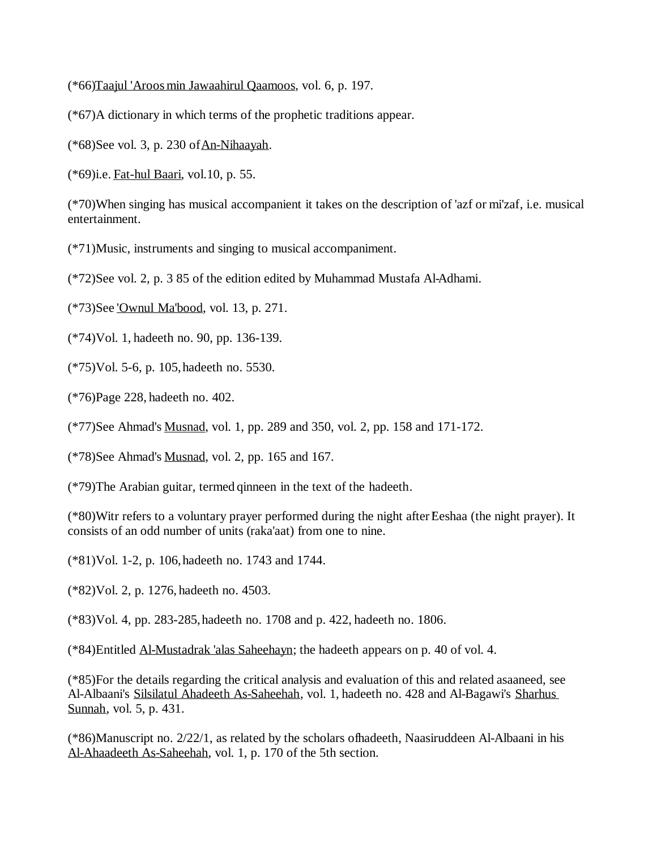(\*66)Taajul 'Aroosmin Jawaahirul Qaamoos, vol. 6, p. 197.

(\*67)A dictionary in which terms of the prophetic traditions appear.

(\*68)See vol. 3, p. 230 of An-Nihaayah.

(\*69)i.e. Fat-hul Baari, vol.10, p. 55.

(\*70)When singing has musical accompanient it takes on the description of 'azf or mi'zaf, i.e. musical entertainment.

(\*71)Music, instruments and singing to musical accompaniment.

(\*72)See vol. 2, p. 3 85 of the edition edited by Muhammad Mustafa Al-Adhami.

(\*73)See 'Ownul Ma'bood, vol. 13, p. 271.

(\*74)Vol. 1, hadeeth no. 90, pp. 136-139.

(\*75)Vol. 5-6, p. 105,hadeeth no. 5530.

(\*76)Page 228, hadeeth no. 402.

(\*77)See Ahmad's Musnad, vol. 1, pp. 289 and 350, vol. 2, pp. 158 and 171-172.

(\*78)See Ahmad's Musnad, vol. 2, pp. 165 and 167.

(\*79)The Arabian guitar, termed qinneen in the text of the hadeeth.

(\*80)Witr refers to a voluntary prayer performed during the night after 'Eeshaa (the night prayer). It consists of an odd number of units (raka'aat) from one to nine.

(\*81)Vol. 1-2, p. 106,hadeeth no. 1743 and 1744.

(\*82)Vol. 2, p. 1276, hadeeth no. 4503.

(\*83)Vol. 4, pp. 283-285,hadeeth no. 1708 and p. 422, hadeeth no. 1806.

(\*84)Entitled Al-Mustadrak 'alas Saheehayn; the hadeeth appears on p. 40 of vol. 4.

(\*85)For the details regarding the critical analysis and evaluation of this and related asaaneed, see Al-Albaani's Silsilatul Ahadeeth As-Saheehah, vol. 1, hadeeth no. 428 and Al-Bagawi's Sharhus Sunnah, vol. 5, p. 431.

 $(*86)$ Manuscript no.  $2/22/1$ , as related by the scholars of hadeeth, Naasiruddeen Al-Albaani in his Al-Ahaadeeth As-Saheehah, vol. 1, p. 170 of the 5th section.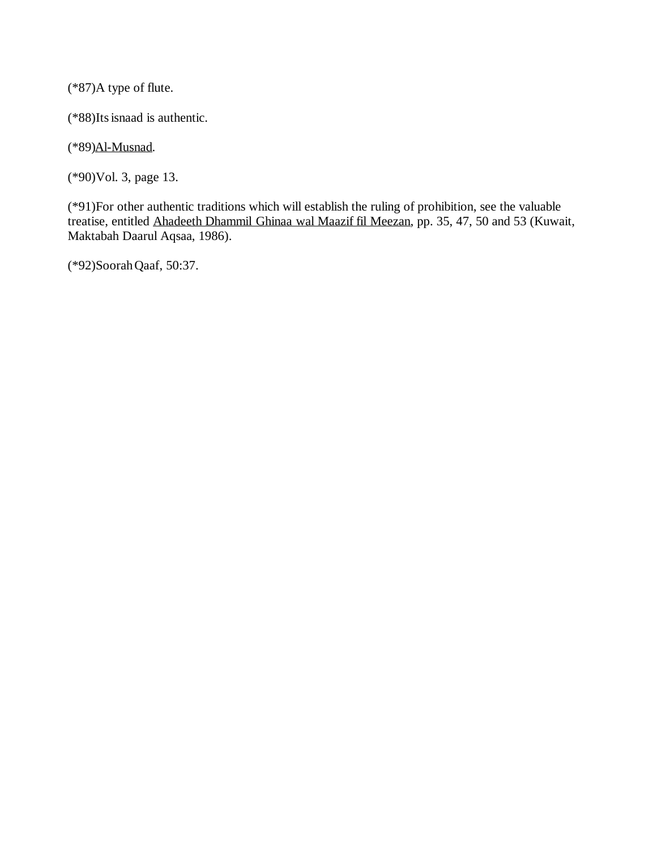(\*87)A type of flute.

(\*88)Itsisnaad is authentic.

(\*89)Al-Musnad.

(\*90)Vol. 3, page 13.

(\*91)For other authentic traditions which will establish the ruling of prohibition, see the valuable treatise, entitled Ahadeeth Dhammil Ghinaa wal Maazif fil Meezan, pp. 35, 47, 50 and 53 (Kuwait, Maktabah Daarul Aqsaa, 1986).

(\*92)SoorahQaaf, 50:37.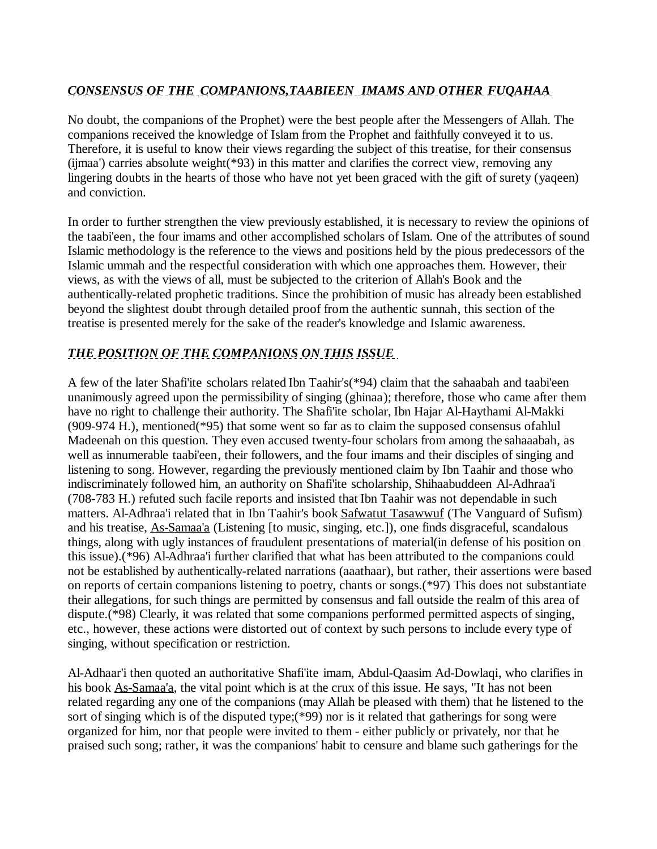#### *CONSENSUS OF THE COMPANIONS,TAABIEEN IMAMS AND OTHER FUQAHAA*

No doubt, the companions of the Prophet) were the best people after the Messengers of Allah. The companions received the knowledge of Islam from the Prophet and faithfully conveyed it to us. Therefore, it is useful to know their views regarding the subject of this treatise, for their consensus (ijmaa') carries absolute weight(\*93) in this matter and clarifies the correct view, removing any lingering doubts in the hearts of those who have not yet been graced with the gift of surety (yaqeen) and conviction.

In order to further strengthen the view previously established, it is necessary to review the opinions of the taabi'een, the four imams and other accomplished scholars of Islam. One of the attributes of sound Islamic methodology is the reference to the views and positions held by the pious predecessors of the Islamic ummah and the respectful consideration with which one approaches them. However, their views, as with the views of all, must be subjected to the criterion of Allah's Book and the authentically-related prophetic traditions. Since the prohibition of music has already been established beyond the slightest doubt through detailed proof from the authentic sunnah, this section of the treatise is presented merely for the sake of the reader's knowledge and Islamic awareness.

## *THE POSITION OF THE COMPANIONS ON THIS ISSUE*

A few of the later Shafi'ite scholars related Ibn Taahir's(\*94) claim that the sahaabah and taabi'een unanimously agreed upon the permissibility of singing (ghinaa); therefore, those who came after them have no right to challenge their authority. The Shafi'ite scholar, Ibn Hajar Al-Haythami Al-Makki (909-974 H.), mentioned(\*95) that some went so far as to claim the supposed consensus ofahlul Madeenah on this question. They even accused twenty-four scholars from among the sahaaabah, as well as innumerable taabi'een, their followers, and the four imams and their disciples of singing and listening to song. However, regarding the previously mentioned claim by Ibn Taahir and those who indiscriminately followed him, an authority on Shafi'ite scholarship, Shihaabuddeen Al-Adhraa'i (708-783 H.) refuted such facile reports and insisted that Ibn Taahir was not dependable in such matters. Al-Adhraa'i related that in Ibn Taahir's book Safwatut Tasawwuf (The Vanguard of Sufism) and his treatise, As-Samaa'a (Listening [to music, singing, etc.]), one finds disgraceful, scandalous things, along with ugly instances of fraudulent presentations of material(in defense of his position on this issue).(\*96) Al-Adhraa'i further clarified that what has been attributed to the companions could not be established by authentically-related narrations (aaathaar), but rather, their assertions were based on reports of certain companions listening to poetry, chants or songs.(\*97) This does not substantiate their allegations, for such things are permitted by consensus and fall outside the realm of this area of dispute.(\*98) Clearly, it was related that some companions performed permitted aspects of singing, etc., however, these actions were distorted out of context by such persons to include every type of singing, without specification or restriction.

Al-Adhaar'i then quoted an authoritative Shafi'ite imam, Abdul-Qaasim Ad-Dowlaqi, who clarifies in his book As-Samaa'a, the vital point which is at the crux of this issue. He says, "It has not been related regarding any one of the companions (may Allah be pleased with them) that he listened to the sort of singing which is of the disputed type;(\*99) nor is it related that gatherings for song were organized for him, nor that people were invited to them - either publicly or privately, nor that he praised such song; rather, it was the companions' habit to censure and blame such gatherings for the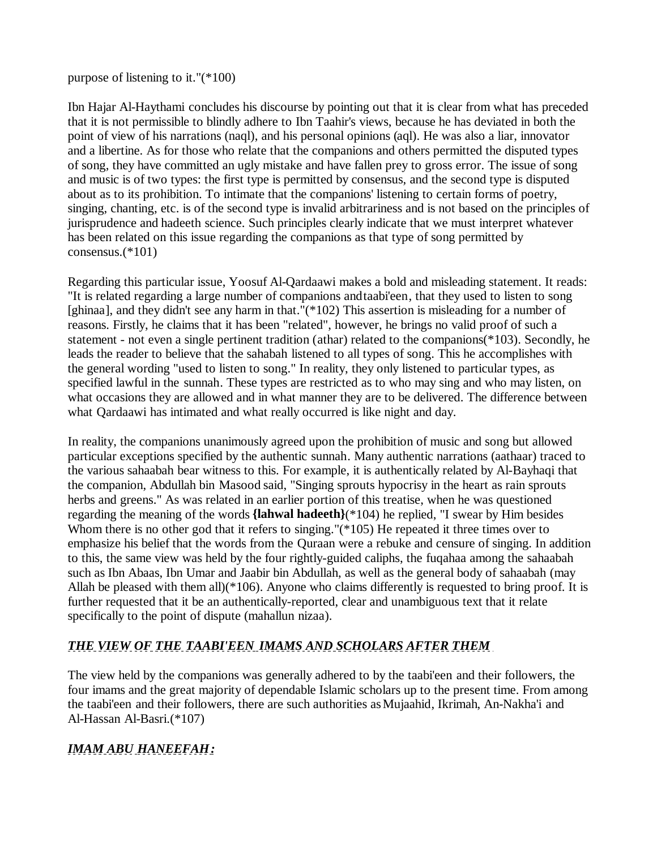#### purpose of listening to it."(\*100)

Ibn Hajar Al-Haythami concludes his discourse by pointing out that it is clear from what has preceded that it is not permissible to blindly adhere to Ibn Taahir's views, because he has deviated in both the point of view of his narrations (naql), and his personal opinions (aql). He was also a liar, innovator and a libertine. As for those who relate that the companions and others permitted the disputed types of song, they have committed an ugly mistake and have fallen prey to gross error. The issue of song and music is of two types: the first type is permitted by consensus, and the second type is disputed about as to its prohibition. To intimate that the companions' listening to certain forms of poetry, singing, chanting, etc. is of the second type is invalid arbitrariness and is not based on the principles of jurisprudence and hadeeth science. Such principles clearly indicate that we must interpret whatever has been related on this issue regarding the companions as that type of song permitted by consensus.(\*101)

Regarding this particular issue, Yoosuf Al-Qardaawi makes a bold and misleading statement. It reads: "It is related regarding a large number of companions andtaabi'een, that they used to listen to song [ghinaa], and they didn't see any harm in that."(\*102) This assertion is misleading for a number of reasons. Firstly, he claims that it has been "related", however, he brings no valid proof of such a statement - not even a single pertinent tradition (athar) related to the companions(\*103). Secondly, he leads the reader to believe that the sahabah listened to all types of song. This he accomplishes with the general wording "used to listen to song." In reality, they only listened to particular types, as specified lawful in the sunnah. These types are restricted as to who may sing and who may listen, on what occasions they are allowed and in what manner they are to be delivered. The difference between what Qardaawi has intimated and what really occurred is like night and day.

In reality, the companions unanimously agreed upon the prohibition of music and song but allowed particular exceptions specified by the authentic sunnah. Many authentic narrations (aathaar) traced to the various sahaabah bear witness to this. For example, it is authentically related by Al-Bayhaqi that the companion, Abdullah bin Masood said, "Singing sprouts hypocrisy in the heart as rain sprouts herbs and greens." As was related in an earlier portion of this treatise, when he was questioned regarding the meaning of the words **{lahwal hadeeth}**(\*104) he replied, "I swear by Him besides Whom there is no other god that it refers to singing."(\*105) He repeated it three times over to emphasize his belief that the words from the Quraan were a rebuke and censure of singing. In addition to this, the same view was held by the four rightly-guided caliphs, the fuqahaa among the sahaabah such as Ibn Abaas, Ibn Umar and Jaabir bin Abdullah, as well as the general body of sahaabah (may Allah be pleased with them all) $(*106)$ . Anyone who claims differently is requested to bring proof. It is further requested that it be an authentically-reported, clear and unambiguous text that it relate specifically to the point of dispute (mahallun nizaa).

## *THE VIEW OF THE TAABI'EEN IMAMS AND SCHOLARS AFTER THEM*

The view held by the companions was generally adhered to by the taabi'een and their followers, the four imams and the great majority of dependable Islamic scholars up to the present time. From among the taabi'een and their followers, there are such authorities asMujaahid, Ikrimah, An-Nakha'i and Al-Hassan Al-Basri.(\*107)

## *IMAM ABU HANEEFAH:*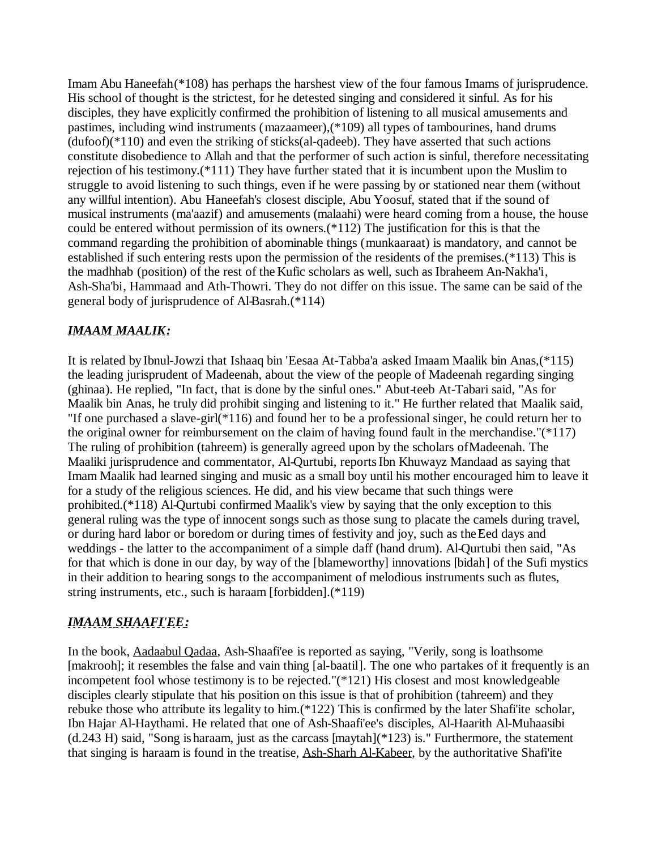Imam Abu Haneefah(\*108) has perhaps the harshest view of the four famous Imams of jurisprudence. His school of thought is the strictest, for he detested singing and considered it sinful. As for his disciples, they have explicitly confirmed the prohibition of listening to all musical amusements and pastimes, including wind instruments (mazaameer),(\*109) all types of tambourines, hand drums  $(du$ foof $)(*110)$  and even the striking of sticks(al-qadeeb). They have asserted that such actions constitute disobedience to Allah and that the performer of such action is sinful, therefore necessitating rejection of his testimony.(\*111) They have further stated that it is incumbent upon the Muslim to struggle to avoid listening to such things, even if he were passing by or stationed near them (without any willful intention). Abu Haneefah's closest disciple, Abu Yoosuf, stated that if the sound of musical instruments (ma'aazif) and amusements (malaahi) were heard coming from a house, the house could be entered without permission of its owners.(\*112) The justification for this is that the command regarding the prohibition of abominable things (munkaaraat) is mandatory, and cannot be established if such entering rests upon the permission of the residents of the premises.(\*113) This is the madhhab (position) of the rest of the Kufic scholars as well, such as Ibraheem An-Nakha'i, Ash-Sha'bi, Hammaad and Ath-Thowri. They do not differ on this issue. The same can be said of the general body of jurisprudence of Al-Basrah.(\*114)

## *IMAAM MAALIK:*

It is related by Ibnul-Jowzi that Ishaaq bin 'Eesaa At-Tabba'a asked Imaam Maalik bin Anas,(\*115) the leading jurisprudent of Madeenah, about the view of the people of Madeenah regarding singing (ghinaa). He replied, "In fact, that is done by the sinful ones." Abut-teeb At-Tabari said, "As for Maalik bin Anas, he truly did prohibit singing and listening to it." He further related that Maalik said, "If one purchased a slave-girl(\*116) and found her to be a professional singer, he could return her to the original owner for reimbursement on the claim of having found fault in the merchandise."(\*117) The ruling of prohibition (tahreem) is generally agreed upon by the scholars ofMadeenah. The Maaliki jurisprudence and commentator, Al-Qurtubi, reportsIbn Khuwayz Mandaad as saying that Imam Maalik had learned singing and music as a small boy until his mother encouraged him to leave it for a study of the religious sciences. He did, and his view became that such things were prohibited.(\*118) Al-Qurtubi confirmed Maalik's view by saying that the only exception to this general ruling was the type of innocent songs such as those sung to placate the camels during travel, or during hard labor or boredom or during times of festivity and joy, such as the Eed days and weddings - the latter to the accompaniment of a simple daff (hand drum). Al-Qurtubi then said, "As for that which is done in our day, by way of the [blameworthy] innovations [bidah] of the Sufi mystics in their addition to hearing songs to the accompaniment of melodious instruments such as flutes, string instruments, etc., such is haraam [forbidden].(\*119)

## *IMAAM SHAAFI'EE:*

In the book, Aadaabul Qadaa, Ash-Shaafi'ee is reported as saying, "Verily, song is loathsome [makrooh]; it resembles the false and vain thing [al-baatil]. The one who partakes of it frequently is an incompetent fool whose testimony is to be rejected."(\*121) His closest and most knowledgeable disciples clearly stipulate that his position on this issue is that of prohibition (tahreem) and they rebuke those who attribute its legality to him.(\*122) This is confirmed by the later Shafi'ite scholar, Ibn Hajar Al-Haythami. He related that one of Ash-Shaafi'ee's disciples, Al-Haarith Al-Muhaasibi (d.243 H) said, "Song is haraam, just as the carcass [maytah](\*123) is." Furthermore, the statement that singing is haraam is found in the treatise, Ash-Sharh Al-Kabeer, by the authoritative Shafi'ite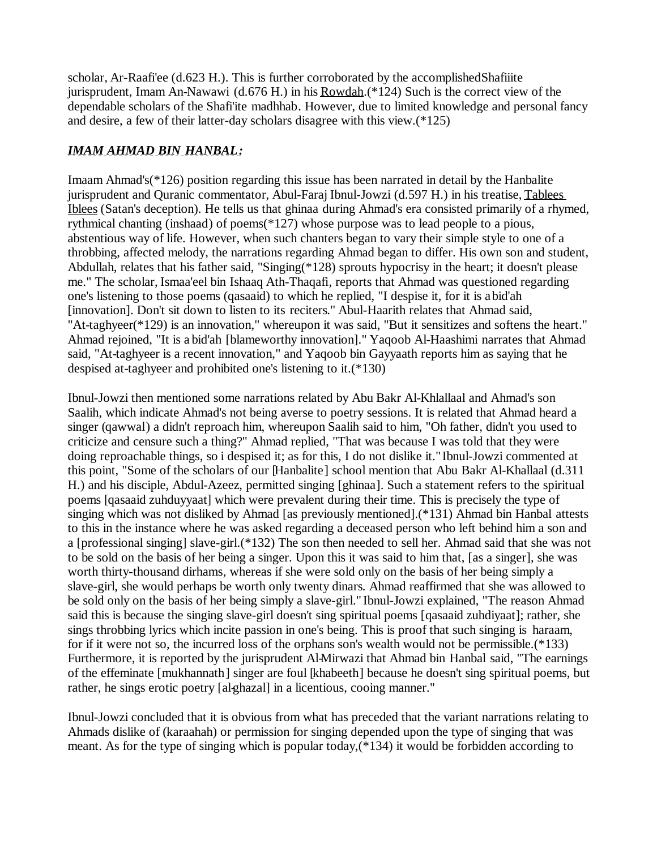scholar, Ar-Raafi'ee (d.623 H.). This is further corroborated by the accomplished Shafiiite jurisprudent, Imam An-Nawawi (d.676 H.) in his Rowdah.(\*124) Such is the correct view of the dependable scholars of the Shafi'ite madhhab. However, due to limited knowledge and personal fancy and desire, a few of their latter-day scholars disagree with this view.(\*125)

## *IMAM AHMAD BIN HANBAL:*

Imaam Ahmad's(\*126) position regarding this issue has been narrated in detail by the Hanbalite jurisprudent and Quranic commentator, Abul-Faraj Ibnul-Jowzi (d.597 H.) in his treatise, Tablees Iblees (Satan's deception). He tells us that ghinaa during Ahmad's era consisted primarily of a rhymed, rythmical chanting (inshaad) of poems(\*127) whose purpose was to lead people to a pious, abstentious way of life. However, when such chanters began to vary their simple style to one of a throbbing, affected melody, the narrations regarding Ahmad began to differ. His own son and student, Abdullah, relates that his father said, "Singing(\*128) sprouts hypocrisy in the heart; it doesn't please me." The scholar, Ismaa'eel bin Ishaaq Ath-Thaqafi, reports that Ahmad was questioned regarding one's listening to those poems (qasaaid) to which he replied, "I despise it, for it is abid'ah [innovation]. Don't sit down to listen to its reciters." Abul-Haarith relates that Ahmad said, "At-taghyeer(\*129) is an innovation," whereupon it was said, "But it sensitizes and softens the heart." Ahmad rejoined, "It is a bid'ah [blameworthy innovation]." Yaqoob Al-Haashimi narrates that Ahmad said, "At-taghyeer is a recent innovation," and Yaqoob bin Gayyaath reports him as saying that he despised at-taghyeer and prohibited one's listening to it.(\*130)

Ibnul-Jowzi then mentioned some narrations related by Abu Bakr Al-Khlallaal and Ahmad's son Saalih, which indicate Ahmad's not being averse to poetry sessions. It is related that Ahmad heard a singer (qawwal) a didn't reproach him, whereupon Saalih said to him, "Oh father, didn't you used to criticize and censure such a thing?" Ahmad replied, "That was because I was told that they were doing reproachable things, so i despised it; as for this, I do not dislike it." Ibnul-Jowzi commented at this point, "Some of the scholars of our [Hanbalite] school mention that Abu Bakr Al-Khallaal (d.311 H.) and his disciple, Abdul-Azeez, permitted singing [ghinaa]. Such a statement refers to the spiritual poems [qasaaid zuhduyyaat] which were prevalent during their time. This is precisely the type of singing which was not disliked by Ahmad [as previously mentioned].(\*131) Ahmad bin Hanbal attests to this in the instance where he was asked regarding a deceased person who left behind him a son and a [professional singing] slave-girl.(\*132) The son then needed to sell her. Ahmad said that she was not to be sold on the basis of her being a singer. Upon this it was said to him that, [as a singer], she was worth thirty-thousand dirhams, whereas if she were sold only on the basis of her being simply a slave-girl, she would perhaps be worth only twenty dinars. Ahmad reaffirmed that she was allowed to be sold only on the basis of her being simply a slave-girl." Ibnul-Jowzi explained, "The reason Ahmad said this is because the singing slave-girl doesn't sing spiritual poems [qasaaid zuhdiyaat]; rather, she sings throbbing lyrics which incite passion in one's being. This is proof that such singing is haraam, for if it were not so, the incurred loss of the orphans son's wealth would not be permissible.(\*133) Furthermore, it is reported by the jurisprudent Al-Mirwazi that Ahmad bin Hanbal said, "The earnings of the effeminate [mukhannath] singer are foul [khabeeth] because he doesn't sing spiritual poems, but rather, he sings erotic poetry [al-ghazal] in a licentious, cooing manner."

Ibnul-Jowzi concluded that it is obvious from what has preceded that the variant narrations relating to Ahmads dislike of (karaahah) or permission for singing depended upon the type of singing that was meant. As for the type of singing which is popular today,(\*134) it would be forbidden according to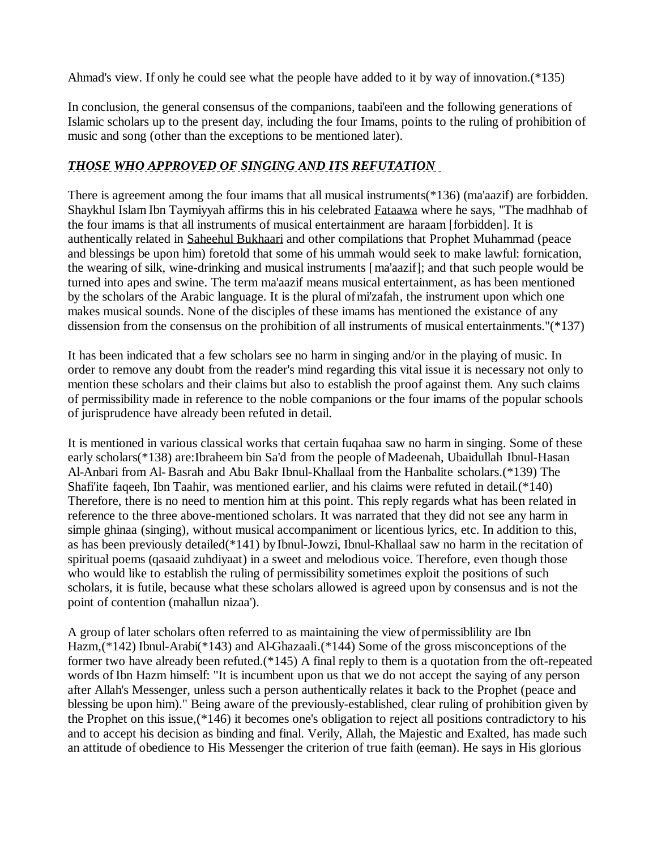Ahmad's view. If only he could see what the people have added to it by way of innovation.(\*135)

In conclusion, the general consensus of the companions, taabi'een and the following generations of Islamic scholars up to the present day, including the four Imams, points to the ruling of prohibition of music and song (other than the exceptions to be mentioned later).

## *THOSE WHO APPROVED OF SINGING AND ITS REFUTATION*

There is agreement among the four imams that all musical instruments(\*136) (ma'aazif) are forbidden. Shaykhul Islam Ibn Taymiyyah affirms this in his celebrated Fataawa where he says, "The madhhab of the four imams is that all instruments of musical entertainment are haraam [forbidden]. It is authentically related in Saheehul Bukhaari and other compilations that Prophet Muhammad (peace and blessings be upon him) foretold that some of his ummah would seek to make lawful: fornication, the wearing of silk, wine-drinking and musical instruments [ma'aazif]; and that such people would be turned into apes and swine. The term ma'aazif means musical entertainment, as has been mentioned by the scholars of the Arabic language. It is the plural ofmi'zafah, the instrument upon which one makes musical sounds. None of the disciples of these imams has mentioned the existance of any dissension from the consensus on the prohibition of all instruments of musical entertainments."(\*137)

It has been indicated that a few scholars see no harm in singing and/or in the playing of music. In order to remove any doubt from the reader's mind regarding this vital issue it is necessary not only to mention these scholars and their claims but also to establish the proof against them. Any such claims of permissibility made in reference to the noble companions or the four imams of the popular schools of jurisprudence have already been refuted in detail.

It is mentioned in various classical works that certain fuqahaa saw no harm in singing. Some of these early scholars(\*138) are:Ibraheem bin Sa'd from the people of Madeenah, Ubaidullah Ibnul-Hasan Al-Anbari from Al- Basrah and Abu Bakr Ibnul-Khallaal from the Hanbalite scholars.(\*139) The Shafi'ite faqeeh, Ibn Taahir, was mentioned earlier, and his claims were refuted in detail.(\*140) Therefore, there is no need to mention him at this point. This reply regards what has been related in reference to the three above-mentioned scholars. It was narrated that they did not see any harm in simple ghinaa (singing), without musical accompaniment or licentious lyrics, etc. In addition to this, as has been previously detailed(\*141) byIbnul-Jowzi, Ibnul-Khallaal saw no harm in the recitation of spiritual poems (qasaaid zuhdiyaat) in a sweet and melodious voice. Therefore, even though those who would like to establish the ruling of permissibility sometimes exploit the positions of such scholars, it is futile, because what these scholars allowed is agreed upon by consensus and is not the point of contention (mahallun nizaa').

A group of later scholars often referred to as maintaining the view ofpermissiblility are Ibn Hazm,(\*142) Ibnul-Arabi(\*143) and Al-Ghazaali.(\*144) Some of the gross misconceptions of the former two have already been refuted.(\*145) A final reply to them is a quotation from the oft-repeated words of Ibn Hazm himself: "It is incumbent upon us that we do not accept the saying of any person after Allah's Messenger, unless such a person authentically relates it back to the Prophet (peace and blessing be upon him)." Being aware of the previously-established, clear ruling of prohibition given by the Prophet on this issue,(\*146) it becomes one's obligation to reject all positions contradictory to his and to accept his decision as binding and final. Verily, Allah, the Majestic and Exalted, has made such an attitude of obedience to His Messenger the criterion of true faith (eeman). He says in His glorious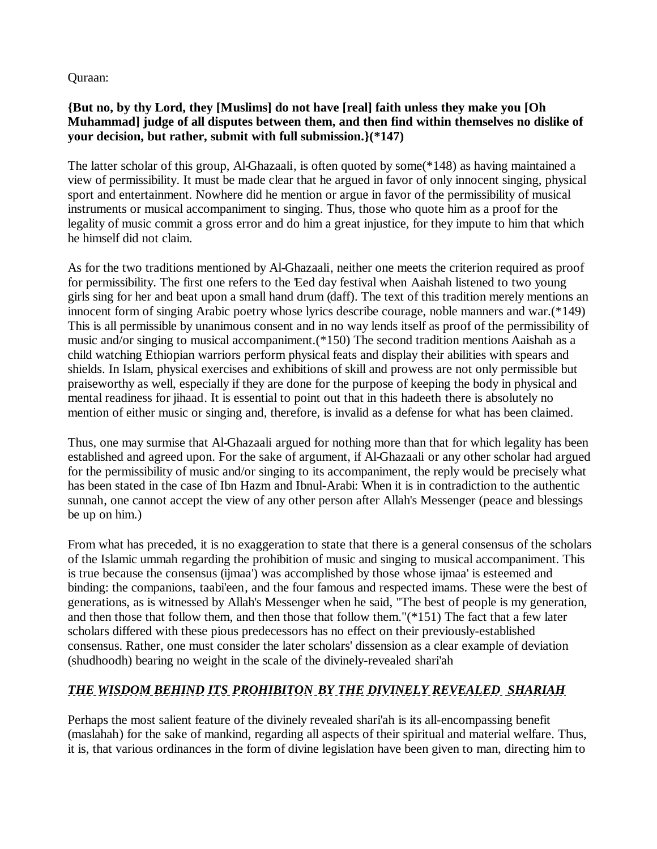Quraan:

#### **{But no, by thy Lord, they [Muslims] do not have [real] faith unless they make you [Oh Muhammad] judge of all disputes between them, and then find within themselves no dislike of your decision, but rather, submit with full submission.}(\*147)**

The latter scholar of this group, Al-Ghazaali, is often quoted by some(\*148) as having maintained a view of permissibility. It must be made clear that he argued in favor of only innocent singing, physical sport and entertainment. Nowhere did he mention or argue in favor of the permissibility of musical instruments or musical accompaniment to singing. Thus, those who quote him as a proof for the legality of music commit a gross error and do him a great injustice, for they impute to him that which he himself did not claim.

As for the two traditions mentioned by Al-Ghazaali, neither one meets the criterion required as proof for permissibility. The first one refers to the 'Eed day festival when Aaishah listened to two young girls sing for her and beat upon a small hand drum (daff). The text of this tradition merely mentions an innocent form of singing Arabic poetry whose lyrics describe courage, noble manners and war.(\*149) This is all permissible by unanimous consent and in no way lends itself as proof of the permissibility of music and/or singing to musical accompaniment.(\*150) The second tradition mentions Aaishah as a child watching Ethiopian warriors perform physical feats and display their abilities with spears and shields. In Islam, physical exercises and exhibitions of skill and prowess are not only permissible but praiseworthy as well, especially if they are done for the purpose of keeping the body in physical and mental readiness for jihaad. It is essential to point out that in this hadeeth there is absolutely no mention of either music or singing and, therefore, is invalid as a defense for what has been claimed.

Thus, one may surmise that Al-Ghazaali argued for nothing more than that for which legality has been established and agreed upon. For the sake of argument, if Al-Ghazaali or any other scholar had argued for the permissibility of music and/or singing to its accompaniment, the reply would be precisely what has been stated in the case of Ibn Hazm and Ibnul-Arabi: When it is in contradiction to the authentic sunnah, one cannot accept the view of any other person after Allah's Messenger (peace and blessings be up on him.)

From what has preceded, it is no exaggeration to state that there is a general consensus of the scholars of the Islamic ummah regarding the prohibition of music and singing to musical accompaniment. This is true because the consensus (ijmaa') was accomplished by those whose ijmaa' is esteemed and binding: the companions, taabi'een, and the four famous and respected imams. These were the best of generations, as is witnessed by Allah's Messenger when he said, "The best of people is my generation, and then those that follow them, and then those that follow them."(\*151) The fact that a few later scholars differed with these pious predecessors has no effect on their previously-established consensus. Rather, one must consider the later scholars' dissension as a clear example of deviation (shudhoodh) bearing no weight in the scale of the divinely-revealed shari'ah

## *THE WISDOM BEHIND ITS PROHIBITON BY THE DIVINELY REVEALED SHARIAH*

Perhaps the most salient feature of the divinely revealed shari'ah is its all-encompassing benefit (maslahah) for the sake of mankind, regarding all aspects of their spiritual and material welfare. Thus, it is, that various ordinances in the form of divine legislation have been given to man, directing him to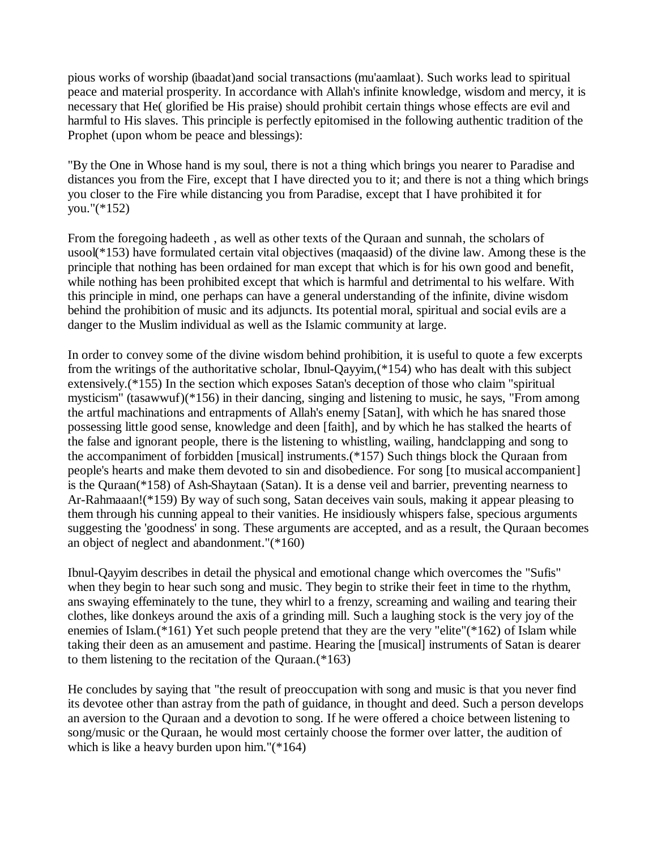pious works of worship (ibaadat)and social transactions (mu'aamlaat). Such works lead to spiritual peace and material prosperity. In accordance with Allah's infinite knowledge, wisdom and mercy, it is necessary that He( glorified be His praise) should prohibit certain things whose effects are evil and harmful to His slaves. This principle is perfectly epitomised in the following authentic tradition of the Prophet (upon whom be peace and blessings):

"By the One in Whose hand is my soul, there is not a thing which brings you nearer to Paradise and distances you from the Fire, except that I have directed you to it; and there is not a thing which brings you closer to the Fire while distancing you from Paradise, except that I have prohibited it for you."(\*152)

From the foregoing hadeeth , as well as other texts of the Quraan and sunnah, the scholars of usool(\*153) have formulated certain vital objectives (maqaasid) of the divine law. Among these is the principle that nothing has been ordained for man except that which is for his own good and benefit, while nothing has been prohibited except that which is harmful and detrimental to his welfare. With this principle in mind, one perhaps can have a general understanding of the infinite, divine wisdom behind the prohibition of music and its adjuncts. Its potential moral, spiritual and social evils are a danger to the Muslim individual as well as the Islamic community at large.

In order to convey some of the divine wisdom behind prohibition, it is useful to quote a few excerpts from the writings of the authoritative scholar, Ibnul-Qayyim,(\*154) who has dealt with this subject extensively.(\*155) In the section which exposes Satan's deception of those who claim "spiritual mysticism" (tasawwuf)(\*156) in their dancing, singing and listening to music, he says, "From among the artful machinations and entrapments of Allah's enemy [Satan], with which he has snared those possessing little good sense, knowledge and deen [faith], and by which he has stalked the hearts of the false and ignorant people, there is the listening to whistling, wailing, handclapping and song to the accompaniment of forbidden [musical] instruments.(\*157) Such things block the Quraan from people's hearts and make them devoted to sin and disobedience. For song [to musical accompanient] is the Quraan(\*158) of Ash-Shaytaan (Satan). It is a dense veil and barrier, preventing nearness to Ar-Rahmaaan!(\*159) By way of such song, Satan deceives vain souls, making it appear pleasing to them through his cunning appeal to their vanities. He insidiously whispers false, specious arguments suggesting the 'goodness' in song. These arguments are accepted, and as a result, the Quraan becomes an object of neglect and abandonment."(\*160)

Ibnul-Qayyim describes in detail the physical and emotional change which overcomes the "Sufis" when they begin to hear such song and music. They begin to strike their feet in time to the rhythm, ans swaying effeminately to the tune, they whirl to a frenzy, screaming and wailing and tearing their clothes, like donkeys around the axis of a grinding mill. Such a laughing stock is the very joy of the enemies of Islam.(\*161) Yet such people pretend that they are the very "elite"(\*162) of Islam while taking their deen as an amusement and pastime. Hearing the [musical] instruments of Satan is dearer to them listening to the recitation of the Quraan.(\*163)

He concludes by saying that "the result of preoccupation with song and music is that you never find its devotee other than astray from the path of guidance, in thought and deed. Such a person develops an aversion to the Quraan and a devotion to song. If he were offered a choice between listening to song/music or the Quraan, he would most certainly choose the former over latter, the audition of which is like a heavy burden upon him."(\*164)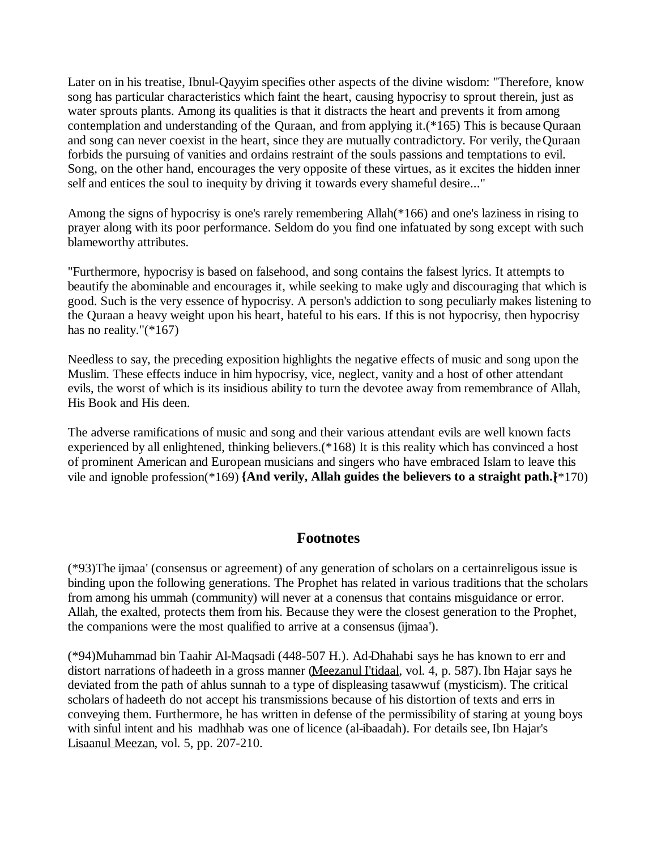Later on in his treatise, Ibnul-Qayyim specifies other aspects of the divine wisdom: "Therefore, know song has particular characteristics which faint the heart, causing hypocrisy to sprout therein, just as water sprouts plants. Among its qualities is that it distracts the heart and prevents it from among contemplation and understanding of the Quraan, and from applying it.(\*165) This is because Quraan and song can never coexist in the heart, since they are mutually contradictory. For verily, theQuraan forbids the pursuing of vanities and ordains restraint of the souls passions and temptations to evil. Song, on the other hand, encourages the very opposite of these virtues, as it excites the hidden inner self and entices the soul to inequity by driving it towards every shameful desire..."

Among the signs of hypocrisy is one's rarely remembering Allah(\*166) and one's laziness in rising to prayer along with its poor performance. Seldom do you find one infatuated by song except with such blameworthy attributes.

"Furthermore, hypocrisy is based on falsehood, and song contains the falsest lyrics. It attempts to beautify the abominable and encourages it, while seeking to make ugly and discouraging that which is good. Such is the very essence of hypocrisy. A person's addiction to song peculiarly makes listening to the Quraan a heavy weight upon his heart, hateful to his ears. If this is not hypocrisy, then hypocrisy has no reality."(\*167)

Needless to say, the preceding exposition highlights the negative effects of music and song upon the Muslim. These effects induce in him hypocrisy, vice, neglect, vanity and a host of other attendant evils, the worst of which is its insidious ability to turn the devotee away from remembrance of Allah, His Book and His deen.

The adverse ramifications of music and song and their various attendant evils are well known facts experienced by all enlightened, thinking believers.(\*168) It is this reality which has convinced a host of prominent American and European musicians and singers who have embraced Islam to leave this vile and ignoble profession(\*169) **{And verily, Allah guides the believers to a straight path.}**(\*170)

## **Footnotes**

(\*93)The ijmaa' (consensus or agreement) of any generation of scholars on a certainreligous issue is binding upon the following generations. The Prophet has related in various traditions that the scholars from among his ummah (community) will never at a conensus that contains misguidance or error. Allah, the exalted, protects them from his. Because they were the closest generation to the Prophet, the companions were the most qualified to arrive at a consensus (ijmaa').

(\*94)Muhammad bin Taahir Al-Maqsadi (448-507 H.). Ad-Dhahabi says he has known to err and distort narrations of hadeeth in a gross manner (Meezanul I'tidaal, vol. 4, p. 587). Ibn Hajar says he deviated from the path of ahlus sunnah to a type of displeasing tasawwuf (mysticism). The critical scholars of hadeeth do not accept his transmissions because of his distortion of texts and errs in conveying them. Furthermore, he has written in defense of the permissibility of staring at young boys with sinful intent and his madhhab was one of licence (al-ibaadah). For details see, Ibn Hajar's Lisaanul Meezan, vol. 5, pp. 207-210.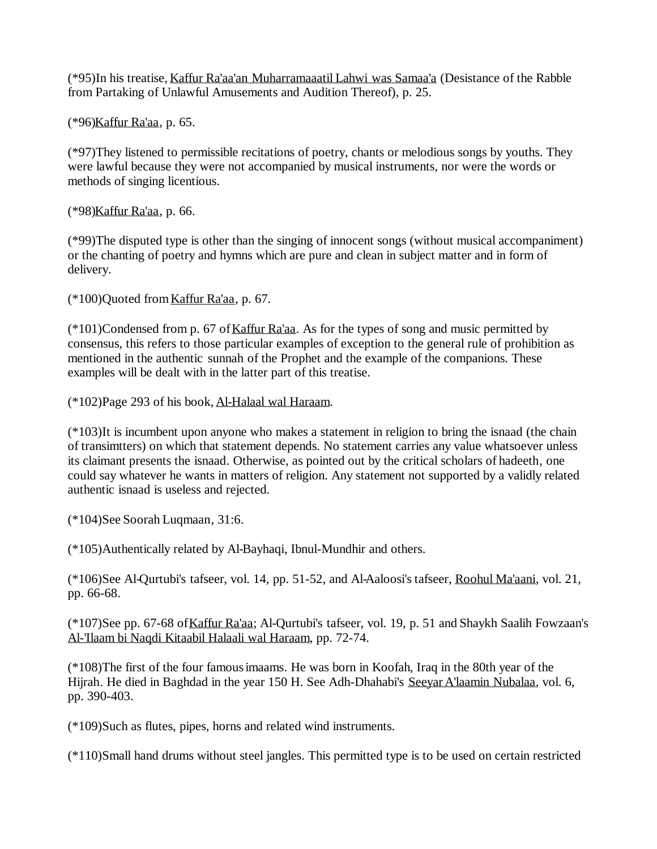(\*95)In his treatise, Kaffur Ra'aa'an Muharramaaatil Lahwi was Samaa'a (Desistance of the Rabble from Partaking of Unlawful Amusements and Audition Thereof), p. 25.

(\*96)Kaffur Ra'aa, p. 65.

(\*97)They listened to permissible recitations of poetry, chants or melodious songs by youths. They were lawful because they were not accompanied by musical instruments, nor were the words or methods of singing licentious.

(\*98)Kaffur Ra'aa, p. 66.

(\*99)The disputed type is other than the singing of innocent songs (without musical accompaniment) or the chanting of poetry and hymns which are pure and clean in subject matter and in form of delivery.

(\*100)Quoted fromKaffur Ra'aa, p. 67.

(\*101)Condensed from p. 67 ofKaffur Ra'aa. As for the types of song and music permitted by consensus, this refers to those particular examples of exception to the general rule of prohibition as mentioned in the authentic sunnah of the Prophet and the example of the companions. These examples will be dealt with in the latter part of this treatise.

(\*102)Page 293 of his book, Al-Halaal wal Haraam.

(\*103)It is incumbent upon anyone who makes a statement in religion to bring the isnaad (the chain of transimtters) on which that statement depends. No statement carries any value whatsoever unless its claimant presents the isnaad. Otherwise, as pointed out by the critical scholars of hadeeth, one could say whatever he wants in matters of religion. Any statement not supported by a validly related authentic isnaad is useless and rejected.

(\*104)See Soorah Luqmaan, 31:6.

(\*105)Authentically related by Al-Bayhaqi, Ibnul-Mundhir and others.

(\*106)See Al-Qurtubi's tafseer, vol. 14, pp. 51-52, and Al-Aaloosi's tafseer, Roohul Ma'aani, vol. 21, pp. 66-68.

(\*107)See pp. 67-68 ofKaffur Ra'aa; Al-Qurtubi's tafseer, vol. 19, p. 51 and Shaykh Saalih Fowzaan's Al-'Ilaam bi Naqdi Kitaabil Halaali wal Haraam, pp. 72-74.

(\*108)The first of the four famousimaams. He was born in Koofah, Iraq in the 80th year of the Hijrah. He died in Baghdad in the year 150 H. See Adh-Dhahabi's Seeyar A'laamin Nubalaa, vol. 6, pp. 390-403.

(\*109)Such as flutes, pipes, horns and related wind instruments.

(\*110)Small hand drums without steel jangles. This permitted type is to be used on certain restricted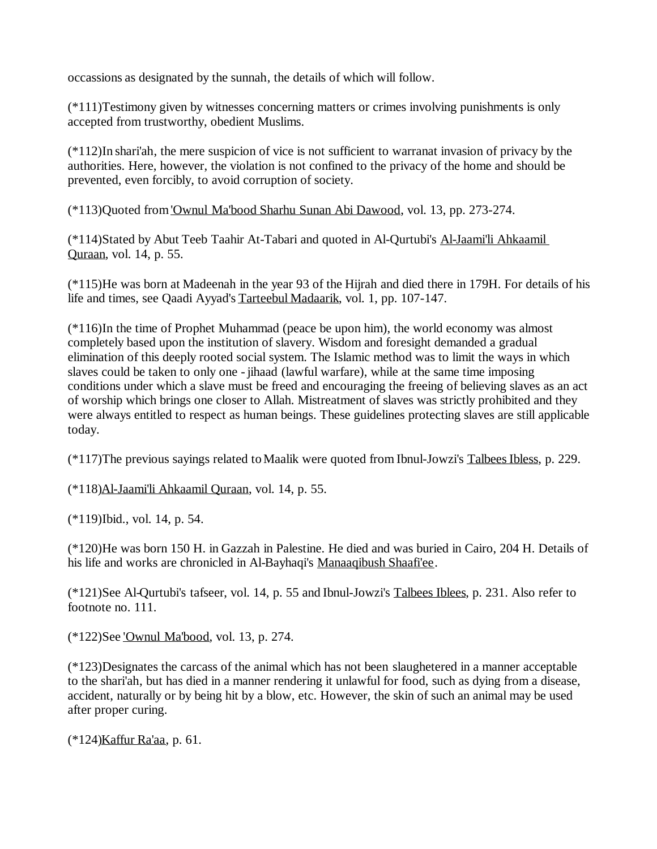occassions as designated by the sunnah, the details of which will follow.

(\*111)Testimony given by witnesses concerning matters or crimes involving punishments is only accepted from trustworthy, obedient Muslims.

(\*112)In shari'ah, the mere suspicion of vice is not sufficient to warranat invasion of privacy by the authorities. Here, however, the violation is not confined to the privacy of the home and should be prevented, even forcibly, to avoid corruption of society.

(\*113)Quoted from 'Ownul Ma'bood Sharhu Sunan Abi Dawood, vol. 13, pp. 273-274.

(\*114)Stated by Abut Teeb Taahir At-Tabari and quoted in Al-Qurtubi's Al-Jaami'li Ahkaamil Quraan, vol. 14, p. 55.

(\*115)He was born at Madeenah in the year 93 of the Hijrah and died there in 179H. For details of his life and times, see Qaadi Ayyad's Tarteebul Madaarik, vol. 1, pp. 107-147.

(\*116)In the time of Prophet Muhammad (peace be upon him), the world economy was almost completely based upon the institution of slavery. Wisdom and foresight demanded a gradual elimination of this deeply rooted social system. The Islamic method was to limit the ways in which slaves could be taken to only one - jihaad (lawful warfare), while at the same time imposing conditions under which a slave must be freed and encouraging the freeing of believing slaves as an act of worship which brings one closer to Allah. Mistreatment of slaves was strictly prohibited and they were always entitled to respect as human beings. These guidelines protecting slaves are still applicable today.

(\*117)The previous sayings related toMaalik were quoted from Ibnul-Jowzi's TalbeesIbless, p. 229.

(\*118)Al-Jaami'li Ahkaamil Quraan, vol. 14, p. 55.

(\*119)Ibid., vol. 14, p. 54.

(\*120)He was born 150 H. in Gazzah in Palestine. He died and was buried in Cairo, 204 H. Details of his life and works are chronicled in Al-Bayhaqi's Manaaqibush Shaafi'ee.

(\*121)See Al-Qurtubi's tafseer, vol. 14, p. 55 and Ibnul-Jowzi's Talbees Iblees, p. 231. Also refer to footnote no. 111.

(\*122)See 'Ownul Ma'bood, vol. 13, p. 274.

(\*123)Designates the carcass of the animal which has not been slaughetered in a manner acceptable to the shari'ah, but has died in a manner rendering it unlawful for food, such as dying from a disease, accident, naturally or by being hit by a blow, etc. However, the skin of such an animal may be used after proper curing.

(\*124)Kaffur Ra'aa, p. 61.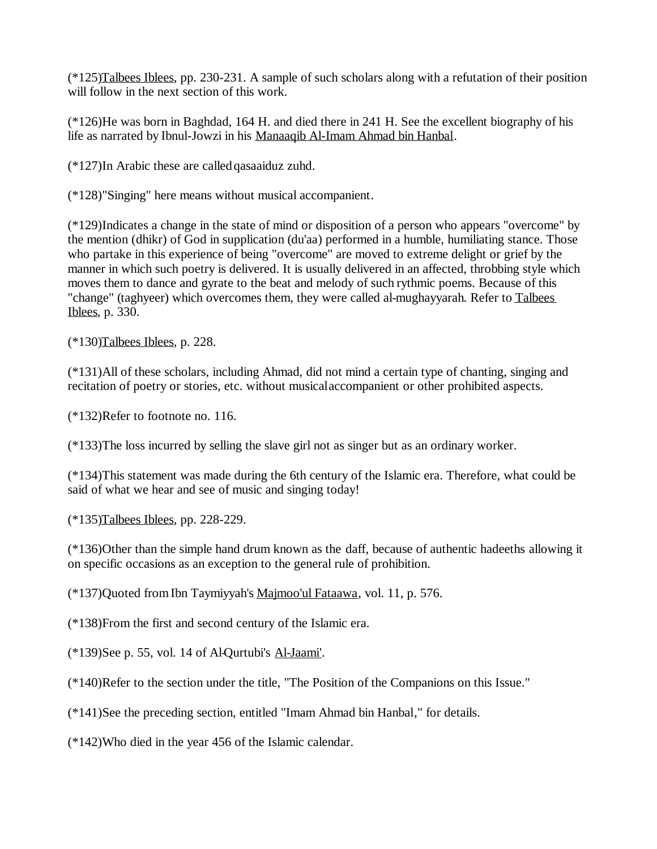(\*125)Talbees Iblees, pp. 230-231. A sample of such scholars along with a refutation of their position will follow in the next section of this work.

(\*126)He was born in Baghdad, 164 H. and died there in 241 H. See the excellent biography of his life as narrated by Ibnul-Jowzi in his Manaaqib Al-Imam Ahmad bin Hanbal.

(\*127)In Arabic these are calledqasaaiduz zuhd.

(\*128)"Singing" here means without musical accompanient.

(\*129)Indicates a change in the state of mind or disposition of a person who appears "overcome" by the mention (dhikr) of God in supplication (du'aa) performed in a humble, humiliating stance. Those who partake in this experience of being "overcome" are moved to extreme delight or grief by the manner in which such poetry is delivered. It is usually delivered in an affected, throbbing style which moves them to dance and gyrate to the beat and melody of such rythmic poems. Because of this "change" (taghyeer) which overcomes them, they were called al-mughayyarah. Refer to Talbees Iblees, p. 330.

 $(*130)$ Talbees Iblees, p. 228.

(\*131)All of these scholars, including Ahmad, did not mind a certain type of chanting, singing and recitation of poetry or stories, etc. without musicalaccompanient or other prohibited aspects.

(\*132)Refer to footnote no. 116.

(\*133)The loss incurred by selling the slave girl not as singer but as an ordinary worker.

(\*134)This statement was made during the 6th century of the Islamic era. Therefore, what could be said of what we hear and see of music and singing today!

 $(*135)$ Talbees Iblees, pp. 228-229.

(\*136)Other than the simple hand drum known as the daff, because of authentic hadeeths allowing it on specific occasions as an exception to the general rule of prohibition.

(\*137)Quoted fromIbn Taymiyyah's Majmoo'ul Fataawa, vol. 11, p. 576.

(\*138)From the first and second century of the Islamic era.

(\*139)See p. 55, vol. 14 of Al-Qurtubi's Al-Jaami'.

(\*140)Refer to the section under the title, "The Position of the Companions on this Issue."

(\*141)See the preceding section, entitled "Imam Ahmad bin Hanbal," for details.

(\*142)Who died in the year 456 of the Islamic calendar.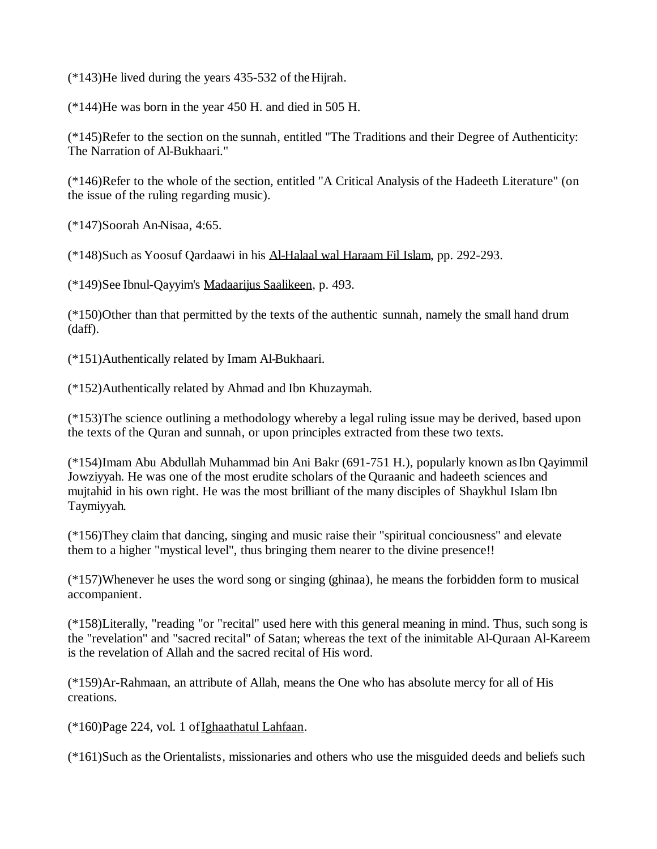(\*143)He lived during the years 435-532 of the Hijrah.

(\*144)He was born in the year 450 H. and died in 505 H.

(\*145)Refer to the section on the sunnah, entitled "The Traditions and their Degree of Authenticity: The Narration of Al-Bukhaari."

(\*146)Refer to the whole of the section, entitled "A Critical Analysis of the Hadeeth Literature" (on the issue of the ruling regarding music).

(\*147)Soorah An-Nisaa, 4:65.

(\*148)Such as Yoosuf Qardaawi in his Al-Halaal wal Haraam Fil Islam, pp. 292-293.

(\*149)See Ibnul-Qayyim's Madaarijus Saalikeen, p. 493.

(\*150)Other than that permitted by the texts of the authentic sunnah, namely the small hand drum (daff).

(\*151)Authentically related by Imam Al-Bukhaari.

(\*152)Authentically related by Ahmad and Ibn Khuzaymah.

(\*153)The science outlining a methodology whereby a legal ruling issue may be derived, based upon the texts of the Quran and sunnah, or upon principles extracted from these two texts.

(\*154)Imam Abu Abdullah Muhammad bin Ani Bakr (691-751 H.), popularly known asIbn Qayimmil Jowziyyah. He was one of the most erudite scholars of the Quraanic and hadeeth sciences and mujtahid in his own right. He was the most brilliant of the many disciples of Shaykhul Islam Ibn Taymiyyah.

(\*156)They claim that dancing, singing and music raise their "spiritual conciousness" and elevate them to a higher "mystical level", thus bringing them nearer to the divine presence!!

(\*157)Whenever he uses the word song or singing (ghinaa), he means the forbidden form to musical accompanient.

(\*158)Literally, "reading "or "recital" used here with this general meaning in mind. Thus, such song is the "revelation" and "sacred recital" of Satan; whereas the text of the inimitable Al-Quraan Al-Kareem is the revelation of Allah and the sacred recital of His word.

(\*159)Ar-Rahmaan, an attribute of Allah, means the One who has absolute mercy for all of His creations.

(\*160)Page 224, vol. 1 ofIghaathatul Lahfaan.

(\*161)Such as the Orientalists, missionaries and others who use the misguided deeds and beliefs such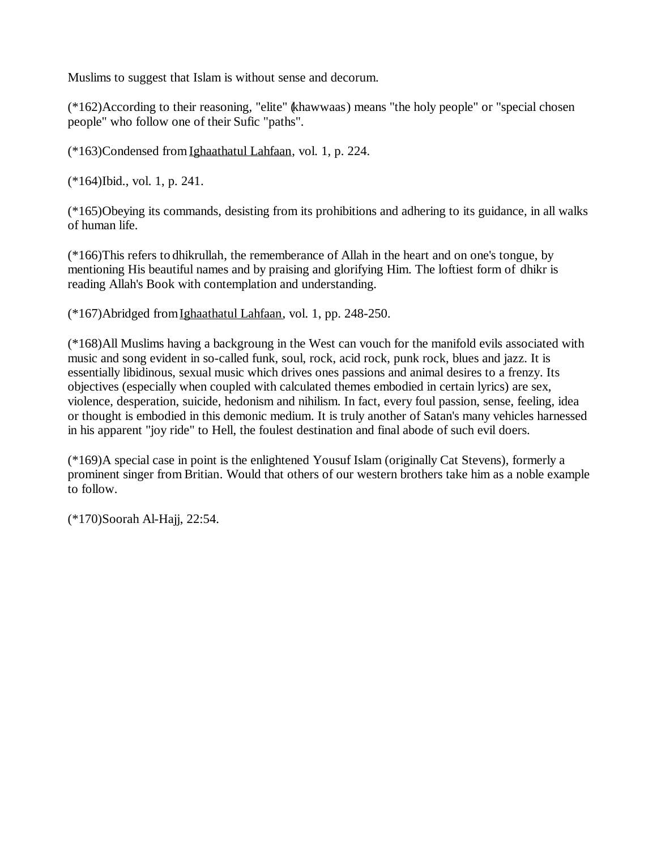Muslims to suggest that Islam is without sense and decorum.

(\*162)According to their reasoning, "elite" (khawwaas) means "the holy people" or "special chosen people" who follow one of their Sufic "paths".

(\*163)Condensed fromIghaathatul Lahfaan, vol. 1, p. 224.

(\*164)Ibid., vol. 1, p. 241.

(\*165)Obeying its commands, desisting from its prohibitions and adhering to its guidance, in all walks of human life.

(\*166)This refers to dhikrullah, the rememberance of Allah in the heart and on one's tongue, by mentioning His beautiful names and by praising and glorifying Him. The loftiest form of dhikr is reading Allah's Book with contemplation and understanding.

(\*167)Abridged fromIghaathatul Lahfaan, vol. 1, pp. 248-250.

(\*168)All Muslims having a backgroung in the West can vouch for the manifold evils associated with music and song evident in so-called funk, soul, rock, acid rock, punk rock, blues and jazz. It is essentially libidinous, sexual music which drives ones passions and animal desires to a frenzy. Its objectives (especially when coupled with calculated themes embodied in certain lyrics) are sex, violence, desperation, suicide, hedonism and nihilism. In fact, every foul passion, sense, feeling, idea or thought is embodied in this demonic medium. It is truly another of Satan's many vehicles harnessed in his apparent "joy ride" to Hell, the foulest destination and final abode of such evil doers.

(\*169)A special case in point is the enlightened Yousuf Islam (originally Cat Stevens), formerly a prominent singer from Britian. Would that others of our western brothers take him as a noble example to follow.

(\*170)Soorah Al-Hajj, 22:54.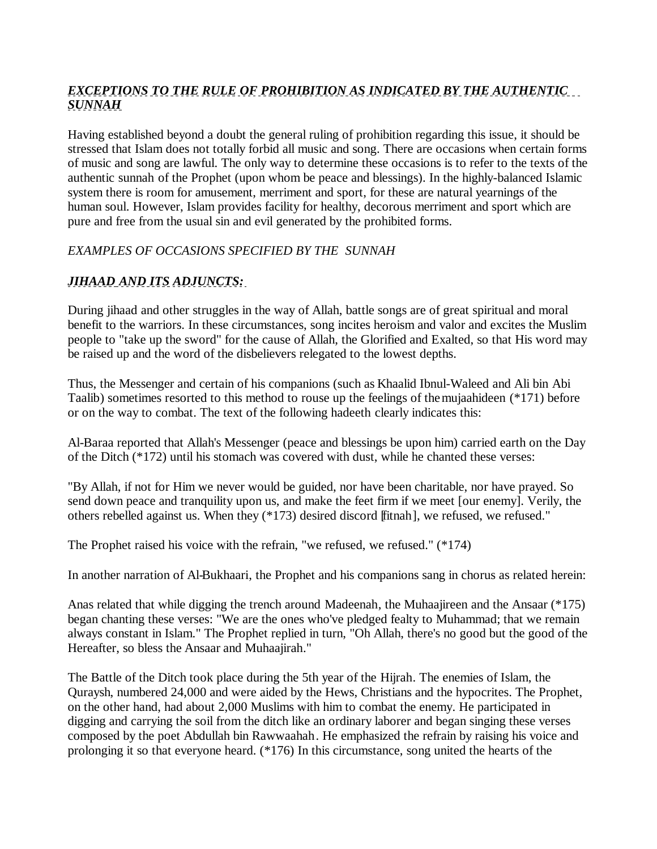#### *EXCEPTIONS TO THE RULE OF PROHIBITION AS INDICATED BY THE AUTHENTIC SUNNAH*

Having established beyond a doubt the general ruling of prohibition regarding this issue, it should be stressed that Islam does not totally forbid all music and song. There are occasions when certain forms of music and song are lawful. The only way to determine these occasions is to refer to the texts of the authentic sunnah of the Prophet (upon whom be peace and blessings). In the highly-balanced Islamic system there is room for amusement, merriment and sport, for these are natural yearnings of the human soul. However, Islam provides facility for healthy, decorous merriment and sport which are pure and free from the usual sin and evil generated by the prohibited forms.

#### *EXAMPLES OF OCCASIONS SPECIFIED BY THE SUNNAH*

## *JIHAAD AND ITS ADJUNCTS:*

During jihaad and other struggles in the way of Allah, battle songs are of great spiritual and moral benefit to the warriors. In these circumstances, song incites heroism and valor and excites the Muslim people to "take up the sword" for the cause of Allah, the Glorified and Exalted, so that His word may be raised up and the word of the disbelievers relegated to the lowest depths.

Thus, the Messenger and certain of his companions (such as Khaalid Ibnul-Waleed and Ali bin Abi Taalib) sometimes resorted to this method to rouse up the feelings of themujaahideen (\*171) before or on the way to combat. The text of the following hadeeth clearly indicates this:

Al-Baraa reported that Allah's Messenger (peace and blessings be upon him) carried earth on the Day of the Ditch (\*172) until his stomach was covered with dust, while he chanted these verses:

"By Allah, if not for Him we never would be guided, nor have been charitable, nor have prayed. So send down peace and tranquility upon us, and make the feet firm if we meet [our enemy]. Verily, the others rebelled against us. When they (\*173) desired discord [fitnah], we refused, we refused."

The Prophet raised his voice with the refrain, "we refused, we refused." (\*174)

In another narration of Al-Bukhaari, the Prophet and his companions sang in chorus as related herein:

Anas related that while digging the trench around Madeenah, the Muhaajireen and the Ansaar (\*175) began chanting these verses: "We are the ones who've pledged fealty to Muhammad; that we remain always constant in Islam." The Prophet replied in turn, "Oh Allah, there's no good but the good of the Hereafter, so bless the Ansaar and Muhaajirah."

The Battle of the Ditch took place during the 5th year of the Hijrah. The enemies of Islam, the Quraysh, numbered 24,000 and were aided by the Hews, Christians and the hypocrites. The Prophet, on the other hand, had about 2,000 Muslims with him to combat the enemy. He participated in digging and carrying the soil from the ditch like an ordinary laborer and began singing these verses composed by the poet Abdullah bin Rawwaahah. He emphasized the refrain by raising his voice and prolonging it so that everyone heard. (\*176) In this circumstance, song united the hearts of the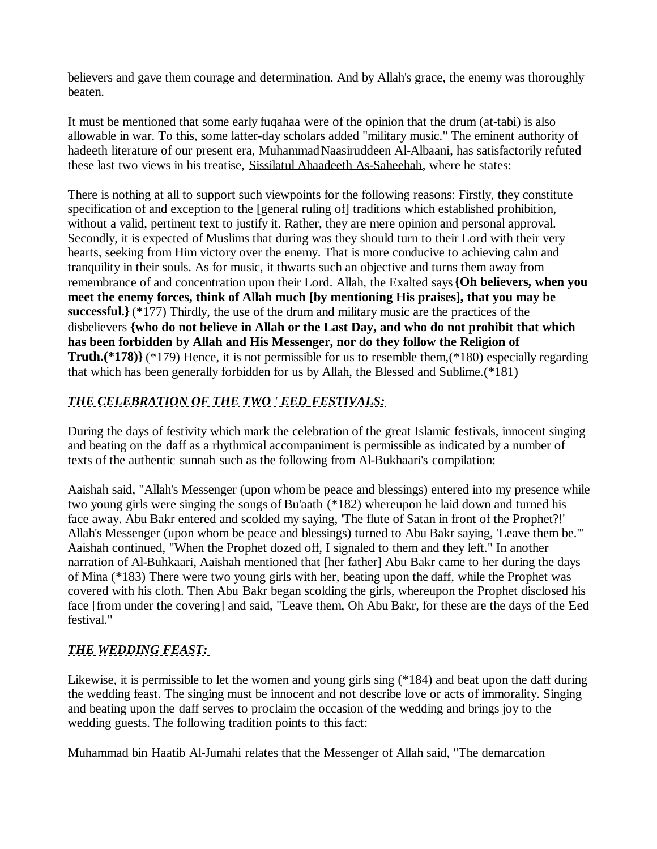believers and gave them courage and determination. And by Allah's grace, the enemy was thoroughly beaten.

It must be mentioned that some early fuqahaa were of the opinion that the drum (at-tabi) is also allowable in war. To this, some latter-day scholars added "military music." The eminent authority of hadeeth literature of our present era, Muhammad Naasiruddeen Al-Albaani, has satisfactorily refuted these last two views in his treatise, Sissilatul Ahaadeeth As-Saheehah, where he states:

There is nothing at all to support such viewpoints for the following reasons: Firstly, they constitute specification of and exception to the [general ruling of] traditions which established prohibition, without a valid, pertinent text to justify it. Rather, they are mere opinion and personal approval. Secondly, it is expected of Muslims that during was they should turn to their Lord with their very hearts, seeking from Him victory over the enemy. That is more conducive to achieving calm and tranquility in their souls. As for music, it thwarts such an objective and turns them away from remembrance of and concentration upon their Lord. Allah, the Exalted says **{Oh believers, when you meet the enemy forces, think of Allah much [by mentioning His praises], that you may be successful.}** (\*177) Thirdly, the use of the drum and military music are the practices of the disbelievers **{who do not believe in Allah or the Last Day, and who do not prohibit that which has been forbidden by Allah and His Messenger, nor do they follow the Religion of Truth.(\*178)}** (\*179) Hence, it is not permissible for us to resemble them,(\*180) especially regarding that which has been generally forbidden for us by Allah, the Blessed and Sublime.(\*181)

## *THE CELEBRATION OF THE TWO ' EED FESTIVALS:*

During the days of festivity which mark the celebration of the great Islamic festivals, innocent singing and beating on the daff as a rhythmical accompaniment is permissible as indicated by a number of texts of the authentic sunnah such as the following from Al-Bukhaari's compilation:

Aaishah said, "Allah's Messenger (upon whom be peace and blessings) entered into my presence while two young girls were singing the songs of Bu'aath (\*182) whereupon he laid down and turned his face away. Abu Bakr entered and scolded my saying, 'The flute of Satan in front of the Prophet?!' Allah's Messenger (upon whom be peace and blessings) turned to Abu Bakr saying, 'Leave them be.'" Aaishah continued, "When the Prophet dozed off, I signaled to them and they left." In another narration of Al-Buhkaari, Aaishah mentioned that [her father] Abu Bakr came to her during the days of Mina (\*183) There were two young girls with her, beating upon the daff, while the Prophet was covered with his cloth. Then Abu Bakr began scolding the girls, whereupon the Prophet disclosed his face [from under the covering] and said, "Leave them, Oh Abu Bakr, for these are the days of the 'Eed festival."

## *THE WEDDING FEAST:*

Likewise, it is permissible to let the women and young girls sing (\*184) and beat upon the daff during the wedding feast. The singing must be innocent and not describe love or acts of immorality. Singing and beating upon the daff serves to proclaim the occasion of the wedding and brings joy to the wedding guests. The following tradition points to this fact:

Muhammad bin Haatib Al-Jumahi relates that the Messenger of Allah said, "The demarcation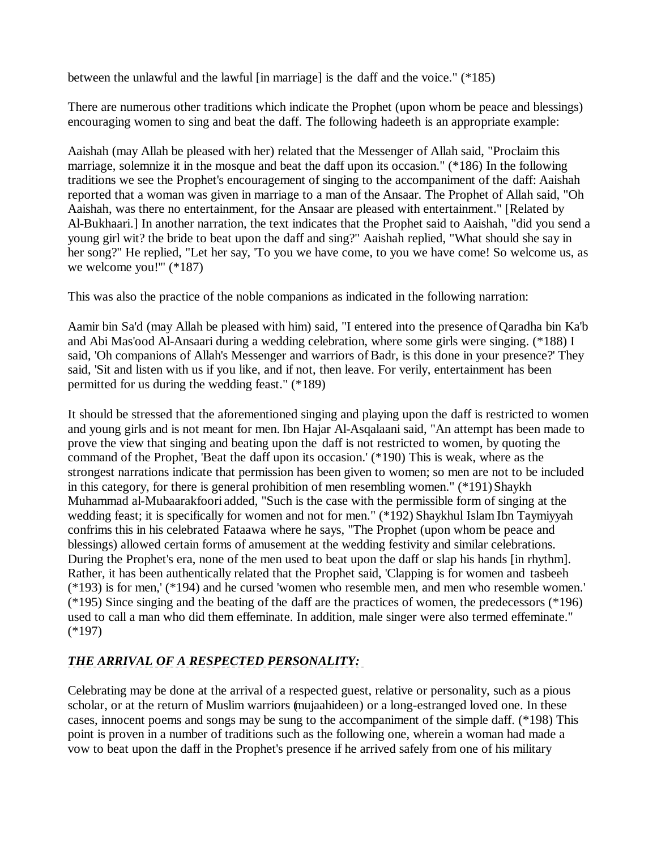between the unlawful and the lawful [in marriage] is the daff and the voice." (\*185)

There are numerous other traditions which indicate the Prophet (upon whom be peace and blessings) encouraging women to sing and beat the daff. The following hadeeth is an appropriate example:

Aaishah (may Allah be pleased with her) related that the Messenger of Allah said, "Proclaim this marriage, solemnize it in the mosque and beat the daff upon its occasion." (\*186) In the following traditions we see the Prophet's encouragement of singing to the accompaniment of the daff: Aaishah reported that a woman was given in marriage to a man of the Ansaar. The Prophet of Allah said, "Oh Aaishah, was there no entertainment, for the Ansaar are pleased with entertainment." [Related by Al-Bukhaari.] In another narration, the text indicates that the Prophet said to Aaishah, "did you send a young girl wit? the bride to beat upon the daff and sing?" Aaishah replied, "What should she say in her song?" He replied, "Let her say, 'To you we have come, to you we have come! So welcome us, as we welcome you!'" (\*187)

This was also the practice of the noble companions as indicated in the following narration:

Aamir bin Sa'd (may Allah be pleased with him) said, "I entered into the presence ofQaradha bin Ka'b and Abi Mas'ood Al-Ansaari during a wedding celebration, where some girls were singing. (\*188) I said, 'Oh companions of Allah's Messenger and warriors of Badr, is this done in your presence?' They said, 'Sit and listen with us if you like, and if not, then leave. For verily, entertainment has been permitted for us during the wedding feast." (\*189)

It should be stressed that the aforementioned singing and playing upon the daff is restricted to women and young girls and is not meant for men. Ibn Hajar Al-Asqalaani said, "An attempt has been made to prove the view that singing and beating upon the daff is not restricted to women, by quoting the command of the Prophet, 'Beat the daff upon its occasion.' (\*190) This is weak, where as the strongest narrations indicate that permission has been given to women; so men are not to be included in this category, for there is general prohibition of men resembling women." (\*191)Shaykh Muhammad al-Mubaarakfoori added, "Such is the case with the permissible form of singing at the wedding feast; it is specifically for women and not for men." (\*192) Shaykhul Islam Ibn Taymiyyah confrims this in his celebrated Fataawa where he says, "The Prophet (upon whom be peace and blessings) allowed certain forms of amusement at the wedding festivity and similar celebrations. During the Prophet's era, none of the men used to beat upon the daff or slap his hands [in rhythm]. Rather, it has been authentically related that the Prophet said, 'Clapping is for women and tasbeeh (\*193) is for men,' (\*194) and he cursed 'women who resemble men, and men who resemble women.' (\*195) Since singing and the beating of the daff are the practices of women, the predecessors (\*196) used to call a man who did them effeminate. In addition, male singer were also termed effeminate." (\*197)

## *THE ARRIVAL OF A RESPECTED PERSONALITY:*

Celebrating may be done at the arrival of a respected guest, relative or personality, such as a pious scholar, or at the return of Muslim warriors (mujaahideen) or a long-estranged loved one. In these cases, innocent poems and songs may be sung to the accompaniment of the simple daff. (\*198) This point is proven in a number of traditions such as the following one, wherein a woman had made a vow to beat upon the daff in the Prophet's presence if he arrived safely from one of his military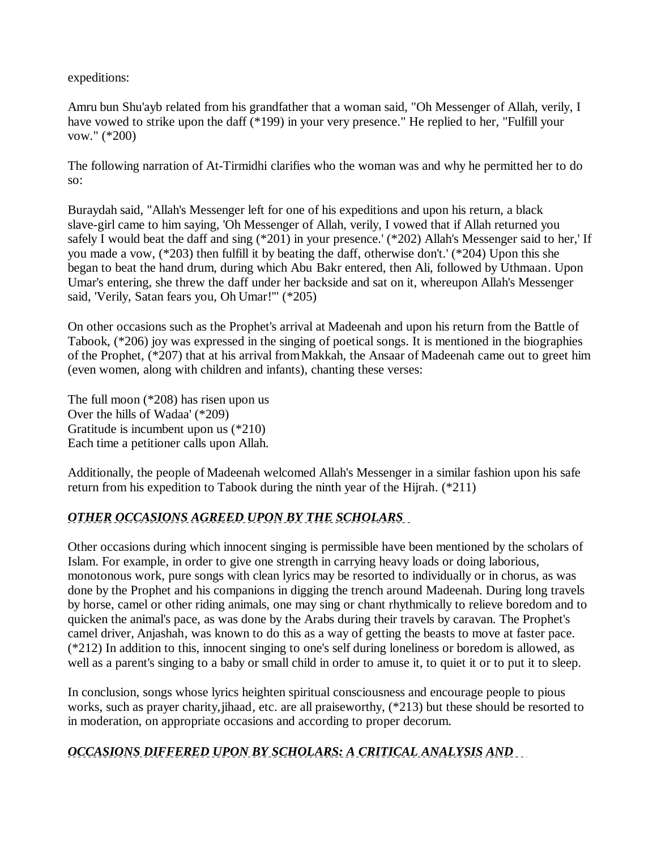expeditions:

Amru bun Shu'ayb related from his grandfather that a woman said, "Oh Messenger of Allah, verily, I have vowed to strike upon the daff (\*199) in your very presence." He replied to her, "Fulfill your vow." (\*200)

The following narration of At-Tirmidhi clarifies who the woman was and why he permitted her to do so:

Buraydah said, "Allah's Messenger left for one of his expeditions and upon his return, a black slave-girl came to him saying, 'Oh Messenger of Allah, verily, I vowed that if Allah returned you safely I would beat the daff and sing (\*201) in your presence.' (\*202) Allah's Messenger said to her,' If you made a vow, (\*203) then fulfill it by beating the daff, otherwise don't.' (\*204) Upon this she began to beat the hand drum, during which Abu Bakr entered, then Ali, followed by Uthmaan. Upon Umar's entering, she threw the daff under her backside and sat on it, whereupon Allah's Messenger said, 'Verily, Satan fears you, Oh Umar!'" (\*205)

On other occasions such as the Prophet's arrival at Madeenah and upon his return from the Battle of Tabook, (\*206) joy was expressed in the singing of poetical songs. It is mentioned in the biographies of the Prophet, (\*207) that at his arrival fromMakkah, the Ansaar of Madeenah came out to greet him (even women, along with children and infants), chanting these verses:

The full moon (\*208) has risen upon us Over the hills of Wadaa' (\*209) Gratitude is incumbent upon us (\*210) Each time a petitioner calls upon Allah.

Additionally, the people of Madeenah welcomed Allah's Messenger in a similar fashion upon his safe return from his expedition to Tabook during the ninth year of the Hijrah. (\*211)

## *OTHER OCCASIONS AGREED UPON BY THE SCHOLARS*

Other occasions during which innocent singing is permissible have been mentioned by the scholars of Islam. For example, in order to give one strength in carrying heavy loads or doing laborious, monotonous work, pure songs with clean lyrics may be resorted to individually or in chorus, as was done by the Prophet and his companions in digging the trench around Madeenah. During long travels by horse, camel or other riding animals, one may sing or chant rhythmically to relieve boredom and to quicken the animal's pace, as was done by the Arabs during their travels by caravan. The Prophet's camel driver, Anjashah, was known to do this as a way of getting the beasts to move at faster pace. (\*212) In addition to this, innocent singing to one's self during loneliness or boredom is allowed, as well as a parent's singing to a baby or small child in order to amuse it, to quiet it or to put it to sleep.

In conclusion, songs whose lyrics heighten spiritual consciousness and encourage people to pious works, such as prayer charity,jihaad, etc. are all praiseworthy, (\*213) but these should be resorted to in moderation, on appropriate occasions and according to proper decorum.

*OCCASIONS DIFFERED UPON BY SCHOLARS: A CRITICAL ANALYSIS AND*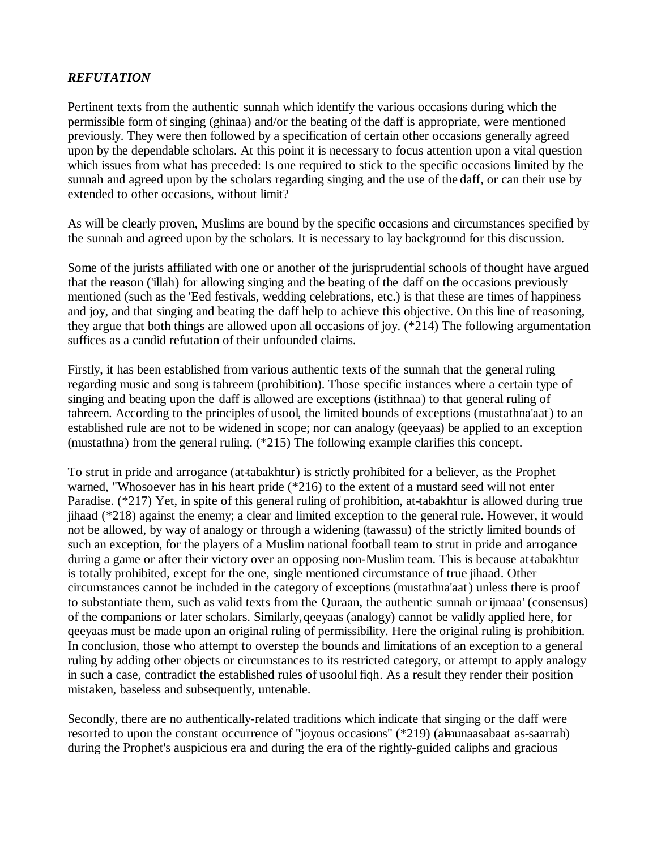## *REFUTATION*

Pertinent texts from the authentic sunnah which identify the various occasions during which the permissible form of singing (ghinaa) and/or the beating of the daff is appropriate, were mentioned previously. They were then followed by a specification of certain other occasions generally agreed upon by the dependable scholars. At this point it is necessary to focus attention upon a vital question which issues from what has preceded: Is one required to stick to the specific occasions limited by the sunnah and agreed upon by the scholars regarding singing and the use of the daff, or can their use by extended to other occasions, without limit?

As will be clearly proven, Muslims are bound by the specific occasions and circumstances specified by the sunnah and agreed upon by the scholars. It is necessary to lay background for this discussion.

Some of the jurists affiliated with one or another of the jurisprudential schools of thought have argued that the reason ('illah) for allowing singing and the beating of the daff on the occasions previously mentioned (such as the 'Eed festivals, wedding celebrations, etc.) is that these are times of happiness and joy, and that singing and beating the daff help to achieve this objective. On this line of reasoning, they argue that both things are allowed upon all occasions of joy. (\*214) The following argumentation suffices as a candid refutation of their unfounded claims.

Firstly, it has been established from various authentic texts of the sunnah that the general ruling regarding music and song istahreem (prohibition). Those specific instances where a certain type of singing and beating upon the daff is allowed are exceptions (istithnaa) to that general ruling of tahreem. According to the principles of usool, the limited bounds of exceptions (mustathna'aat) to an established rule are not to be widened in scope; nor can analogy (qeeyaas) be applied to an exception (mustathna) from the general ruling. (\*215) The following example clarifies this concept.

To strut in pride and arrogance (at-tabakhtur) is strictly prohibited for a believer, as the Prophet warned, "Whosoever has in his heart pride (\*216) to the extent of a mustard seed will not enter Paradise. (\*217) Yet, in spite of this general ruling of prohibition, at-tabakhtur is allowed during true jihaad (\*218) against the enemy; a clear and limited exception to the general rule. However, it would not be allowed, by way of analogy or through a widening (tawassu) of the strictly limited bounds of such an exception, for the players of a Muslim national football team to strut in pride and arrogance during a game or after their victory over an opposing non-Muslim team. This is because attabakhtur is totally prohibited, except for the one, single mentioned circumstance of true jihaad. Other circumstances cannot be included in the category of exceptions (mustathna'aat) unless there is proof to substantiate them, such as valid texts from the Quraan, the authentic sunnah or ijmaaa' (consensus) of the companions or later scholars. Similarly,qeeyaas (analogy) cannot be validly applied here, for qeeyaas must be made upon an original ruling of permissibility. Here the original ruling is prohibition. In conclusion, those who attempt to overstep the bounds and limitations of an exception to a general ruling by adding other objects or circumstances to its restricted category, or attempt to apply analogy in such a case, contradict the established rules of usoolul fiqh. As a result they render their position mistaken, baseless and subsequently, untenable.

Secondly, there are no authentically-related traditions which indicate that singing or the daff were resorted to upon the constant occurrence of "joyous occasions"  $(*219)$  (almunaasabaat as-saarrah) during the Prophet's auspicious era and during the era of the rightly-guided caliphs and gracious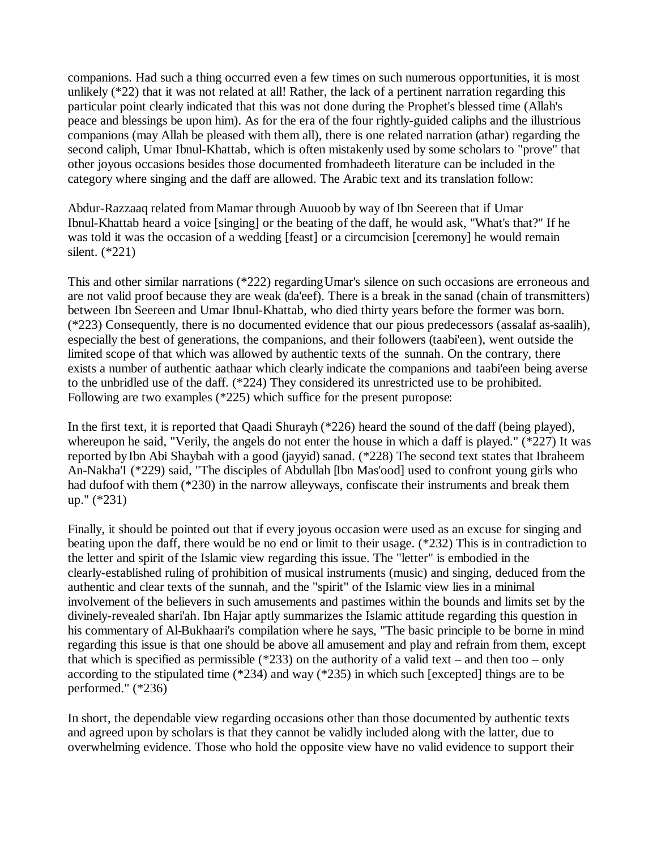companions. Had such a thing occurred even a few times on such numerous opportunities, it is most unlikely  $(*22)$  that it was not related at all! Rather, the lack of a pertinent narration regarding this particular point clearly indicated that this was not done during the Prophet's blessed time (Allah's peace and blessings be upon him). As for the era of the four rightly-guided caliphs and the illustrious companions (may Allah be pleased with them all), there is one related narration (athar) regarding the second caliph, Umar Ibnul-Khattab, which is often mistakenly used by some scholars to "prove" that other joyous occasions besides those documented fromhadeeth literature can be included in the category where singing and the daff are allowed. The Arabic text and its translation follow:

Abdur-Razzaaq related from Mamar through Auuoob by way of Ibn Seereen that if Umar Ibnul-Khattab heard a voice [singing] or the beating of the daff, he would ask, "What's that?" If he was told it was the occasion of a wedding [feast] or a circumcision [ceremony] he would remain silent. (\*221)

This and other similar narrations (\*222) regardingUmar's silence on such occasions are erroneous and are not valid proof because they are weak (da'eef). There is a break in the sanad (chain of transmitters) between Ibn Seereen and Umar Ibnul-Khattab, who died thirty years before the former was born.  $(*223)$  Consequently, there is no documented evidence that our pious predecessors (assalaf as-saalih), especially the best of generations, the companions, and their followers (taabi'een), went outside the limited scope of that which was allowed by authentic texts of the sunnah. On the contrary, there exists a number of authentic aathaar which clearly indicate the companions and taabi'een being averse to the unbridled use of the daff. (\*224) They considered its unrestricted use to be prohibited. Following are two examples (\*225) which suffice for the present puropose:

In the first text, it is reported that Qaadi Shurayh (\*226) heard the sound of the daff (being played), whereupon he said, "Verily, the angels do not enter the house in which a daff is played." (\*227) It was reported byIbn Abi Shaybah with a good (jayyid) sanad. (\*228) The second text states that Ibraheem An-Nakha'I (\*229) said, "The disciples of Abdullah [Ibn Mas'ood] used to confront young girls who had dufoof with them (\*230) in the narrow alleyways, confiscate their instruments and break them up." (\*231)

Finally, it should be pointed out that if every joyous occasion were used as an excuse for singing and beating upon the daff, there would be no end or limit to their usage. (\*232) This is in contradiction to the letter and spirit of the Islamic view regarding this issue. The "letter" is embodied in the clearly-established ruling of prohibition of musical instruments (music) and singing, deduced from the authentic and clear texts of the sunnah, and the "spirit" of the Islamic view lies in a minimal involvement of the believers in such amusements and pastimes within the bounds and limits set by the divinely-revealed shari'ah. Ibn Hajar aptly summarizes the Islamic attitude regarding this question in his commentary of Al-Bukhaari's compilation where he says, "The basic principle to be borne in mind regarding this issue is that one should be above all amusement and play and refrain from them, except that which is specified as permissible (\*233) on the authority of a valid text – and then too – only according to the stipulated time (\*234) and way (\*235) in which such [excepted] things are to be performed." (\*236)

In short, the dependable view regarding occasions other than those documented by authentic texts and agreed upon by scholars is that they cannot be validly included along with the latter, due to overwhelming evidence. Those who hold the opposite view have no valid evidence to support their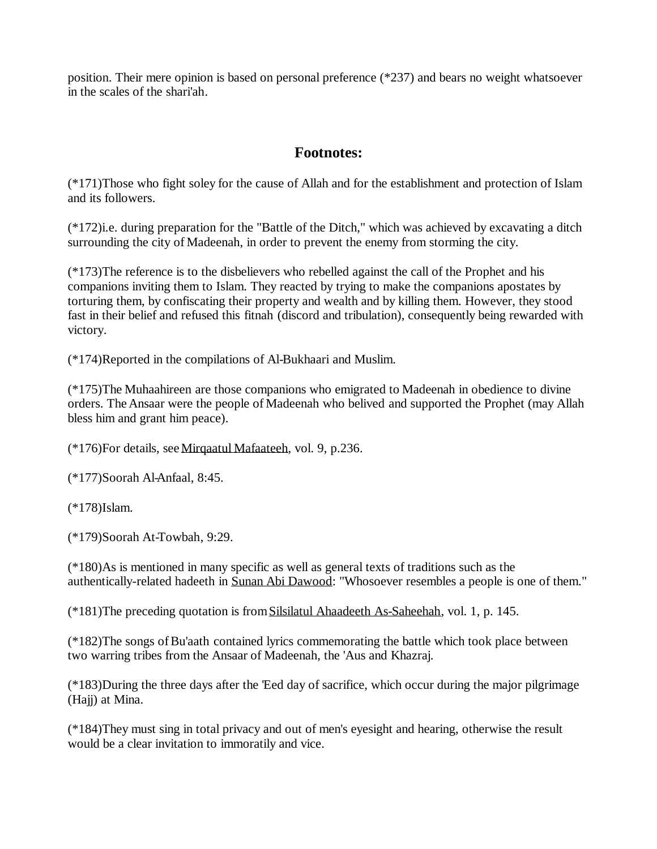position. Their mere opinion is based on personal preference (\*237) and bears no weight whatsoever in the scales of the shari'ah.

## **Footnotes:**

(\*171)Those who fight soley for the cause of Allah and for the establishment and protection of Islam and its followers.

(\*172)i.e. during preparation for the "Battle of the Ditch," which was achieved by excavating a ditch surrounding the city of Madeenah, in order to prevent the enemy from storming the city.

(\*173)The reference is to the disbelievers who rebelled against the call of the Prophet and his companions inviting them to Islam. They reacted by trying to make the companions apostates by torturing them, by confiscating their property and wealth and by killing them. However, they stood fast in their belief and refused this fitnah (discord and tribulation), consequently being rewarded with victory.

(\*174)Reported in the compilations of Al-Bukhaari and Muslim.

(\*175)The Muhaahireen are those companions who emigrated to Madeenah in obedience to divine orders. The Ansaar were the people of Madeenah who belived and supported the Prophet (may Allah bless him and grant him peace).

(\*176)For details, seeMirqaatul Mafaateeh, vol. 9, p.236.

(\*177)Soorah Al-Anfaal, 8:45.

(\*178)Islam.

(\*179)Soorah At-Towbah, 9:29.

(\*180)As is mentioned in many specific as well as general texts of traditions such as the authentically-related hadeeth in Sunan Abi Dawood: "Whosoever resembles a people is one of them."

(\*181)The preceding quotation is fromSilsilatul Ahaadeeth As-Saheehah, vol. 1, p. 145.

(\*182)The songs ofBu'aath contained lyrics commemorating the battle which took place between two warring tribes from the Ansaar of Madeenah, the 'Aus and Khazraj.

(\*183)During the three days after the 'Eed day of sacrifice, which occur during the major pilgrimage (Hajj) at Mina.

(\*184)They must sing in total privacy and out of men's eyesight and hearing, otherwise the result would be a clear invitation to immoratily and vice.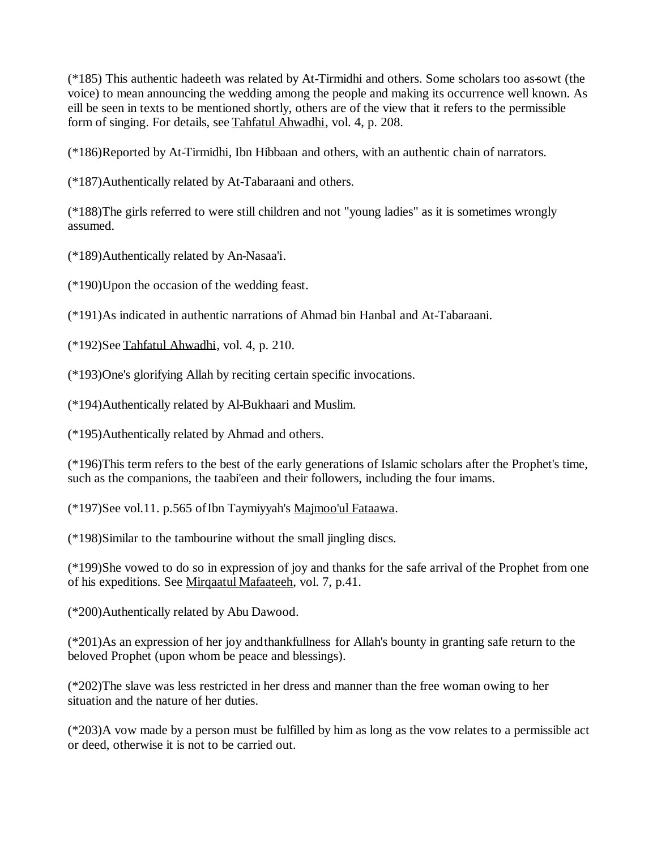(\*185) This authentic hadeeth was related by At-Tirmidhi and others. Some scholars too as-sowt (the voice) to mean announcing the wedding among the people and making its occurrence well known. As eill be seen in texts to be mentioned shortly, others are of the view that it refers to the permissible form of singing. For details, see Tahfatul Ahwadhi, vol. 4, p. 208.

(\*186)Reported by At-Tirmidhi, Ibn Hibbaan and others, with an authentic chain of narrators.

(\*187)Authentically related by At-Tabaraani and others.

(\*188)The girls referred to were still children and not "young ladies" as it is sometimes wrongly assumed.

(\*189)Authentically related by An-Nasaa'i.

(\*190)Upon the occasion of the wedding feast.

(\*191)As indicated in authentic narrations of Ahmad bin Hanbal and At-Tabaraani.

(\*192)See Tahfatul Ahwadhi, vol. 4, p. 210.

(\*193)One's glorifying Allah by reciting certain specific invocations.

(\*194)Authentically related by Al-Bukhaari and Muslim.

(\*195)Authentically related by Ahmad and others.

(\*196)This term refers to the best of the early generations of Islamic scholars after the Prophet's time, such as the companions, the taabi'een and their followers, including the four imams.

(\*197)See vol.11. p.565 ofIbn Taymiyyah's Majmoo'ul Fataawa.

(\*198)Similar to the tambourine without the small jingling discs.

(\*199)She vowed to do so in expression of joy and thanks for the safe arrival of the Prophet from one of his expeditions. See Mirqaatul Mafaateeh, vol. 7, p.41.

(\*200)Authentically related by Abu Dawood.

(\*201)As an expression of her joy andthankfullness for Allah's bounty in granting safe return to the beloved Prophet (upon whom be peace and blessings).

(\*202)The slave was less restricted in her dress and manner than the free woman owing to her situation and the nature of her duties.

(\*203)A vow made by a person must be fulfilled by him as long as the vow relates to a permissible act or deed, otherwise it is not to be carried out.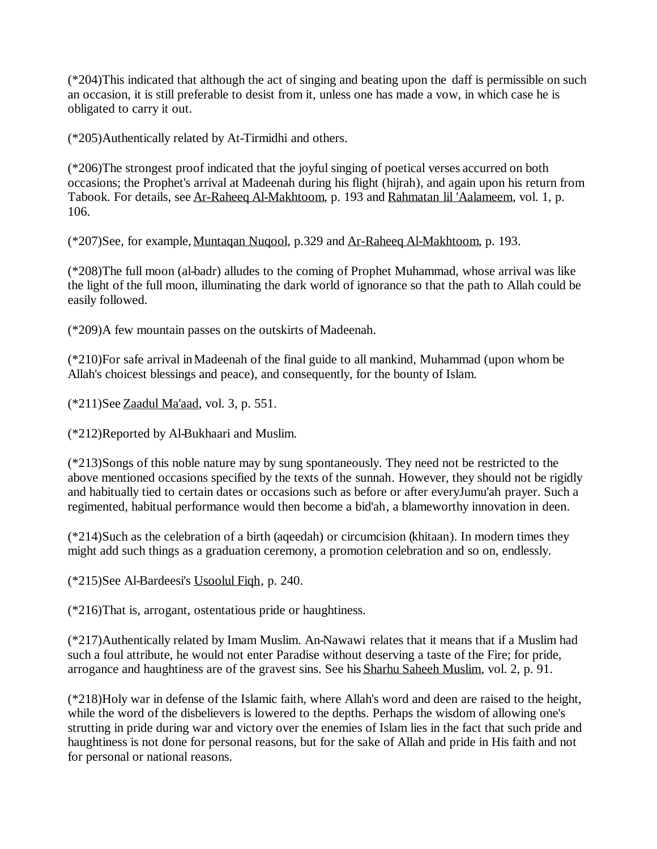(\*204)This indicated that although the act of singing and beating upon the daff is permissible on such an occasion, it is still preferable to desist from it, unless one has made a vow, in which case he is obligated to carry it out.

(\*205)Authentically related by At-Tirmidhi and others.

(\*206)The strongest proof indicated that the joyful singing of poetical verses accurred on both occasions; the Prophet's arrival at Madeenah during his flight (hijrah), and again upon his return from Tabook. For details, see Ar-Raheeq Al-Makhtoom, p. 193 and Rahmatan lil 'Aalameem, vol. 1, p. 106.

(\*207)See, for example, Muntaqan Nuqool, p.329 and Ar-Raheeq Al-Makhtoom, p. 193.

(\*208)The full moon (al-badr) alludes to the coming of Prophet Muhammad, whose arrival was like the light of the full moon, illuminating the dark world of ignorance so that the path to Allah could be easily followed.

(\*209)A few mountain passes on the outskirts of Madeenah.

(\*210)For safe arrival inMadeenah of the final guide to all mankind, Muhammad (upon whom be Allah's choicest blessings and peace), and consequently, for the bounty of Islam.

(\*211)See Zaadul Ma'aad, vol. 3, p. 551.

(\*212)Reported by Al-Bukhaari and Muslim.

(\*213)Songs of this noble nature may by sung spontaneously. They need not be restricted to the above mentioned occasions specified by the texts of the sunnah. However, they should not be rigidly and habitually tied to certain dates or occasions such as before or after everyJumu'ah prayer. Such a regimented, habitual performance would then become a bid'ah, a blameworthy innovation in deen.

(\*214)Such as the celebration of a birth (aqeedah) or circumcision (khitaan). In modern times they might add such things as a graduation ceremony, a promotion celebration and so on, endlessly.

(\*215)See Al-Bardeesi's Usoolul Fiqh, p. 240.

(\*216)That is, arrogant, ostentatious pride or haughtiness.

(\*217)Authentically related by Imam Muslim. An-Nawawi relates that it means that if a Muslim had such a foul attribute, he would not enter Paradise without deserving a taste of the Fire; for pride, arrogance and haughtiness are of the gravest sins. See his Sharhu Saheeh Muslim, vol. 2, p. 91.

(\*218)Holy war in defense of the Islamic faith, where Allah's word and deen are raised to the height, while the word of the disbelievers is lowered to the depths. Perhaps the wisdom of allowing one's strutting in pride during war and victory over the enemies of Islam lies in the fact that such pride and haughtiness is not done for personal reasons, but for the sake of Allah and pride in His faith and not for personal or national reasons.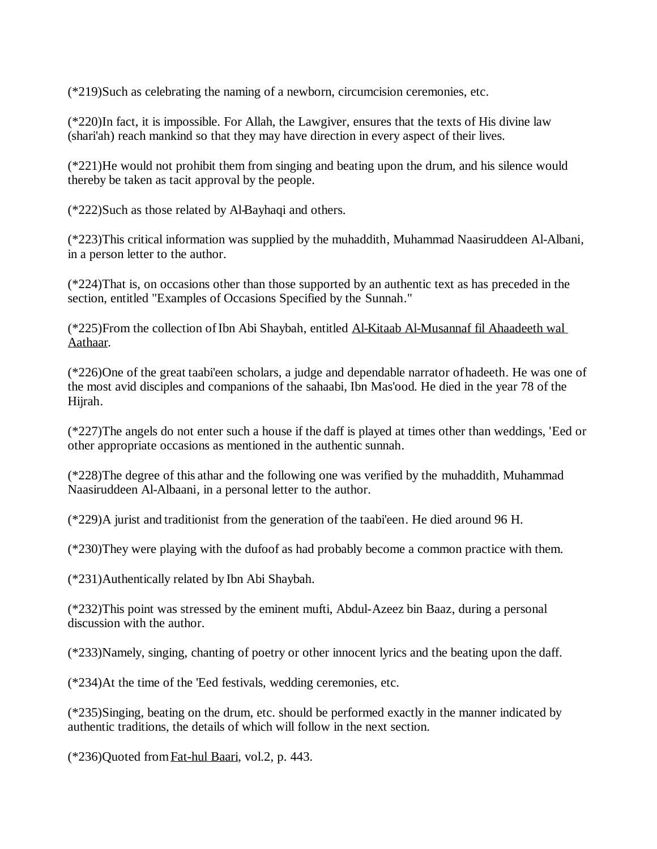(\*219)Such as celebrating the naming of a newborn, circumcision ceremonies, etc.

(\*220)In fact, it is impossible. For Allah, the Lawgiver, ensures that the texts of His divine law (shari'ah) reach mankind so that they may have direction in every aspect of their lives.

(\*221)He would not prohibit them from singing and beating upon the drum, and his silence would thereby be taken as tacit approval by the people.

(\*222)Such as those related by Al-Bayhaqi and others.

(\*223)This critical information was supplied by the muhaddith, Muhammad Naasiruddeen Al-Albani, in a person letter to the author.

(\*224)That is, on occasions other than those supported by an authentic text as has preceded in the section, entitled "Examples of Occasions Specified by the Sunnah."

(\*225)From the collection ofIbn Abi Shaybah, entitled Al-Kitaab Al-Musannaf fil Ahaadeeth wal Aathaar.

(\*226)One of the great taabi'een scholars, a judge and dependable narrator ofhadeeth. He was one of the most avid disciples and companions of the sahaabi, Ibn Mas'ood. He died in the year 78 of the Hijrah.

(\*227)The angels do not enter such a house if the daff is played at times other than weddings, 'Eed or other appropriate occasions as mentioned in the authentic sunnah.

(\*228)The degree of this athar and the following one was verified by the muhaddith, Muhammad Naasiruddeen Al-Albaani, in a personal letter to the author.

(\*229)A jurist and traditionist from the generation of the taabi'een. He died around 96 H.

(\*230)They were playing with the dufoof as had probably become a common practice with them.

(\*231)Authentically related by Ibn Abi Shaybah.

(\*232)This point was stressed by the eminent mufti, Abdul-Azeez bin Baaz, during a personal discussion with the author.

(\*233)Namely, singing, chanting of poetry or other innocent lyrics and the beating upon the daff.

(\*234)At the time of the 'Eed festivals, wedding ceremonies, etc.

(\*235)Singing, beating on the drum, etc. should be performed exactly in the manner indicated by authentic traditions, the details of which will follow in the next section.

(\*236)Quoted fromFat-hul Baari, vol.2, p. 443.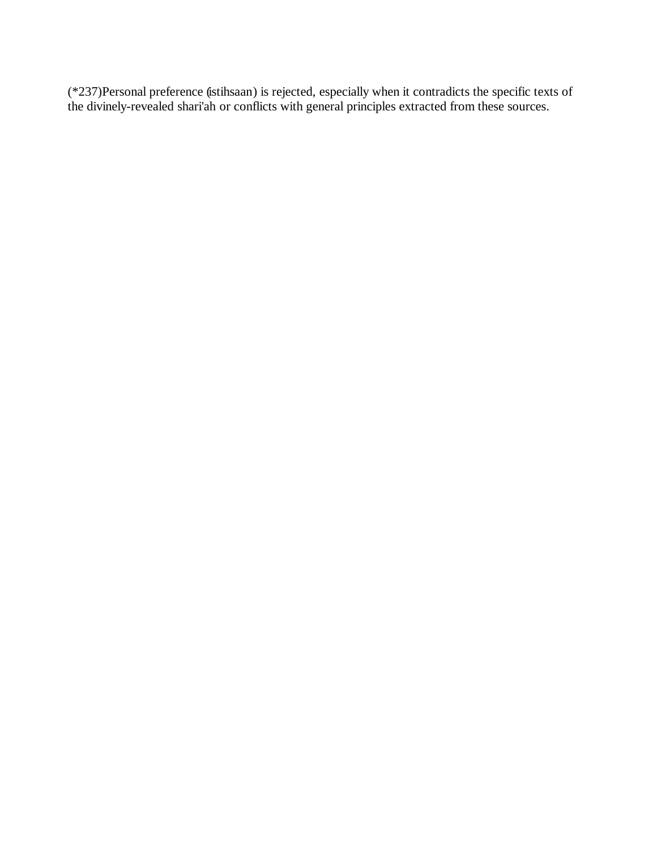(\*237)Personal preference (istihsaan) is rejected, especially when it contradicts the specific texts of the divinely-revealed shari'ah or conflicts with general principles extracted from these sources.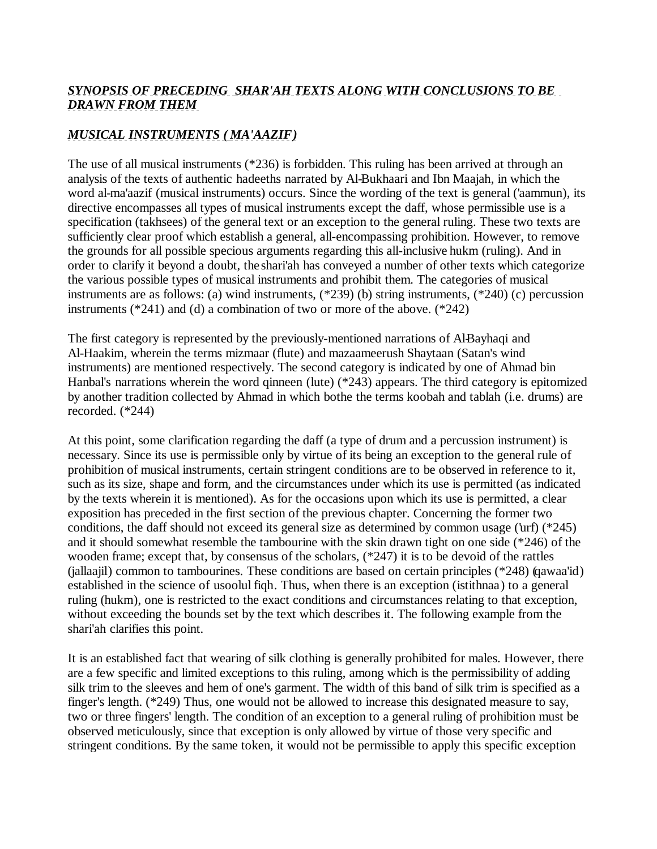#### *SYNOPSIS OF PRECEDING SHAR'AH TEXTS ALONG WITH CONCLUSIONS TO BE DRAWN FROM THEM*

#### *MUSICAL INSTRUMENTS ( MA'AAZIF)*

The use of all musical instruments (\*236) is forbidden. This ruling has been arrived at through an analysis of the texts of authentic hadeeths narrated by Al-Bukhaari and Ibn Maajah, in which the word al-ma'aazif (musical instruments) occurs. Since the wording of the text is general ('aammun), its directive encompasses all types of musical instruments except the daff, whose permissible use is a specification (takhsees) of the general text or an exception to the general ruling. These two texts are sufficiently clear proof which establish a general, all-encompassing prohibition. However, to remove the grounds for all possible specious arguments regarding this all-inclusive hukm (ruling). And in order to clarify it beyond a doubt, the shari'ah has conveyed a number of other texts which categorize the various possible types of musical instruments and prohibit them. The categories of musical instruments are as follows: (a) wind instruments, (\*239) (b) string instruments, (\*240) (c) percussion instruments (\*241) and (d) a combination of two or more of the above. (\*242)

The first category is represented by the previously-mentioned narrations of Al-Bayhaqi and Al-Haakim, wherein the terms mizmaar (flute) and mazaameerush Shaytaan (Satan's wind instruments) are mentioned respectively. The second category is indicated by one of Ahmad bin Hanbal's narrations wherein the word qinneen (lute) (\*243) appears. The third category is epitomized by another tradition collected by Ahmad in which bothe the terms koobah and tablah (i.e. drums) are recorded. (\*244)

At this point, some clarification regarding the daff (a type of drum and a percussion instrument) is necessary. Since its use is permissible only by virtue of its being an exception to the general rule of prohibition of musical instruments, certain stringent conditions are to be observed in reference to it, such as its size, shape and form, and the circumstances under which its use is permitted (as indicated by the texts wherein it is mentioned). As for the occasions upon which its use is permitted, a clear exposition has preceded in the first section of the previous chapter. Concerning the former two conditions, the daff should not exceed its general size as determined by common usage ('urf) (\*245) and it should somewhat resemble the tambourine with the skin drawn tight on one side (\*246) of the wooden frame; except that, by consensus of the scholars, (\*247) it is to be devoid of the rattles (jallaajil) common to tambourines. These conditions are based on certain principles (\*248) (qawaa'id) established in the science of usoolul fiqh. Thus, when there is an exception (istithnaa) to a general ruling (hukm), one is restricted to the exact conditions and circumstances relating to that exception, without exceeding the bounds set by the text which describes it. The following example from the shari'ah clarifies this point.

It is an established fact that wearing of silk clothing is generally prohibited for males. However, there are a few specific and limited exceptions to this ruling, among which is the permissibility of adding silk trim to the sleeves and hem of one's garment. The width of this band of silk trim is specified as a finger's length. (\*249) Thus, one would not be allowed to increase this designated measure to say, two or three fingers' length. The condition of an exception to a general ruling of prohibition must be observed meticulously, since that exception is only allowed by virtue of those very specific and stringent conditions. By the same token, it would not be permissible to apply this specific exception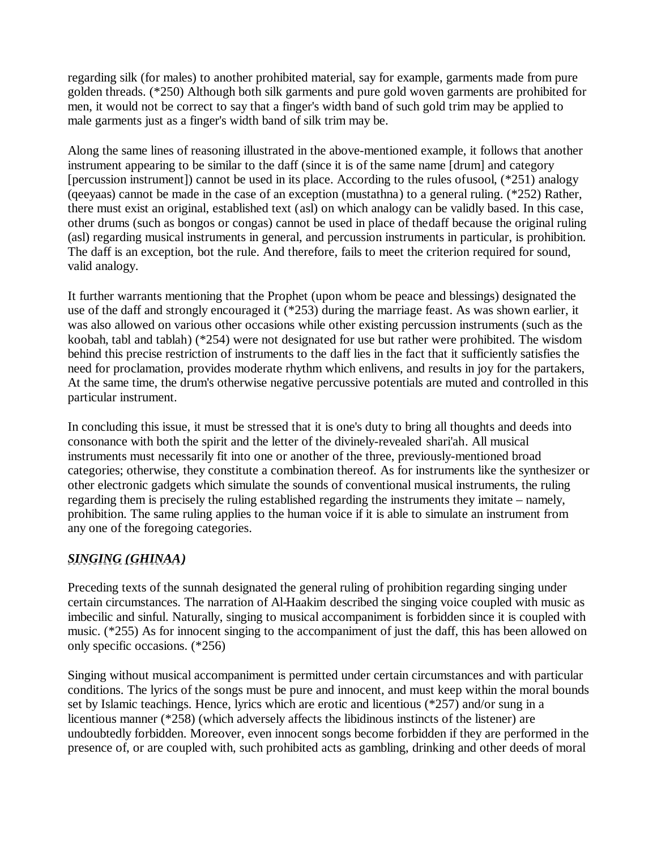regarding silk (for males) to another prohibited material, say for example, garments made from pure golden threads. (\*250) Although both silk garments and pure gold woven garments are prohibited for men, it would not be correct to say that a finger's width band of such gold trim may be applied to male garments just as a finger's width band of silk trim may be.

Along the same lines of reasoning illustrated in the above-mentioned example, it follows that another instrument appearing to be similar to the daff (since it is of the same name [drum] and category [percussion instrument]) cannot be used in its place. According to the rules ofusool, (\*251) analogy (qeeyaas) cannot be made in the case of an exception (mustathna) to a general ruling. (\*252) Rather, there must exist an original, established text (asl) on which analogy can be validly based. In this case, other drums (such as bongos or congas) cannot be used in place of thedaff because the original ruling (asl) regarding musical instruments in general, and percussion instruments in particular, is prohibition. The daff is an exception, bot the rule. And therefore, fails to meet the criterion required for sound, valid analogy.

It further warrants mentioning that the Prophet (upon whom be peace and blessings) designated the use of the daff and strongly encouraged it (\*253) during the marriage feast. As was shown earlier, it was also allowed on various other occasions while other existing percussion instruments (such as the koobah, tabl and tablah) (\*254) were not designated for use but rather were prohibited. The wisdom behind this precise restriction of instruments to the daff lies in the fact that it sufficiently satisfies the need for proclamation, provides moderate rhythm which enlivens, and results in joy for the partakers, At the same time, the drum's otherwise negative percussive potentials are muted and controlled in this particular instrument.

In concluding this issue, it must be stressed that it is one's duty to bring all thoughts and deeds into consonance with both the spirit and the letter of the divinely-revealed shari'ah. All musical instruments must necessarily fit into one or another of the three, previously-mentioned broad categories; otherwise, they constitute a combination thereof. As for instruments like the synthesizer or other electronic gadgets which simulate the sounds of conventional musical instruments, the ruling regarding them is precisely the ruling established regarding the instruments they imitate – namely, prohibition. The same ruling applies to the human voice if it is able to simulate an instrument from any one of the foregoing categories.

## *SINGING (GHINAA)*

Preceding texts of the sunnah designated the general ruling of prohibition regarding singing under certain circumstances. The narration of Al-Haakim described the singing voice coupled with music as imbecilic and sinful. Naturally, singing to musical accompaniment is forbidden since it is coupled with music. (\*255) As for innocent singing to the accompaniment of just the daff, this has been allowed on only specific occasions. (\*256)

Singing without musical accompaniment is permitted under certain circumstances and with particular conditions. The lyrics of the songs must be pure and innocent, and must keep within the moral bounds set by Islamic teachings. Hence, lyrics which are erotic and licentious (\*257) and/or sung in a licentious manner (\*258) (which adversely affects the libidinous instincts of the listener) are undoubtedly forbidden. Moreover, even innocent songs become forbidden if they are performed in the presence of, or are coupled with, such prohibited acts as gambling, drinking and other deeds of moral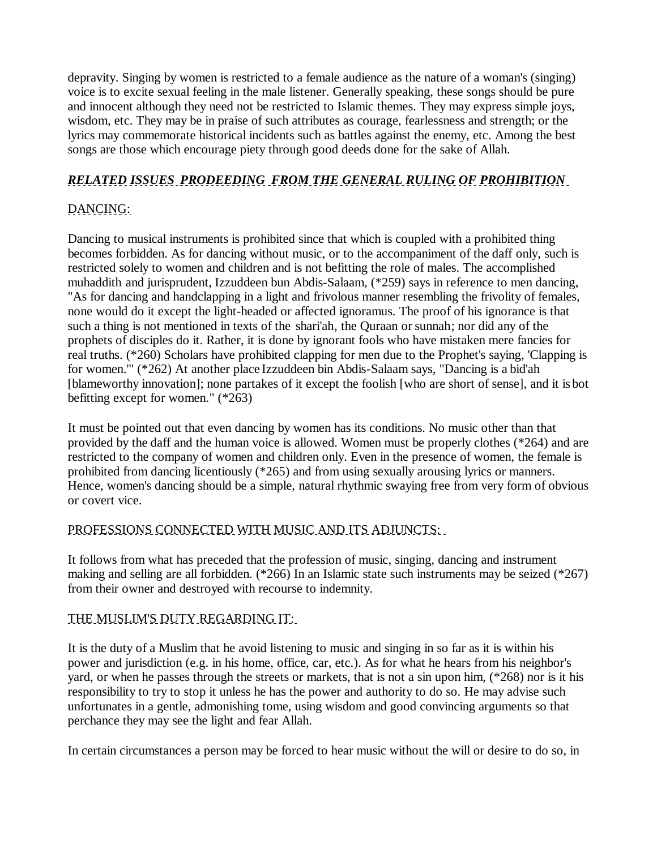depravity. Singing by women is restricted to a female audience as the nature of a woman's (singing) voice is to excite sexual feeling in the male listener. Generally speaking, these songs should be pure and innocent although they need not be restricted to Islamic themes. They may express simple joys, wisdom, etc. They may be in praise of such attributes as courage, fearlessness and strength; or the lyrics may commemorate historical incidents such as battles against the enemy, etc. Among the best songs are those which encourage piety through good deeds done for the sake of Allah.

## *RELATED ISSUES PRODEEDING FROM THE GENERAL RULING OF PROHIBITION*

#### DANCING:

Dancing to musical instruments is prohibited since that which is coupled with a prohibited thing becomes forbidden. As for dancing without music, or to the accompaniment of the daff only, such is restricted solely to women and children and is not befitting the role of males. The accomplished muhaddith and jurisprudent, Izzuddeen bun Abdis-Salaam, (\*259) says in reference to men dancing, "As for dancing and handclapping in a light and frivolous manner resembling the frivolity of females, none would do it except the light-headed or affected ignoramus. The proof of his ignorance is that such a thing is not mentioned in texts of the shari'ah, the Quraan or sunnah; nor did any of the prophets of disciples do it. Rather, it is done by ignorant fools who have mistaken mere fancies for real truths. (\*260) Scholars have prohibited clapping for men due to the Prophet's saying, 'Clapping is for women.'" (\*262) At another place Izzuddeen bin Abdis-Salaam says, "Dancing is a bid'ah [blameworthy innovation]; none partakes of it except the foolish [who are short of sense], and it is bot befitting except for women." (\*263)

It must be pointed out that even dancing by women has its conditions. No music other than that provided by the daff and the human voice is allowed. Women must be properly clothes (\*264) and are restricted to the company of women and children only. Even in the presence of women, the female is prohibited from dancing licentiously (\*265) and from using sexually arousing lyrics or manners. Hence, women's dancing should be a simple, natural rhythmic swaying free from very form of obvious or covert vice.

#### PROFESSIONS CONNECTED WITH MUSIC AND ITS ADJUNCTS:

It follows from what has preceded that the profession of music, singing, dancing and instrument making and selling are all forbidden. (\*266) In an Islamic state such instruments may be seized (\*267) from their owner and destroyed with recourse to indemnity.

#### THE MUSLIM'S DUTY REGARDING IT:

It is the duty of a Muslim that he avoid listening to music and singing in so far as it is within his power and jurisdiction (e.g. in his home, office, car, etc.). As for what he hears from his neighbor's yard, or when he passes through the streets or markets, that is not a sin upon him, (\*268) nor is it his responsibility to try to stop it unless he has the power and authority to do so. He may advise such unfortunates in a gentle, admonishing tome, using wisdom and good convincing arguments so that perchance they may see the light and fear Allah.

In certain circumstances a person may be forced to hear music without the will or desire to do so, in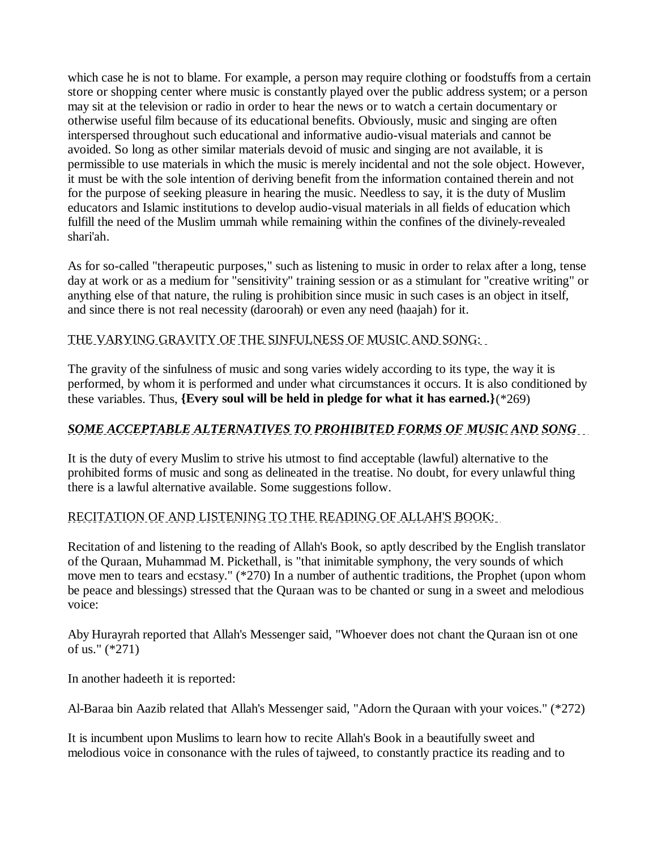which case he is not to blame. For example, a person may require clothing or foodstuffs from a certain store or shopping center where music is constantly played over the public address system; or a person may sit at the television or radio in order to hear the news or to watch a certain documentary or otherwise useful film because of its educational benefits. Obviously, music and singing are often interspersed throughout such educational and informative audio-visual materials and cannot be avoided. So long as other similar materials devoid of music and singing are not available, it is permissible to use materials in which the music is merely incidental and not the sole object. However, it must be with the sole intention of deriving benefit from the information contained therein and not for the purpose of seeking pleasure in hearing the music. Needless to say, it is the duty of Muslim educators and Islamic institutions to develop audio-visual materials in all fields of education which fulfill the need of the Muslim ummah while remaining within the confines of the divinely-revealed shari'ah.

As for so-called "therapeutic purposes," such as listening to music in order to relax after a long, tense day at work or as a medium for "sensitivity" training session or as a stimulant for "creative writing" or anything else of that nature, the ruling is prohibition since music in such cases is an object in itself, and since there is not real necessity (daroorah) or even any need (haajah) for it.

#### THE VARYING GRAVITY OF THE SINFULNESS OF MUSIC AND SONG:

The gravity of the sinfulness of music and song varies widely according to its type, the way it is performed, by whom it is performed and under what circumstances it occurs. It is also conditioned by these variables. Thus, **{Every soul will be held in pledge for what it has earned.}** (\*269)

#### *SOME ACCEPTABLE ALTERNATIVES TO PROHIBITED FORMS OF MUSIC AND SONG*

It is the duty of every Muslim to strive his utmost to find acceptable (lawful) alternative to the prohibited forms of music and song as delineated in the treatise. No doubt, for every unlawful thing there is a lawful alternative available. Some suggestions follow.

#### RECITATION OF AND LISTENING TO THE READING OF ALLAH'S BOOK:

Recitation of and listening to the reading of Allah's Book, so aptly described by the English translator of the Quraan, Muhammad M. Pickethall, is "that inimitable symphony, the very sounds of which move men to tears and ecstasy." (\*270) In a number of authentic traditions, the Prophet (upon whom be peace and blessings) stressed that the Quraan was to be chanted or sung in a sweet and melodious voice:

Aby Hurayrah reported that Allah's Messenger said, "Whoever does not chant the Quraan isn ot one of us." (\*271)

In another hadeeth it is reported:

Al-Baraa bin Aazib related that Allah's Messenger said, "Adorn the Quraan with your voices." (\*272)

It is incumbent upon Muslims to learn how to recite Allah's Book in a beautifully sweet and melodious voice in consonance with the rules of tajweed, to constantly practice its reading and to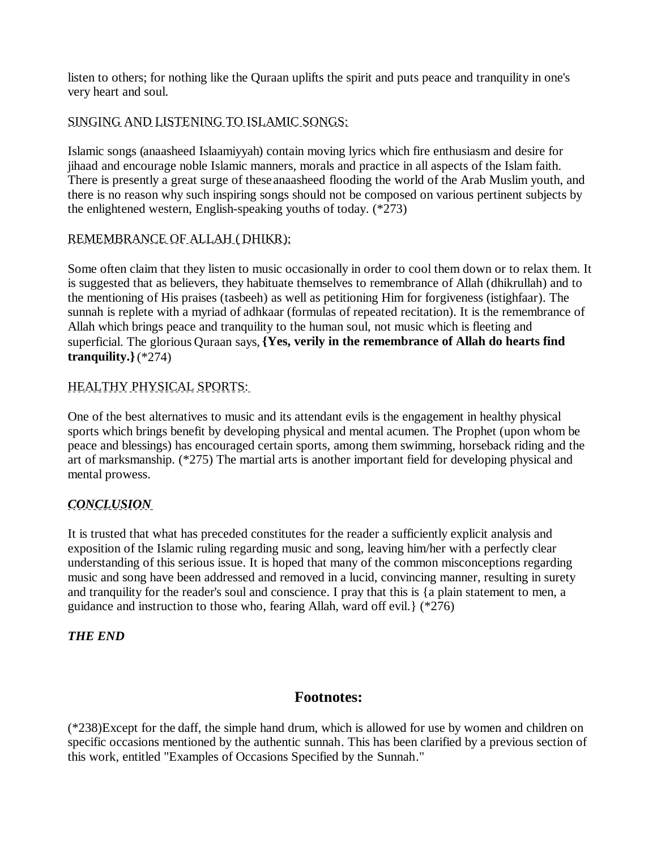listen to others; for nothing like the Quraan uplifts the spirit and puts peace and tranquility in one's very heart and soul.

## SINGING AND LISTENING TO ISLAMIC SONGS:

Islamic songs (anaasheed Islaamiyyah) contain moving lyrics which fire enthusiasm and desire for jihaad and encourage noble Islamic manners, morals and practice in all aspects of the Islam faith. There is presently a great surge of theseanaasheed flooding the world of the Arab Muslim youth, and there is no reason why such inspiring songs should not be composed on various pertinent subjects by the enlightened western, English-speaking youths of today. (\*273)

#### REMEMBRANCE OF ALLAH ( DHIKR):

Some often claim that they listen to music occasionally in order to cool them down or to relax them. It is suggested that as believers, they habituate themselves to remembrance of Allah (dhikrullah) and to the mentioning of His praises (tasbeeh) as well as petitioning Him for forgiveness (istighfaar). The sunnah is replete with a myriad of adhkaar (formulas of repeated recitation). It is the remembrance of Allah which brings peace and tranquility to the human soul, not music which is fleeting and superficial. The glorious Quraan says, **{Yes, verily in the remembrance of Allah do hearts find tranquility.}** (\*274)

#### HEALTHY PHYSICAL SPORTS:

One of the best alternatives to music and its attendant evils is the engagement in healthy physical sports which brings benefit by developing physical and mental acumen. The Prophet (upon whom be peace and blessings) has encouraged certain sports, among them swimming, horseback riding and the art of marksmanship. (\*275) The martial arts is another important field for developing physical and mental prowess.

## *CONCLUSION*

It is trusted that what has preceded constitutes for the reader a sufficiently explicit analysis and exposition of the Islamic ruling regarding music and song, leaving him/her with a perfectly clear understanding of this serious issue. It is hoped that many of the common misconceptions regarding music and song have been addressed and removed in a lucid, convincing manner, resulting in surety and tranquility for the reader's soul and conscience. I pray that this is {a plain statement to men, a guidance and instruction to those who, fearing Allah, ward off evil.} (\*276)

#### *THE END*

## **Footnotes:**

(\*238)Except for the daff, the simple hand drum, which is allowed for use by women and children on specific occasions mentioned by the authentic sunnah. This has been clarified by a previous section of this work, entitled "Examples of Occasions Specified by the Sunnah."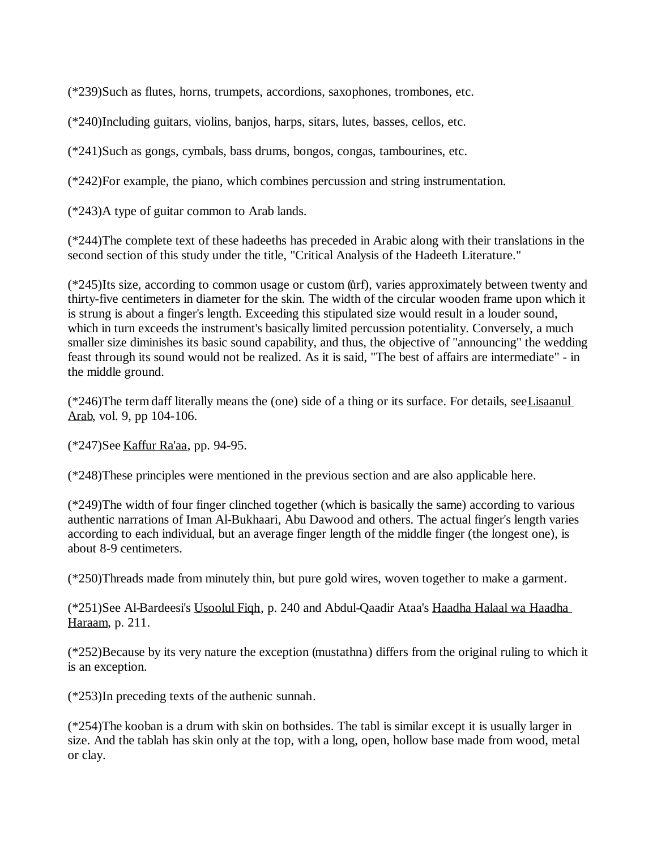(\*239)Such as flutes, horns, trumpets, accordions, saxophones, trombones, etc.

(\*240)Including guitars, violins, banjos, harps, sitars, lutes, basses, cellos, etc.

(\*241)Such as gongs, cymbals, bass drums, bongos, congas, tambourines, etc.

(\*242)For example, the piano, which combines percussion and string instrumentation.

(\*243)A type of guitar common to Arab lands.

(\*244)The complete text of these hadeeths has preceded in Arabic along with their translations in the second section of this study under the title, "Critical Analysis of the Hadeeth Literature."

 $(*245)$ Its size, according to common usage or custom ( $\pi$ ), varies approximately between twenty and thirty-five centimeters in diameter for the skin. The width of the circular wooden frame upon which it is strung is about a finger's length. Exceeding this stipulated size would result in a louder sound, which in turn exceeds the instrument's basically limited percussion potentiality. Conversely, a much smaller size diminishes its basic sound capability, and thus, the objective of "announcing" the wedding feast through its sound would not be realized. As it is said, "The best of affairs are intermediate" - in the middle ground.

(\*246)The term daff literally means the (one) side of a thing or its surface. For details, seeLisaanul Arab, vol. 9, pp 104-106.

(\*247)See Kaffur Ra'aa, pp. 94-95.

(\*248)These principles were mentioned in the previous section and are also applicable here.

(\*249)The width of four finger clinched together (which is basically the same) according to various authentic narrations of Iman Al-Bukhaari, Abu Dawood and others. The actual finger's length varies according to each individual, but an average finger length of the middle finger (the longest one), is about 8-9 centimeters.

(\*250)Threads made from minutely thin, but pure gold wires, woven together to make a garment.

(\*251)See Al-Bardeesi's Usoolul Fiqh, p. 240 and Abdul-Qaadir Ataa's Haadha Halaal wa Haadha Haraam, p. 211.

(\*252)Because by its very nature the exception (mustathna) differs from the original ruling to which it is an exception.

(\*253)In preceding texts of the authenic sunnah.

(\*254)The kooban is a drum with skin on bothsides. The tabl is similar except it is usually larger in size. And the tablah has skin only at the top, with a long, open, hollow base made from wood, metal or clay.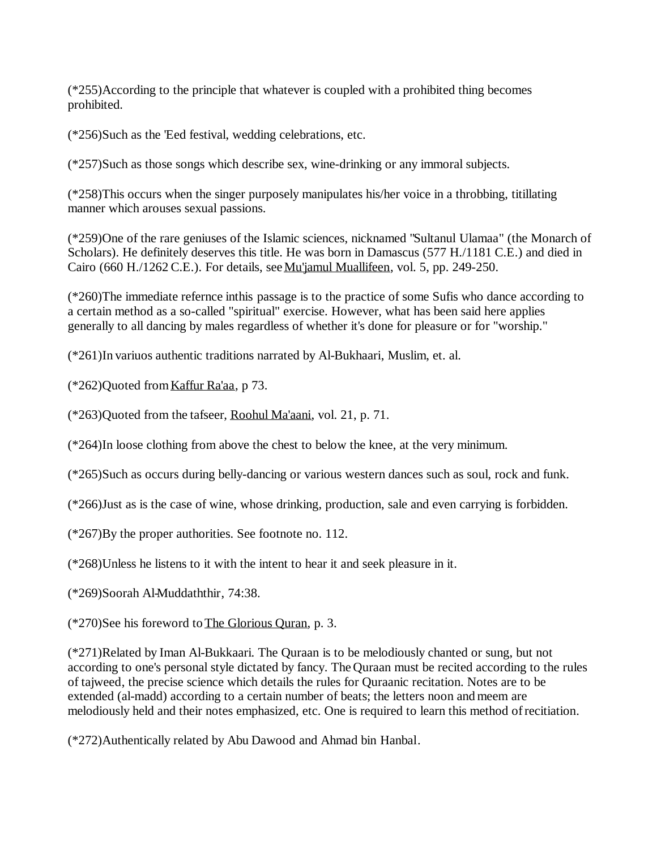(\*255)According to the principle that whatever is coupled with a prohibited thing becomes prohibited.

(\*256)Such as the 'Eed festival, wedding celebrations, etc.

(\*257)Such as those songs which describe sex, wine-drinking or any immoral subjects.

(\*258)This occurs when the singer purposely manipulates his/her voice in a throbbing, titillating manner which arouses sexual passions.

(\*259)One of the rare geniuses of the Islamic sciences, nicknamed "Sultanul Ulamaa" (the Monarch of Scholars). He definitely deserves this title. He was born in Damascus (577 H./1181 C.E.) and died in Cairo (660 H./1262 C.E.). For details, seeMu'jamul Muallifeen, vol. 5, pp. 249-250.

(\*260)The immediate refernce inthis passage is to the practice of some Sufis who dance according to a certain method as a so-called "spiritual" exercise. However, what has been said here applies generally to all dancing by males regardless of whether it's done for pleasure or for "worship."

(\*261)In variuos authentic traditions narrated by Al-Bukhaari, Muslim, et. al.

(\*262)Quoted fromKaffur Ra'aa, p 73.

(\*263)Quoted from the tafseer, Roohul Ma'aani, vol. 21, p. 71.

(\*264)In loose clothing from above the chest to below the knee, at the very minimum.

(\*265)Such as occurs during belly-dancing or various western dances such as soul, rock and funk.

(\*266)Just as is the case of wine, whose drinking, production, sale and even carrying is forbidden.

(\*267)By the proper authorities. See footnote no. 112.

(\*268)Unless he listens to it with the intent to hear it and seek pleasure in it.

(\*269)Soorah Al-Muddaththir, 74:38.

(\*270)See his foreword toThe Glorious Quran, p. 3.

(\*271)Related by Iman Al-Bukkaari. The Quraan is to be melodiously chanted or sung, but not according to one's personal style dictated by fancy. The Quraan must be recited according to the rules of tajweed, the precise science which details the rules for Quraanic recitation. Notes are to be extended (al-madd) according to a certain number of beats; the letters noon and meem are melodiously held and their notes emphasized, etc. One is required to learn this method ofrecitiation.

(\*272)Authentically related by Abu Dawood and Ahmad bin Hanbal.